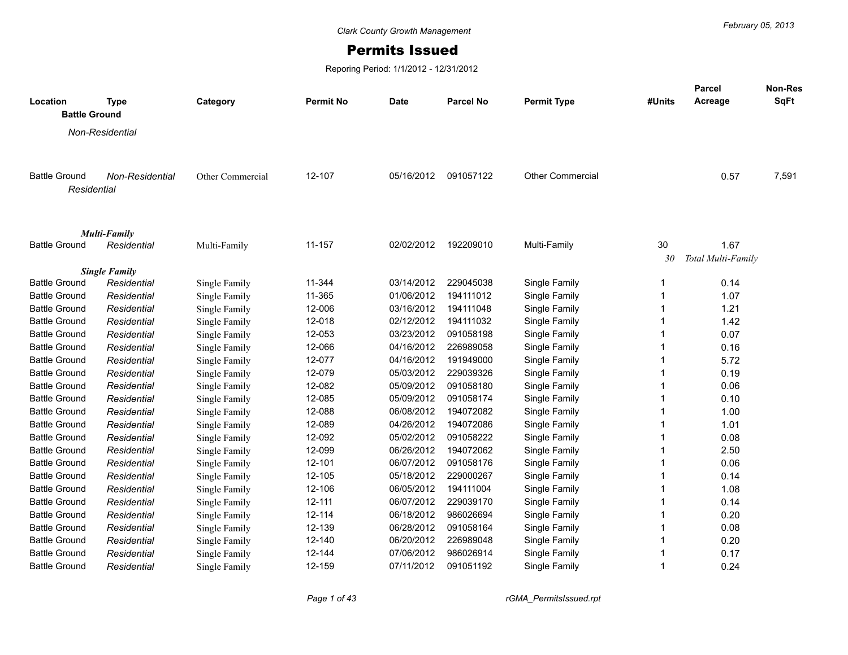## Permits Issued

Reporing Period: 1/1/2012 - 12/31/2012

| Location<br><b>Battle Ground</b>    | <b>Type</b>          | Category         | <b>Permit No</b> | <b>Date</b> | <b>Parcel No</b> | <b>Permit Type</b>      | #Units       | <b>Parcel</b><br>Acreage | Non-Res<br><b>SqFt</b> |
|-------------------------------------|----------------------|------------------|------------------|-------------|------------------|-------------------------|--------------|--------------------------|------------------------|
|                                     | Non-Residential      |                  |                  |             |                  |                         |              |                          |                        |
|                                     |                      |                  |                  |             |                  |                         |              |                          |                        |
| <b>Battle Ground</b><br>Residential | Non-Residential      | Other Commercial | 12-107           | 05/16/2012  | 091057122        | <b>Other Commercial</b> |              | 0.57                     | 7,591                  |
|                                     | <b>Multi-Family</b>  |                  |                  |             |                  |                         |              |                          |                        |
| <b>Battle Ground</b>                | Residential          | Multi-Family     | 11-157           | 02/02/2012  | 192209010        | Multi-Family            | 30           | 1.67                     |                        |
|                                     |                      |                  |                  |             |                  |                         | 30           | Total Multi-Family       |                        |
|                                     | <b>Single Family</b> |                  |                  |             |                  |                         |              |                          |                        |
| <b>Battle Ground</b>                | Residential          | Single Family    | 11-344           | 03/14/2012  | 229045038        | Single Family           | 1            | 0.14                     |                        |
| <b>Battle Ground</b>                | Residential          | Single Family    | 11-365           | 01/06/2012  | 194111012        | Single Family           | 1            | 1.07                     |                        |
| <b>Battle Ground</b>                | Residential          | Single Family    | 12-006           | 03/16/2012  | 194111048        | Single Family           | 1            | 1.21                     |                        |
| <b>Battle Ground</b>                | Residential          | Single Family    | 12-018           | 02/12/2012  | 194111032        | Single Family           | 1            | 1.42                     |                        |
| <b>Battle Ground</b>                | Residential          | Single Family    | 12-053           | 03/23/2012  | 091058198        | Single Family           | 1            | 0.07                     |                        |
| <b>Battle Ground</b>                | Residential          | Single Family    | 12-066           | 04/16/2012  | 226989058        | Single Family           | 1            | 0.16                     |                        |
| <b>Battle Ground</b>                | Residential          | Single Family    | 12-077           | 04/16/2012  | 191949000        | Single Family           | 1            | 5.72                     |                        |
| <b>Battle Ground</b>                | Residential          | Single Family    | 12-079           | 05/03/2012  | 229039326        | Single Family           | 1            | 0.19                     |                        |
| <b>Battle Ground</b>                | Residential          | Single Family    | 12-082           | 05/09/2012  | 091058180        | Single Family           | 1            | 0.06                     |                        |
| <b>Battle Ground</b>                | Residential          | Single Family    | 12-085           | 05/09/2012  | 091058174        | Single Family           | $\mathbf{1}$ | 0.10                     |                        |
| <b>Battle Ground</b>                | Residential          | Single Family    | 12-088           | 06/08/2012  | 194072082        | Single Family           | 1            | 1.00                     |                        |
| <b>Battle Ground</b>                | Residential          | Single Family    | 12-089           | 04/26/2012  | 194072086        | Single Family           | 1            | 1.01                     |                        |
| <b>Battle Ground</b>                | Residential          | Single Family    | 12-092           | 05/02/2012  | 091058222        | Single Family           | 1            | 0.08                     |                        |
| <b>Battle Ground</b>                | Residential          | Single Family    | 12-099           | 06/26/2012  | 194072062        | Single Family           | 1            | 2.50                     |                        |
| <b>Battle Ground</b>                | Residential          | Single Family    | 12-101           | 06/07/2012  | 091058176        | Single Family           | 1            | 0.06                     |                        |
| <b>Battle Ground</b>                | Residential          | Single Family    | 12-105           | 05/18/2012  | 229000267        | Single Family           | 1            | 0.14                     |                        |
| <b>Battle Ground</b>                | Residential          | Single Family    | 12-106           | 06/05/2012  | 194111004        | Single Family           | 1            | 1.08                     |                        |
| <b>Battle Ground</b>                | Residential          | Single Family    | $12 - 111$       | 06/07/2012  | 229039170        | Single Family           | 1            | 0.14                     |                        |
| <b>Battle Ground</b>                | Residential          | Single Family    | 12-114           | 06/18/2012  | 986026694        | Single Family           | 1            | 0.20                     |                        |
| <b>Battle Ground</b>                | Residential          | Single Family    | 12-139           | 06/28/2012  | 091058164        | Single Family           | 1            | 0.08                     |                        |
| <b>Battle Ground</b>                | Residential          | Single Family    | 12-140           | 06/20/2012  | 226989048        | Single Family           | 1            | 0.20                     |                        |
| <b>Battle Ground</b>                | Residential          | Single Family    | 12-144           | 07/06/2012  | 986026914        | Single Family           | 1            | 0.17                     |                        |
| Battle Ground                       | Residential          | Single Family    | 12-159           | 07/11/2012  | 091051192        | Single Family           | 1            | 0.24                     |                        |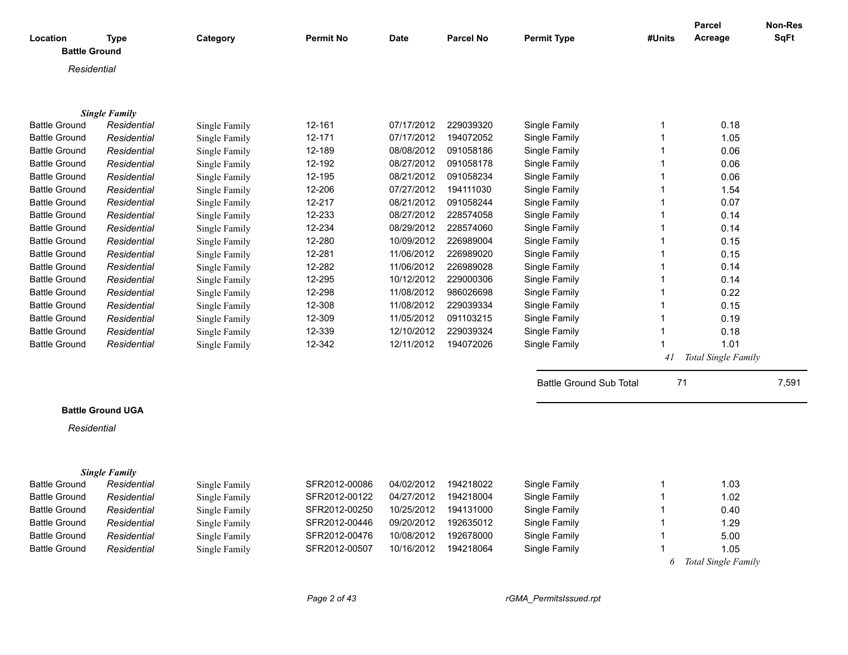| Location             | <b>Type</b>              | Category      | <b>Permit No</b> | <b>Date</b> | <b>Parcel No</b> | <b>Permit Type</b>             | #Units         | <b>Parcel</b><br>Acreage | <b>Non-Res</b><br><b>SqFt</b> |
|----------------------|--------------------------|---------------|------------------|-------------|------------------|--------------------------------|----------------|--------------------------|-------------------------------|
| <b>Battle Ground</b> |                          |               |                  |             |                  |                                |                |                          |                               |
| Residential          |                          |               |                  |             |                  |                                |                |                          |                               |
|                      |                          |               |                  |             |                  |                                |                |                          |                               |
|                      |                          |               |                  |             |                  |                                |                |                          |                               |
|                      | <b>Single Family</b>     |               |                  |             |                  |                                |                |                          |                               |
| <b>Battle Ground</b> | Residential              | Single Family | 12-161           | 07/17/2012  | 229039320        | Single Family                  | $\mathbf 1$    | 0.18                     |                               |
| <b>Battle Ground</b> | Residential              | Single Family | 12-171           | 07/17/2012  | 194072052        | Single Family                  | $\overline{1}$ | 1.05                     |                               |
| <b>Battle Ground</b> | Residential              | Single Family | 12-189           | 08/08/2012  | 091058186        | Single Family                  | 1              | 0.06                     |                               |
| <b>Battle Ground</b> | Residential              | Single Family | 12-192           | 08/27/2012  | 091058178        | Single Family                  | $\mathbf 1$    | 0.06                     |                               |
| <b>Battle Ground</b> | Residential              | Single Family | 12-195           | 08/21/2012  | 091058234        | Single Family                  | 1              | 0.06                     |                               |
| <b>Battle Ground</b> | Residential              | Single Family | 12-206           | 07/27/2012  | 194111030        | Single Family                  | $\mathbf 1$    | 1.54                     |                               |
| <b>Battle Ground</b> | Residential              | Single Family | 12-217           | 08/21/2012  | 091058244        | Single Family                  | $\mathbf 1$    | 0.07                     |                               |
| <b>Battle Ground</b> | Residential              | Single Family | 12-233           | 08/27/2012  | 228574058        | Single Family                  | $\mathbf{1}$   | 0.14                     |                               |
| <b>Battle Ground</b> | Residential              | Single Family | 12-234           | 08/29/2012  | 228574060        | Single Family                  | 1              | 0.14                     |                               |
| <b>Battle Ground</b> | Residential              | Single Family | 12-280           | 10/09/2012  | 226989004        | Single Family                  | $\mathbf 1$    | 0.15                     |                               |
| <b>Battle Ground</b> | Residential              | Single Family | 12-281           | 11/06/2012  | 226989020        | Single Family                  | $\mathbf 1$    | 0.15                     |                               |
| <b>Battle Ground</b> | Residential              | Single Family | 12-282           | 11/06/2012  | 226989028        | Single Family                  | $\mathbf 1$    | 0.14                     |                               |
| <b>Battle Ground</b> | Residential              | Single Family | 12-295           | 10/12/2012  | 229000306        | Single Family                  | $\mathbf 1$    | 0.14                     |                               |
| <b>Battle Ground</b> | Residential              | Single Family | 12-298           | 11/08/2012  | 986026698        | Single Family                  | -1             | 0.22                     |                               |
| <b>Battle Ground</b> | Residential              | Single Family | 12-308           | 11/08/2012  | 229039334        | Single Family                  | $\mathbf 1$    | 0.15                     |                               |
| <b>Battle Ground</b> | Residential              | Single Family | 12-309           | 11/05/2012  | 091103215        | Single Family                  | $\mathbf 1$    | 0.19                     |                               |
| <b>Battle Ground</b> | Residential              | Single Family | 12-339           | 12/10/2012  | 229039324        | Single Family                  | 1              | 0.18                     |                               |
| <b>Battle Ground</b> | Residential              | Single Family | 12-342           | 12/11/2012  | 194072026        | Single Family                  | 1              | 1.01                     |                               |
|                      |                          |               |                  |             |                  |                                | 41             | Total Single Family      |                               |
|                      |                          |               |                  |             |                  | <b>Battle Ground Sub Total</b> | 71             |                          | 7,591                         |
|                      | <b>Battle Ground UGA</b> |               |                  |             |                  |                                |                |                          |                               |
|                      |                          |               |                  |             |                  |                                |                |                          |                               |
| Residential          |                          |               |                  |             |                  |                                |                |                          |                               |
|                      | <b>Single Family</b>     |               |                  |             |                  |                                |                |                          |                               |
| <b>Battle Ground</b> | Residential              | Single Family | SFR2012-00086    | 04/02/2012  | 194218022        | Single Family                  | 1              | 1.03                     |                               |
| <b>Battle Ground</b> | Residential              | Single Family | SFR2012-00122    | 04/27/2012  | 194218004        | Single Family                  | 1              | 1.02                     |                               |
| <b>Battle Ground</b> | Residential              | Single Family | SFR2012-00250    | 10/25/2012  | 194131000        | Single Family                  | 1              | 0.40                     |                               |
| <b>Battle Ground</b> | Residential              | Single Family | SFR2012-00446    | 09/20/2012  | 192635012        | Single Family                  | $\mathbf 1$    | 1.29                     |                               |
| <b>Battle Ground</b> | Residential              | Single Family | SFR2012-00476    | 10/08/2012  | 192678000        | Single Family                  | $\mathbf 1$    | 5.00                     |                               |
| <b>Battle Ground</b> | Residential              | Single Family | SFR2012-00507    | 10/16/2012  | 194218064        | Single Family                  | 1              | 1.05                     |                               |
|                      |                          |               |                  |             |                  |                                | 6              | Total Single Family      |                               |

*Page 2 of 43 rGMA\_PermitsIssued.rpt*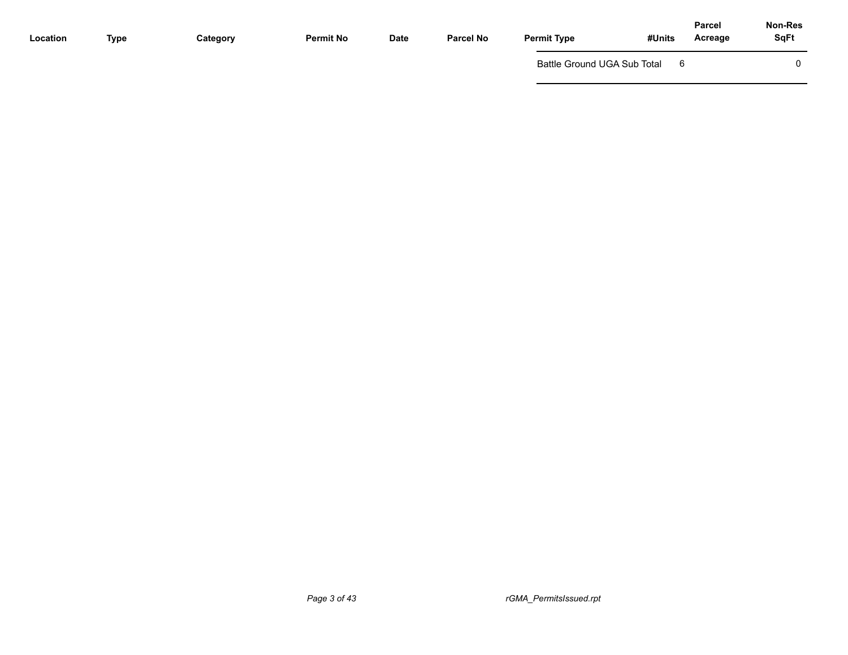| Location | Type | Category | <b>Permit No</b> | <b>Date</b> | Parcel No | <b>Permit Type</b>          | #Units | <b>Parcel</b><br>Acreage | <b>Non-Res</b><br><b>SqFt</b> |
|----------|------|----------|------------------|-------------|-----------|-----------------------------|--------|--------------------------|-------------------------------|
|          |      |          |                  |             |           | Battle Ground UGA Sub Total |        |                          |                               |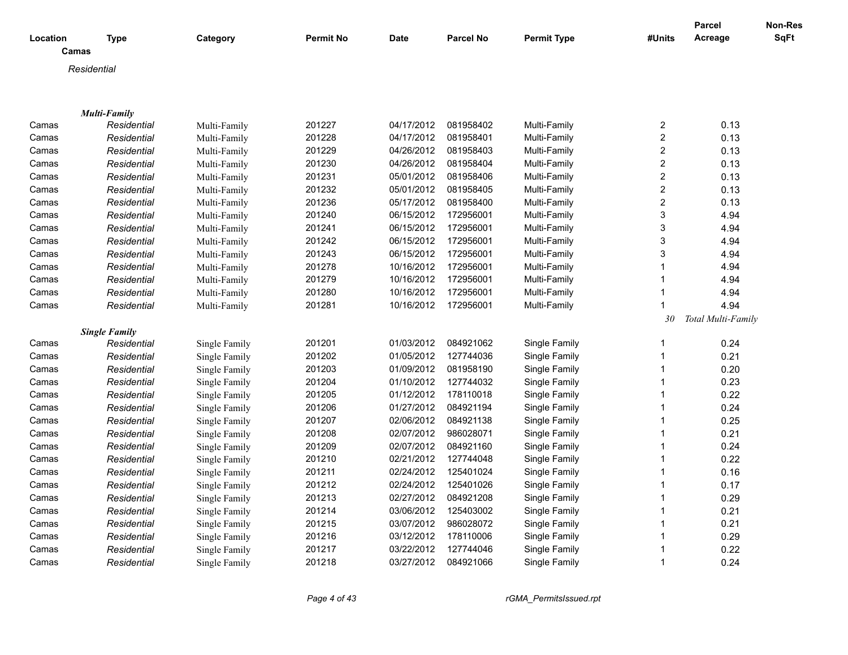|          |                      |               |                  |             |                  |                    |                         | Parcel             | Non-Res     |
|----------|----------------------|---------------|------------------|-------------|------------------|--------------------|-------------------------|--------------------|-------------|
| Location | <b>Type</b>          | Category      | <b>Permit No</b> | <b>Date</b> | <b>Parcel No</b> | <b>Permit Type</b> | #Units                  | Acreage            | <b>SqFt</b> |
| Camas    |                      |               |                  |             |                  |                    |                         |                    |             |
|          | Residential          |               |                  |             |                  |                    |                         |                    |             |
|          |                      |               |                  |             |                  |                    |                         |                    |             |
|          |                      |               |                  |             |                  |                    |                         |                    |             |
|          | <b>Multi-Family</b>  |               |                  |             |                  |                    |                         |                    |             |
| Camas    | Residential          | Multi-Family  | 201227           | 04/17/2012  | 081958402        | Multi-Family       | 2                       | 0.13               |             |
| Camas    | Residential          | Multi-Family  | 201228           | 04/17/2012  | 081958401        | Multi-Family       | $\overline{c}$          | 0.13               |             |
| Camas    | Residential          | Multi-Family  | 201229           | 04/26/2012  | 081958403        | Multi-Family       | $\overline{\mathbf{c}}$ | 0.13               |             |
| Camas    | Residential          | Multi-Family  | 201230           | 04/26/2012  | 081958404        | Multi-Family       | $\overline{2}$          | 0.13               |             |
| Camas    | Residential          | Multi-Family  | 201231           | 05/01/2012  | 081958406        | Multi-Family       | $\overline{c}$          | 0.13               |             |
| Camas    | Residential          | Multi-Family  | 201232           | 05/01/2012  | 081958405        | Multi-Family       | $\overline{\mathbf{c}}$ | 0.13               |             |
| Camas    | Residential          | Multi-Family  | 201236           | 05/17/2012  | 081958400        | Multi-Family       | $\overline{c}$          | 0.13               |             |
| Camas    | Residential          | Multi-Family  | 201240           | 06/15/2012  | 172956001        | Multi-Family       | 3                       | 4.94               |             |
| Camas    | Residential          | Multi-Family  | 201241           | 06/15/2012  | 172956001        | Multi-Family       | 3                       | 4.94               |             |
| Camas    | Residential          | Multi-Family  | 201242           | 06/15/2012  | 172956001        | Multi-Family       | 3                       | 4.94               |             |
| Camas    | Residential          | Multi-Family  | 201243           | 06/15/2012  | 172956001        | Multi-Family       | 3                       | 4.94               |             |
| Camas    | Residential          | Multi-Family  | 201278           | 10/16/2012  | 172956001        | Multi-Family       | 1                       | 4.94               |             |
| Camas    | Residential          | Multi-Family  | 201279           | 10/16/2012  | 172956001        | Multi-Family       | $\mathbf{1}$            | 4.94               |             |
| Camas    | Residential          | Multi-Family  | 201280           | 10/16/2012  | 172956001        | Multi-Family       | 1                       | 4.94               |             |
| Camas    | Residential          | Multi-Family  | 201281           | 10/16/2012  | 172956001        | Multi-Family       | 1                       | 4.94               |             |
|          |                      |               |                  |             |                  |                    | 30                      | Total Multi-Family |             |
|          | <b>Single Family</b> |               |                  |             |                  |                    |                         |                    |             |
| Camas    | Residential          | Single Family | 201201           | 01/03/2012  | 084921062        | Single Family      | 1                       | 0.24               |             |
| Camas    | Residential          | Single Family | 201202           | 01/05/2012  | 127744036        | Single Family      | $\mathbf{1}$            | 0.21               |             |
| Camas    | Residential          | Single Family | 201203           | 01/09/2012  | 081958190        | Single Family      | $\mathbf{1}$            | 0.20               |             |
| Camas    | Residential          | Single Family | 201204           | 01/10/2012  | 127744032        | Single Family      | $\mathbf{1}$            | 0.23               |             |
| Camas    | Residential          | Single Family | 201205           | 01/12/2012  | 178110018        | Single Family      | $\mathbf{1}$            | 0.22               |             |
| Camas    | Residential          | Single Family | 201206           | 01/27/2012  | 084921194        | Single Family      | $\mathbf{1}$            | 0.24               |             |
| Camas    | Residential          | Single Family | 201207           | 02/06/2012  | 084921138        | Single Family      | $\mathbf{1}$            | 0.25               |             |
| Camas    | Residential          | Single Family | 201208           | 02/07/2012  | 986028071        | Single Family      | $\mathbf{1}$            | 0.21               |             |
| Camas    | Residential          | Single Family | 201209           | 02/07/2012  | 084921160        | Single Family      | $\mathbf{1}$            | 0.24               |             |
| Camas    | Residential          | Single Family | 201210           | 02/21/2012  | 127744048        | Single Family      | 1                       | 0.22               |             |
| Camas    | Residential          | Single Family | 201211           | 02/24/2012  | 125401024        | Single Family      | $\mathbf{1}$            | 0.16               |             |
| Camas    | Residential          | Single Family | 201212           | 02/24/2012  | 125401026        | Single Family      | 1                       | 0.17               |             |
| Camas    | Residential          | Single Family | 201213           | 02/27/2012  | 084921208        | Single Family      | 1                       | 0.29               |             |
| Camas    | Residential          | Single Family | 201214           | 03/06/2012  | 125403002        | Single Family      | 1                       | 0.21               |             |
| Camas    | Residential          | Single Family | 201215           | 03/07/2012  | 986028072        | Single Family      | $\mathbf{1}$            | 0.21               |             |
| Camas    | Residential          | Single Family | 201216           | 03/12/2012  | 178110006        | Single Family      | 1                       | 0.29               |             |
| Camas    | Residential          | Single Family | 201217           | 03/22/2012  | 127744046        | Single Family      | 1                       | 0.22               |             |
| Camas    | Residential          | Single Family | 201218           | 03/27/2012  | 084921066        | Single Family      | 1                       | 0.24               |             |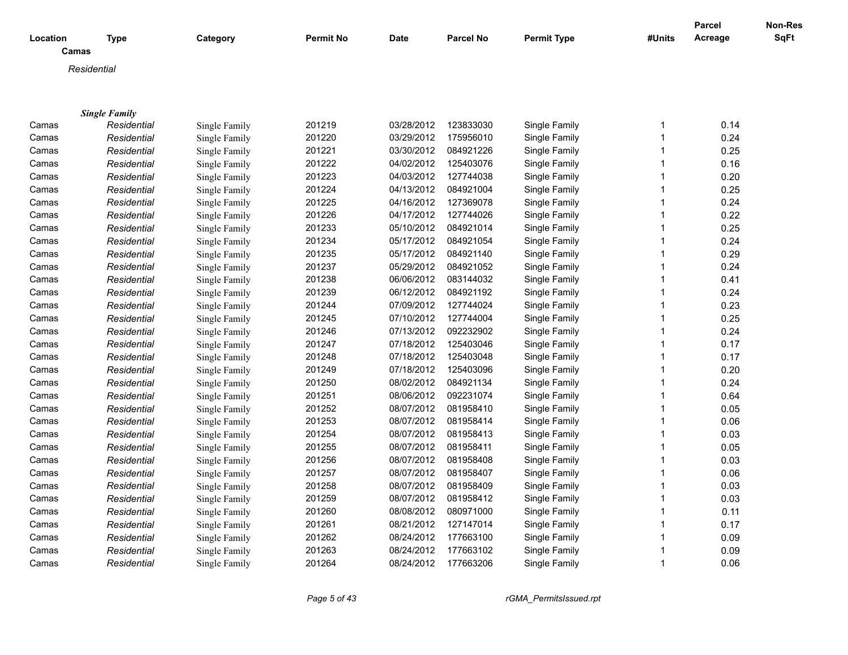| Location | <b>Type</b>          | Category             | Permit No | <b>Date</b> | <b>Parcel No</b> | <b>Permit Type</b> | #Units      | Parcel<br>Acreage | Non-Res<br>SqFt |
|----------|----------------------|----------------------|-----------|-------------|------------------|--------------------|-------------|-------------------|-----------------|
| Camas    |                      |                      |           |             |                  |                    |             |                   |                 |
|          | Residential          |                      |           |             |                  |                    |             |                   |                 |
|          |                      |                      |           |             |                  |                    |             |                   |                 |
|          |                      |                      |           |             |                  |                    |             |                   |                 |
|          | <b>Single Family</b> |                      |           |             |                  |                    |             |                   |                 |
| Camas    | Residential          | Single Family        | 201219    | 03/28/2012  | 123833030        | Single Family      | 1           | 0.14              |                 |
| Camas    | Residential          | Single Family        | 201220    | 03/29/2012  | 175956010        | Single Family      | $\mathbf 1$ | 0.24              |                 |
| Camas    | Residential          | Single Family        | 201221    | 03/30/2012  | 084921226        | Single Family      | -1          | 0.25              |                 |
| Camas    | Residential          | Single Family        | 201222    | 04/02/2012  | 125403076        | Single Family      |             | 0.16              |                 |
| Camas    | Residential          | Single Family        | 201223    | 04/03/2012  | 127744038        | Single Family      |             | 0.20              |                 |
| Camas    | Residential          | Single Family        | 201224    | 04/13/2012  | 084921004        | Single Family      |             | 0.25              |                 |
| Camas    | Residential          | Single Family        | 201225    | 04/16/2012  | 127369078        | Single Family      |             | 0.24              |                 |
| Camas    | Residential          | Single Family        | 201226    | 04/17/2012  | 127744026        | Single Family      |             | 0.22              |                 |
| Camas    | Residential          | Single Family        | 201233    | 05/10/2012  | 084921014        | Single Family      |             | 0.25              |                 |
| Camas    | Residential          | Single Family        | 201234    | 05/17/2012  | 084921054        | Single Family      |             | 0.24              |                 |
| Camas    | Residential          | Single Family        | 201235    | 05/17/2012  | 084921140        | Single Family      |             | 0.29              |                 |
| Camas    | Residential          | Single Family        | 201237    | 05/29/2012  | 084921052        | Single Family      |             | 0.24              |                 |
| Camas    | Residential          | Single Family        | 201238    | 06/06/2012  | 083144032        | Single Family      |             | 0.41              |                 |
| Camas    | Residential          | Single Family        | 201239    | 06/12/2012  | 084921192        | Single Family      |             | 0.24              |                 |
| Camas    | Residential          | Single Family        | 201244    | 07/09/2012  | 127744024        | Single Family      |             | 0.23              |                 |
| Camas    | Residential          | Single Family        | 201245    | 07/10/2012  | 127744004        | Single Family      |             | 0.25              |                 |
| Camas    | Residential          | Single Family        | 201246    | 07/13/2012  | 092232902        | Single Family      |             | 0.24              |                 |
| Camas    | Residential          | Single Family        | 201247    | 07/18/2012  | 125403046        | Single Family      | 1           | 0.17              |                 |
| Camas    | Residential          | Single Family        | 201248    | 07/18/2012  | 125403048        | Single Family      |             | 0.17              |                 |
| Camas    | Residential          | Single Family        | 201249    | 07/18/2012  | 125403096        | Single Family      | -1          | 0.20              |                 |
| Camas    | Residential          | Single Family        | 201250    | 08/02/2012  | 084921134        | Single Family      |             | 0.24              |                 |
| Camas    | Residential          | Single Family        | 201251    | 08/06/2012  | 092231074        | Single Family      |             | 0.64              |                 |
| Camas    | Residential          | Single Family        | 201252    | 08/07/2012  | 081958410        | Single Family      |             | 0.05              |                 |
| Camas    | Residential          | Single Family        | 201253    | 08/07/2012  | 081958414        | Single Family      |             | 0.06              |                 |
| Camas    | Residential          | Single Family        | 201254    | 08/07/2012  | 081958413        | Single Family      |             | 0.03              |                 |
| Camas    | Residential          | Single Family        | 201255    | 08/07/2012  | 081958411        | Single Family      |             | 0.05              |                 |
| Camas    | Residential          | Single Family        | 201256    | 08/07/2012  | 081958408        | Single Family      |             | 0.03              |                 |
| Camas    | Residential          | Single Family        | 201257    | 08/07/2012  | 081958407        | Single Family      |             | 0.06              |                 |
| Camas    | Residential          |                      | 201258    | 08/07/2012  | 081958409        | Single Family      |             | 0.03              |                 |
|          |                      | Single Family        |           |             |                  |                    |             |                   |                 |
| Camas    | Residential          | Single Family        | 201259    | 08/07/2012  | 081958412        | Single Family      |             | 0.03              |                 |
| Camas    | Residential          | Single Family        | 201260    | 08/08/2012  | 080971000        | Single Family      |             | 0.11              |                 |
| Camas    | Residential          | Single Family        | 201261    | 08/21/2012  | 127147014        | Single Family      |             | 0.17              |                 |
| Camas    | Residential          | Single Family        | 201262    | 08/24/2012  | 177663100        | Single Family      |             | 0.09              |                 |
| Camas    | Residential          | <b>Single Family</b> | 201263    | 08/24/2012  | 177663102        | Single Family      |             | 0.09              |                 |
| Camas    | Residential          | <b>Single Family</b> | 201264    | 08/24/2012  | 177663206        | Single Family      | 1           | 0.06              |                 |

*Page 5 of 43 rGMA\_PermitsIssued.rpt*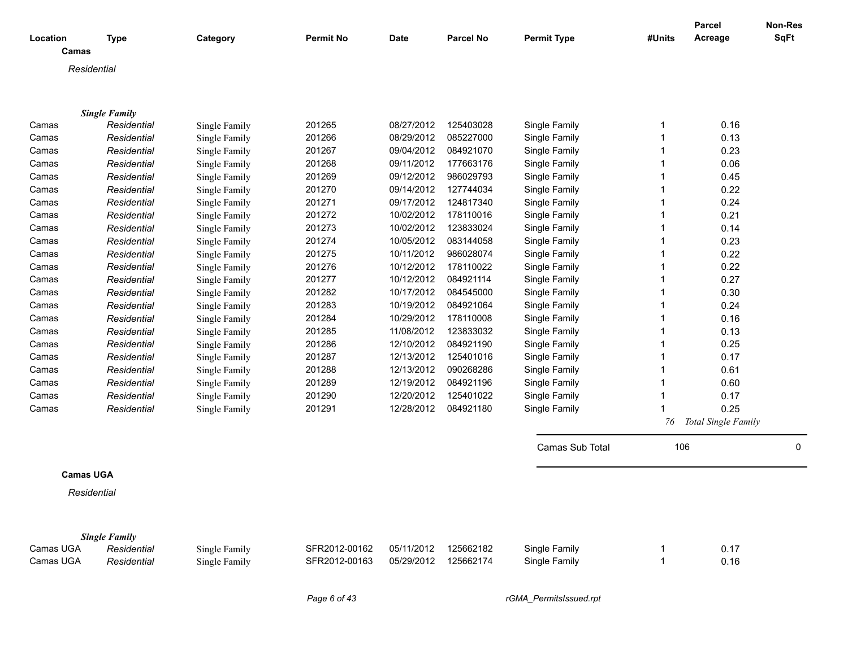| Location<br>Camas | <b>Type</b>          | Category      | <b>Permit No</b> | <b>Date</b> | <b>Parcel No</b> | <b>Permit Type</b> | #Units         | Parcel<br>Acreage   | Non-Res<br>SqFt |
|-------------------|----------------------|---------------|------------------|-------------|------------------|--------------------|----------------|---------------------|-----------------|
| Residential       |                      |               |                  |             |                  |                    |                |                     |                 |
|                   |                      |               |                  |             |                  |                    |                |                     |                 |
|                   |                      |               |                  |             |                  |                    |                |                     |                 |
|                   | <b>Single Family</b> |               |                  |             |                  |                    |                |                     |                 |
| Camas             | Residential          | Single Family | 201265           | 08/27/2012  | 125403028        | Single Family      | -1             | 0.16                |                 |
| Camas             | Residential          | Single Family | 201266           | 08/29/2012  | 085227000        | Single Family      | $\mathbf{1}$   | 0.13                |                 |
| Camas             | Residential          | Single Family | 201267           | 09/04/2012  | 084921070        | Single Family      | $\mathbf 1$    | 0.23                |                 |
| Camas             | Residential          | Single Family | 201268           | 09/11/2012  | 177663176        | Single Family      | $\mathbf 1$    | 0.06                |                 |
| Camas             | Residential          | Single Family | 201269           | 09/12/2012  | 986029793        | Single Family      | $\mathbf 1$    | 0.45                |                 |
| Camas             | Residential          | Single Family | 201270           | 09/14/2012  | 127744034        | Single Family      | $\mathbf{1}$   | 0.22                |                 |
| Camas             | Residential          | Single Family | 201271           | 09/17/2012  | 124817340        | Single Family      | $\mathbf 1$    | 0.24                |                 |
| Camas             | Residential          | Single Family | 201272           | 10/02/2012  | 178110016        | Single Family      | $\mathbf{1}$   | 0.21                |                 |
| Camas             | Residential          | Single Family | 201273           | 10/02/2012  | 123833024        | Single Family      | $\mathbf 1$    | 0.14                |                 |
| Camas             | Residential          | Single Family | 201274           | 10/05/2012  | 083144058        | Single Family      | $\overline{1}$ | 0.23                |                 |
| Camas             | Residential          | Single Family | 201275           | 10/11/2012  | 986028074        | Single Family      | $\mathbf{1}$   | 0.22                |                 |
| Camas             | Residential          | Single Family | 201276           | 10/12/2012  | 178110022        | Single Family      | -1             | 0.22                |                 |
| Camas             | Residential          | Single Family | 201277           | 10/12/2012  | 084921114        | Single Family      | $\mathbf 1$    | 0.27                |                 |
| Camas             | Residential          | Single Family | 201282           | 10/17/2012  | 084545000        | Single Family      | -1             | 0.30                |                 |
| Camas             | Residential          | Single Family | 201283           | 10/19/2012  | 084921064        | Single Family      | $\mathbf 1$    | 0.24                |                 |
| Camas             | Residential          | Single Family | 201284           | 10/29/2012  | 178110008        | Single Family      | $\mathbf 1$    | 0.16                |                 |
| Camas             | Residential          | Single Family | 201285           | 11/08/2012  | 123833032        | Single Family      | $\mathbf 1$    | 0.13                |                 |
| Camas             | Residential          | Single Family | 201286           | 12/10/2012  | 084921190        | Single Family      | $\mathbf 1$    | 0.25                |                 |
| Camas             | Residential          | Single Family | 201287           | 12/13/2012  | 125401016        | Single Family      | $\mathbf 1$    | 0.17                |                 |
| Camas             | Residential          | Single Family | 201288           | 12/13/2012  | 090268286        | Single Family      | $\mathbf 1$    | 0.61                |                 |
| Camas             | Residential          | Single Family | 201289           | 12/19/2012  | 084921196        | Single Family      | $\mathbf{1}$   | 0.60                |                 |
| Camas             | Residential          | Single Family | 201290           | 12/20/2012  | 125401022        | Single Family      | $\mathbf 1$    | 0.17                |                 |
| Camas             | Residential          | Single Family | 201291           | 12/28/2012  | 084921180        | Single Family      | $\mathbf 1$    | 0.25                |                 |
|                   |                      |               |                  |             |                  |                    | 76             | Total Single Family |                 |
|                   |                      |               |                  |             |                  | Camas Sub Total    | 106            |                     | $\mathbf 0$     |
|                   |                      |               |                  |             |                  |                    |                |                     |                 |
| <b>Camas UGA</b>  |                      |               |                  |             |                  |                    |                |                     |                 |
| Residential       |                      |               |                  |             |                  |                    |                |                     |                 |
|                   |                      |               |                  |             |                  |                    |                |                     |                 |
|                   |                      |               |                  |             |                  |                    |                |                     |                 |

|           | <b>Single Family</b> |               |               |            |           |               |      |
|-----------|----------------------|---------------|---------------|------------|-----------|---------------|------|
| Camas UGA | Residential          | Single Family | SFR2012-00162 | 05/11/2012 | 125662182 | Single Family |      |
| Camas UGA | Residential          | Single Family | SFR2012-00163 | 05/29/2012 | 125662174 | Single Family | 0.16 |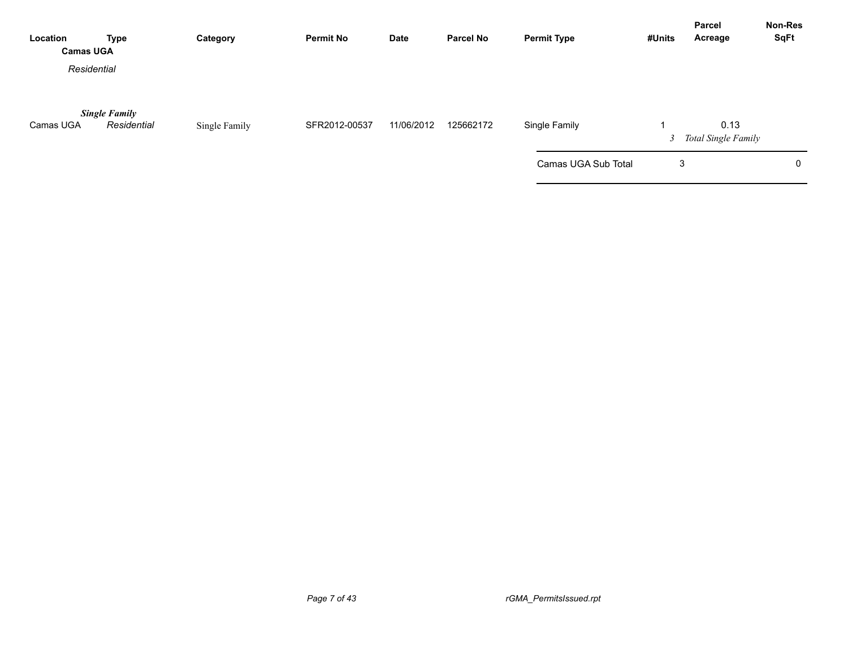| Location<br><b>Camas UGA</b> | <b>Type</b>                         | Category      | <b>Permit No</b> | Date       | <b>Parcel No</b> | <b>Permit Type</b>  | #Units | Parcel<br>Acreage             | <b>Non-Res</b><br><b>SqFt</b> |
|------------------------------|-------------------------------------|---------------|------------------|------------|------------------|---------------------|--------|-------------------------------|-------------------------------|
| Residential                  |                                     |               |                  |            |                  |                     |        |                               |                               |
| Camas UGA                    | <b>Single Family</b><br>Residential | Single Family | SFR2012-00537    | 11/06/2012 | 125662172        | Single Family       |        | 0.13<br>3 Total Single Family |                               |
|                              |                                     |               |                  |            |                  | Camas UGA Sub Total | 3      |                               | 0                             |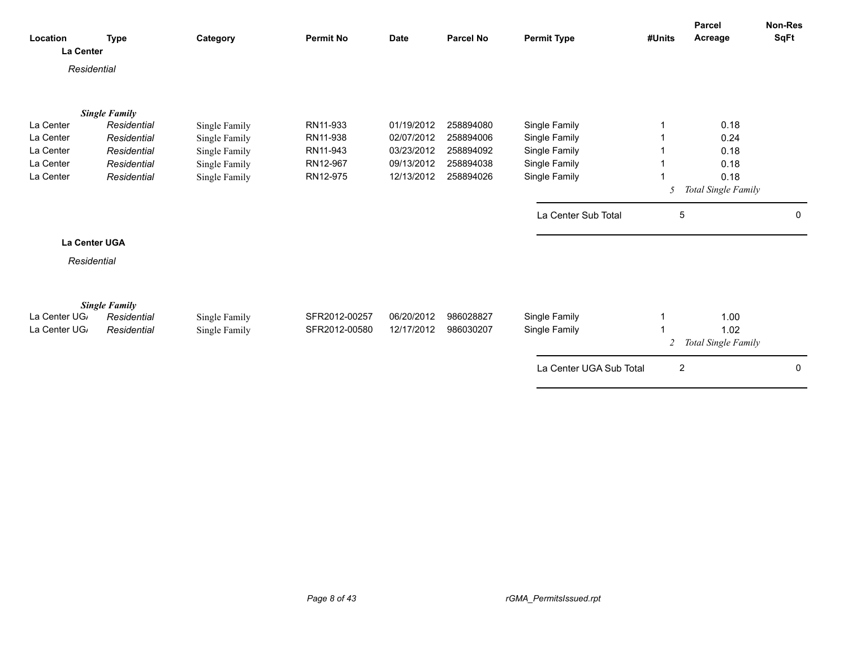| Location                              | <b>Type</b> | Category      | <b>Permit No</b> | <b>Date</b> | <b>Parcel No</b> | <b>Permit Type</b>      | #Units         | Parcel<br>Acreage   | Non-Res<br><b>SqFt</b> |
|---------------------------------------|-------------|---------------|------------------|-------------|------------------|-------------------------|----------------|---------------------|------------------------|
| <b>La Center</b><br>Residential       |             |               |                  |             |                  |                         |                |                     |                        |
|                                       |             |               |                  |             |                  |                         |                |                     |                        |
| <b>Single Family</b><br>La Center     | Residential | Single Family | RN11-933         | 01/19/2012  | 258894080        | Single Family           |                | 0.18                |                        |
| La Center                             | Residential | Single Family | RN11-938         | 02/07/2012  | 258894006        | Single Family           |                | 0.24                |                        |
| La Center                             | Residential | Single Family | RN11-943         | 03/23/2012  | 258894092        | Single Family           |                | 0.18                |                        |
| La Center                             | Residential | Single Family | RN12-967         | 09/13/2012  | 258894038        | Single Family           |                | 0.18                |                        |
| La Center                             | Residential | Single Family | RN12-975         | 12/13/2012  | 258894026        | Single Family           |                | 0.18                |                        |
|                                       |             |               |                  |             |                  |                         | 5              | Total Single Family |                        |
|                                       |             |               |                  |             |                  | La Center Sub Total     | 5              |                     | 0                      |
| <b>La Center UGA</b>                  |             |               |                  |             |                  |                         |                |                     |                        |
| Residential                           |             |               |                  |             |                  |                         |                |                     |                        |
|                                       |             |               |                  |             |                  |                         |                |                     |                        |
| <b>Single Family</b><br>La Center UG, | Residential | Single Family | SFR2012-00257    | 06/20/2012  | 986028827        | Single Family           |                | 1.00                |                        |
| La Center UG                          | Residential | Single Family | SFR2012-00580    | 12/17/2012  | 986030207        | Single Family           |                | 1.02                |                        |
|                                       |             |               |                  |             |                  |                         | 2              | Total Single Family |                        |
|                                       |             |               |                  |             |                  | La Center UGA Sub Total | $\overline{2}$ |                     | 0                      |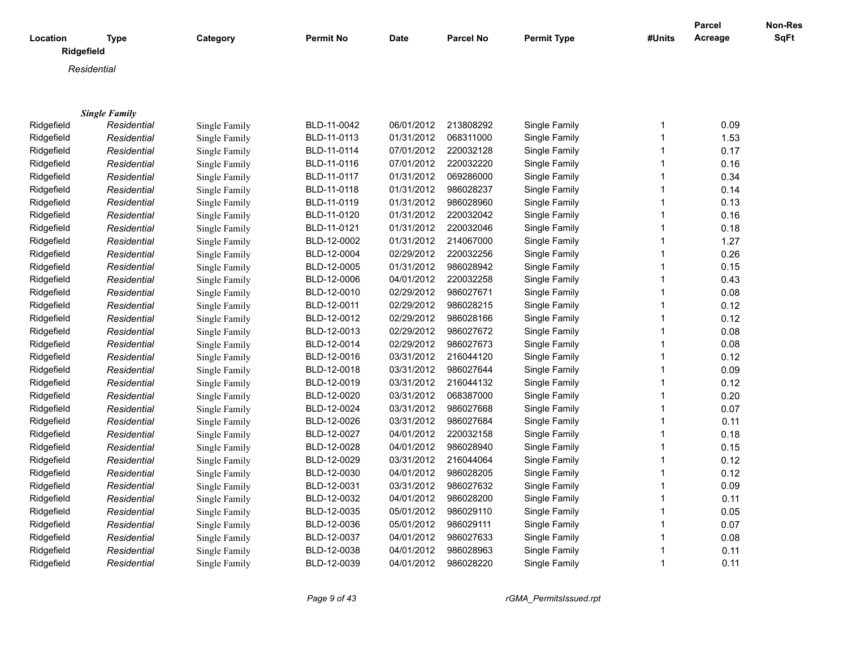|            |                           |               |                  |             |                  |                    |              | <b>Parcel</b> | Non-Res     |
|------------|---------------------------|---------------|------------------|-------------|------------------|--------------------|--------------|---------------|-------------|
| Location   | <b>Type</b><br>Ridgefield | Category      | <b>Permit No</b> | <b>Date</b> | <b>Parcel No</b> | <b>Permit Type</b> | #Units       | Acreage       | <b>SqFt</b> |
|            | Residential               |               |                  |             |                  |                    |              |               |             |
|            |                           |               |                  |             |                  |                    |              |               |             |
|            |                           |               |                  |             |                  |                    |              |               |             |
|            | <b>Single Family</b>      |               |                  |             |                  |                    |              |               |             |
| Ridgefield | Residential               | Single Family | BLD-11-0042      | 06/01/2012  | 213808292        | Single Family      | 1            | 0.09          |             |
| Ridgefield | Residential               | Single Family | BLD-11-0113      | 01/31/2012  | 068311000        | Single Family      | $\mathbf{1}$ | 1.53          |             |
| Ridgefield | Residential               | Single Family | BLD-11-0114      | 07/01/2012  | 220032128        | Single Family      | 1            | 0.17          |             |
| Ridgefield | Residential               | Single Family | BLD-11-0116      | 07/01/2012  | 220032220        | Single Family      | 1            | 0.16          |             |
| Ridgefield | Residential               | Single Family | BLD-11-0117      | 01/31/2012  | 069286000        | Single Family      | 1            | 0.34          |             |
| Ridgefield | Residential               | Single Family | BLD-11-0118      | 01/31/2012  | 986028237        | Single Family      | 1            | 0.14          |             |
| Ridgefield | Residential               | Single Family | BLD-11-0119      | 01/31/2012  | 986028960        | Single Family      | 1            | 0.13          |             |
| Ridgefield | Residential               | Single Family | BLD-11-0120      | 01/31/2012  | 220032042        | Single Family      | 1            | 0.16          |             |
| Ridgefield | Residential               | Single Family | BLD-11-0121      | 01/31/2012  | 220032046        | Single Family      | 1            | 0.18          |             |
| Ridgefield | Residential               | Single Family | BLD-12-0002      | 01/31/2012  | 214067000        | Single Family      | $\mathbf{1}$ | 1.27          |             |
| Ridgefield | Residential               | Single Family | BLD-12-0004      | 02/29/2012  | 220032256        | Single Family      | $\mathbf{1}$ | 0.26          |             |
| Ridgefield | Residential               | Single Family | BLD-12-0005      | 01/31/2012  | 986028942        | Single Family      | $\mathbf{1}$ | 0.15          |             |
| Ridgefield | Residential               | Single Family | BLD-12-0006      | 04/01/2012  | 220032258        | Single Family      | $\mathbf{1}$ | 0.43          |             |
| Ridgefield | Residential               | Single Family | BLD-12-0010      | 02/29/2012  | 986027671        | Single Family      | $\mathbf{1}$ | 0.08          |             |
| Ridgefield | Residential               | Single Family | BLD-12-0011      | 02/29/2012  | 986028215        | Single Family      | $\mathbf{1}$ | 0.12          |             |
| Ridgefield | Residential               | Single Family | BLD-12-0012      | 02/29/2012  | 986028166        | Single Family      | $\mathbf{1}$ | 0.12          |             |
| Ridgefield | Residential               | Single Family | BLD-12-0013      | 02/29/2012  | 986027672        | Single Family      | $\mathbf{1}$ | 0.08          |             |
| Ridgefield | Residential               | Single Family | BLD-12-0014      | 02/29/2012  | 986027673        | Single Family      | $\mathbf{1}$ | 0.08          |             |
| Ridgefield | Residential               | Single Family | BLD-12-0016      | 03/31/2012  | 216044120        | Single Family      | $\mathbf{1}$ | 0.12          |             |
| Ridgefield | Residential               | Single Family | BLD-12-0018      | 03/31/2012  | 986027644        | Single Family      | $\mathbf{1}$ | 0.09          |             |
| Ridgefield | Residential               | Single Family | BLD-12-0019      | 03/31/2012  | 216044132        | Single Family      | $\mathbf{1}$ | 0.12          |             |
| Ridgefield | Residential               | Single Family | BLD-12-0020      | 03/31/2012  | 068387000        | Single Family      | $\mathbf{1}$ | 0.20          |             |
| Ridgefield | Residential               | Single Family | BLD-12-0024      | 03/31/2012  | 986027668        | Single Family      | $\mathbf{1}$ | 0.07          |             |
| Ridgefield | Residential               | Single Family | BLD-12-0026      | 03/31/2012  | 986027684        | Single Family      | $\mathbf{1}$ | 0.11          |             |
| Ridgefield | Residential               | Single Family | BLD-12-0027      | 04/01/2012  | 220032158        | Single Family      | $\mathbf{1}$ | 0.18          |             |
| Ridgefield | Residential               | Single Family | BLD-12-0028      | 04/01/2012  | 986028940        | Single Family      | $\mathbf{1}$ | 0.15          |             |
| Ridgefield | Residential               | Single Family | BLD-12-0029      | 03/31/2012  | 216044064        | Single Family      | $\mathbf{1}$ | 0.12          |             |
| Ridgefield | Residential               | Single Family | BLD-12-0030      | 04/01/2012  | 986028205        | Single Family      | $\mathbf{1}$ | 0.12          |             |
| Ridgefield | Residential               | Single Family | BLD-12-0031      | 03/31/2012  | 986027632        | Single Family      | $\mathbf{1}$ | 0.09          |             |
| Ridgefield | Residential               | Single Family | BLD-12-0032      | 04/01/2012  | 986028200        | Single Family      | $\mathbf{1}$ | 0.11          |             |
| Ridgefield | Residential               | Single Family | BLD-12-0035      | 05/01/2012  | 986029110        | Single Family      | $\mathbf{1}$ | 0.05          |             |
| Ridgefield | Residential               | Single Family | BLD-12-0036      | 05/01/2012  | 986029111        | Single Family      | $\mathbf{1}$ | 0.07          |             |
| Ridgefield | Residential               | Single Family | BLD-12-0037      | 04/01/2012  | 986027633        | Single Family      | $\mathbf 1$  | 0.08          |             |
| Ridgefield | Residential               | Single Family | BLD-12-0038      | 04/01/2012  | 986028963        | Single Family      | $\mathbf 1$  | 0.11          |             |
| Ridgefield | Residential               | Single Family | BLD-12-0039      | 04/01/2012  | 986028220        | Single Family      | $\mathbf 1$  | 0.11          |             |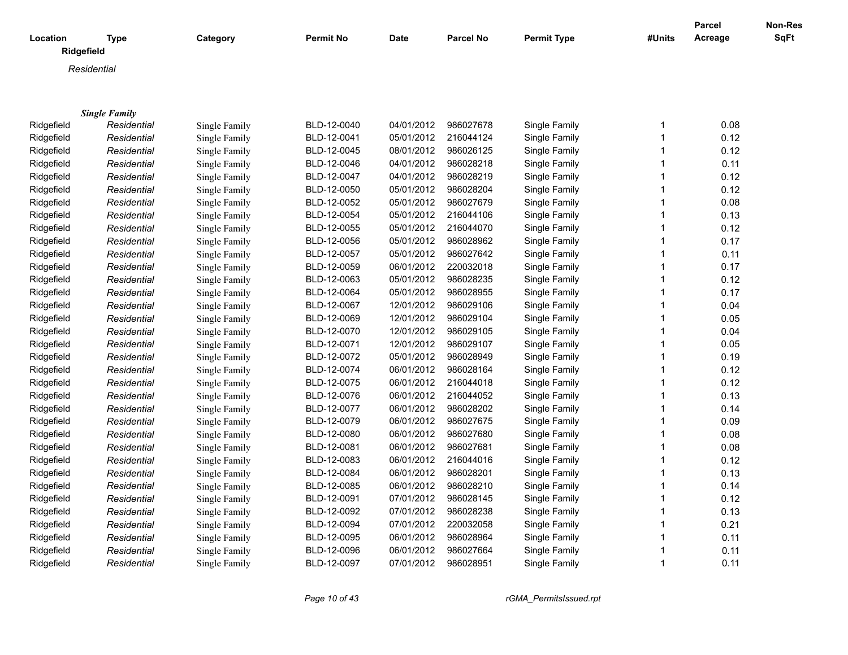|                        |                      |               |                  |             |                  |                    |              | <b>Parcel</b> | <b>Non-Res</b> |
|------------------------|----------------------|---------------|------------------|-------------|------------------|--------------------|--------------|---------------|----------------|
| Location<br>Ridgefield | <b>Type</b>          | Category      | <b>Permit No</b> | <b>Date</b> | <b>Parcel No</b> | <b>Permit Type</b> | #Units       | Acreage       | <b>SqFt</b>    |
|                        | Residential          |               |                  |             |                  |                    |              |               |                |
|                        |                      |               |                  |             |                  |                    |              |               |                |
|                        |                      |               |                  |             |                  |                    |              |               |                |
|                        | <b>Single Family</b> |               |                  |             |                  |                    |              |               |                |
| Ridgefield             | Residential          | Single Family | BLD-12-0040      | 04/01/2012  | 986027678        | Single Family      | 1            | 0.08          |                |
| Ridgefield             | Residential          | Single Family | BLD-12-0041      | 05/01/2012  | 216044124        | Single Family      | $\mathbf{1}$ | 0.12          |                |
| Ridgefield             | Residential          | Single Family | BLD-12-0045      | 08/01/2012  | 986026125        | Single Family      | 1            | 0.12          |                |
| Ridgefield             | Residential          | Single Family | BLD-12-0046      | 04/01/2012  | 986028218        | Single Family      | $\mathbf{1}$ | 0.11          |                |
| Ridgefield             | Residential          | Single Family | BLD-12-0047      | 04/01/2012  | 986028219        | Single Family      | 1            | 0.12          |                |
| Ridgefield             | Residential          | Single Family | BLD-12-0050      | 05/01/2012  | 986028204        | Single Family      | 1            | 0.12          |                |
| Ridgefield             | Residential          | Single Family | BLD-12-0052      | 05/01/2012  | 986027679        | Single Family      | 1            | 0.08          |                |
| Ridgefield             | Residential          | Single Family | BLD-12-0054      | 05/01/2012  | 216044106        | Single Family      | 1            | 0.13          |                |
| Ridgefield             | Residential          | Single Family | BLD-12-0055      | 05/01/2012  | 216044070        | Single Family      | 1            | 0.12          |                |
| Ridgefield             | Residential          | Single Family | BLD-12-0056      | 05/01/2012  | 986028962        | Single Family      | 1            | 0.17          |                |
| Ridgefield             | Residential          | Single Family | BLD-12-0057      | 05/01/2012  | 986027642        | Single Family      | 1            | 0.11          |                |
| Ridgefield             | Residential          | Single Family | BLD-12-0059      | 06/01/2012  | 220032018        | Single Family      | 1            | 0.17          |                |
| Ridgefield             | Residential          | Single Family | BLD-12-0063      | 05/01/2012  | 986028235        | Single Family      | 1            | 0.12          |                |
| Ridgefield             | Residential          | Single Family | BLD-12-0064      | 05/01/2012  | 986028955        | Single Family      | 1            | 0.17          |                |
| Ridgefield             | Residential          | Single Family | BLD-12-0067      | 12/01/2012  | 986029106        | Single Family      | 1            | 0.04          |                |
| Ridgefield             | Residential          | Single Family | BLD-12-0069      | 12/01/2012  | 986029104        | Single Family      | 1            | 0.05          |                |
| Ridgefield             | Residential          | Single Family | BLD-12-0070      | 12/01/2012  | 986029105        | Single Family      | 1            | 0.04          |                |
| Ridgefield             | Residential          | Single Family | BLD-12-0071      | 12/01/2012  | 986029107        | Single Family      | 1            | 0.05          |                |
| Ridgefield             | Residential          | Single Family | BLD-12-0072      | 05/01/2012  | 986028949        | Single Family      | 1            | 0.19          |                |
| Ridgefield             | Residential          | Single Family | BLD-12-0074      | 06/01/2012  | 986028164        | Single Family      | 1            | 0.12          |                |
| Ridgefield             | Residential          | Single Family | BLD-12-0075      | 06/01/2012  | 216044018        | Single Family      | 1            | 0.12          |                |
| Ridgefield             | Residential          | Single Family | BLD-12-0076      | 06/01/2012  | 216044052        | Single Family      | 1            | 0.13          |                |
| Ridgefield             | Residential          | Single Family | BLD-12-0077      | 06/01/2012  | 986028202        | Single Family      | 1            | 0.14          |                |
| Ridgefield             | Residential          | Single Family | BLD-12-0079      | 06/01/2012  | 986027675        | Single Family      | 1            | 0.09          |                |
| Ridgefield             | Residential          | Single Family | BLD-12-0080      | 06/01/2012  | 986027680        | Single Family      | $\mathbf{1}$ | 0.08          |                |
| Ridgefield             | Residential          | Single Family | BLD-12-0081      | 06/01/2012  | 986027681        | Single Family      | 1            | 0.08          |                |
| Ridgefield             | Residential          | Single Family | BLD-12-0083      | 06/01/2012  | 216044016        | Single Family      | 1            | 0.12          |                |
| Ridgefield             | Residential          | Single Family | BLD-12-0084      | 06/01/2012  | 986028201        | Single Family      | 1            | 0.13          |                |
| Ridgefield             | Residential          | Single Family | BLD-12-0085      | 06/01/2012  | 986028210        | Single Family      | 1            | 0.14          |                |
| Ridgefield             | Residential          | Single Family | BLD-12-0091      | 07/01/2012  | 986028145        | Single Family      | 1            | 0.12          |                |
| Ridgefield             | Residential          | Single Family | BLD-12-0092      | 07/01/2012  | 986028238        | Single Family      | 1            | 0.13          |                |
| Ridgefield             | Residential          | Single Family | BLD-12-0094      | 07/01/2012  | 220032058        | Single Family      | 1            | 0.21          |                |
| Ridgefield             | Residential          | Single Family | BLD-12-0095      | 06/01/2012  | 986028964        | Single Family      | 1            | 0.11          |                |
| Ridgefield             | Residential          | Single Family | BLD-12-0096      | 06/01/2012  | 986027664        | Single Family      | 1            | 0.11          |                |
| Ridgefield             | Residential          | Single Family | BLD-12-0097      | 07/01/2012  | 986028951        | Single Family      | 1            | 0.11          |                |

*Page 10 of 43 rGMA\_PermitsIssued.rpt*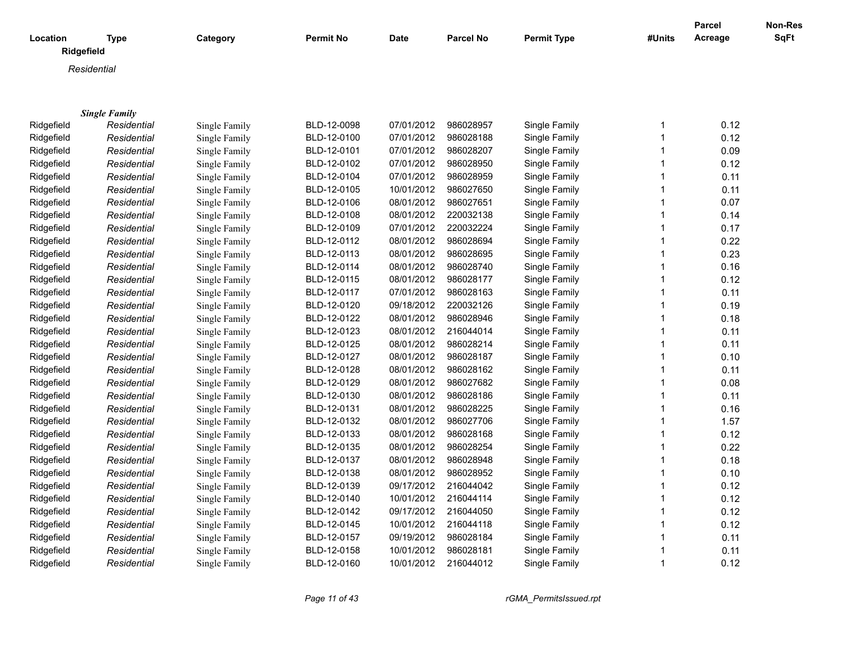| Location   | <b>Type</b><br>Ridgefield | Category      | Permit No   | <b>Date</b> | <b>Parcel No</b> | <b>Permit Type</b> | #Units       | <b>Parcel</b><br>Acreage | Non-Res<br><b>SqFt</b> |
|------------|---------------------------|---------------|-------------|-------------|------------------|--------------------|--------------|--------------------------|------------------------|
|            |                           |               |             |             |                  |                    |              |                          |                        |
|            | Residential               |               |             |             |                  |                    |              |                          |                        |
|            |                           |               |             |             |                  |                    |              |                          |                        |
|            | <b>Single Family</b>      |               |             |             |                  |                    |              |                          |                        |
| Ridgefield | Residential               | Single Family | BLD-12-0098 | 07/01/2012  | 986028957        | Single Family      | $\mathbf{1}$ | 0.12                     |                        |
| Ridgefield | Residential               | Single Family | BLD-12-0100 | 07/01/2012  | 986028188        | Single Family      | $\mathbf{1}$ | 0.12                     |                        |
| Ridgefield | Residential               | Single Family | BLD-12-0101 | 07/01/2012  | 986028207        | Single Family      | $\mathbf{1}$ | 0.09                     |                        |
| Ridgefield | Residential               | Single Family | BLD-12-0102 | 07/01/2012  | 986028950        | Single Family      | $\mathbf{1}$ | 0.12                     |                        |
| Ridgefield | Residential               | Single Family | BLD-12-0104 | 07/01/2012  | 986028959        | Single Family      | $\mathbf{1}$ | 0.11                     |                        |
| Ridgefield | Residential               | Single Family | BLD-12-0105 | 10/01/2012  | 986027650        | Single Family      | $\mathbf{1}$ | 0.11                     |                        |
| Ridgefield | Residential               | Single Family | BLD-12-0106 | 08/01/2012  | 986027651        | Single Family      | $\mathbf{1}$ | 0.07                     |                        |
| Ridgefield | Residential               | Single Family | BLD-12-0108 | 08/01/2012  | 220032138        | Single Family      | $\mathbf{1}$ | 0.14                     |                        |
| Ridgefield | Residential               | Single Family | BLD-12-0109 | 07/01/2012  | 220032224        | Single Family      | $\mathbf{1}$ | 0.17                     |                        |
| Ridgefield | Residential               | Single Family | BLD-12-0112 | 08/01/2012  | 986028694        | Single Family      | $\mathbf{1}$ | 0.22                     |                        |
| Ridgefield | Residential               | Single Family | BLD-12-0113 | 08/01/2012  | 986028695        | Single Family      | $\mathbf{1}$ | 0.23                     |                        |
| Ridgefield | Residential               | Single Family | BLD-12-0114 | 08/01/2012  | 986028740        | Single Family      | $\mathbf{1}$ | 0.16                     |                        |
| Ridgefield | Residential               | Single Family | BLD-12-0115 | 08/01/2012  | 986028177        | Single Family      | $\mathbf{1}$ | 0.12                     |                        |
| Ridgefield | Residential               | Single Family | BLD-12-0117 | 07/01/2012  | 986028163        | Single Family      | $\mathbf{1}$ | 0.11                     |                        |
| Ridgefield | Residential               | Single Family | BLD-12-0120 | 09/18/2012  | 220032126        | Single Family      | $\mathbf{1}$ | 0.19                     |                        |
| Ridgefield | Residential               | Single Family | BLD-12-0122 | 08/01/2012  | 986028946        | Single Family      | $\mathbf{1}$ | 0.18                     |                        |
| Ridgefield | Residential               | Single Family | BLD-12-0123 | 08/01/2012  | 216044014        | Single Family      | $\mathbf{1}$ | 0.11                     |                        |
| Ridgefield | Residential               | Single Family | BLD-12-0125 | 08/01/2012  | 986028214        | Single Family      | $\mathbf{1}$ | 0.11                     |                        |
| Ridgefield | Residential               | Single Family | BLD-12-0127 | 08/01/2012  | 986028187        | Single Family      | $\mathbf{1}$ | 0.10                     |                        |
| Ridgefield | Residential               | Single Family | BLD-12-0128 | 08/01/2012  | 986028162        | Single Family      | $\mathbf{1}$ | 0.11                     |                        |
| Ridgefield | Residential               | Single Family | BLD-12-0129 | 08/01/2012  | 986027682        | Single Family      | $\mathbf{1}$ | 0.08                     |                        |
| Ridgefield | Residential               | Single Family | BLD-12-0130 | 08/01/2012  | 986028186        | Single Family      | $\mathbf{1}$ | 0.11                     |                        |
| Ridgefield | Residential               | Single Family | BLD-12-0131 | 08/01/2012  | 986028225        | Single Family      | $\mathbf{1}$ | 0.16                     |                        |
| Ridgefield | Residential               | Single Family | BLD-12-0132 | 08/01/2012  | 986027706        | Single Family      | $\mathbf{1}$ | 1.57                     |                        |
| Ridgefield | Residential               | Single Family | BLD-12-0133 | 08/01/2012  | 986028168        | Single Family      | $\mathbf{1}$ | 0.12                     |                        |
| Ridgefield | Residential               | Single Family | BLD-12-0135 | 08/01/2012  | 986028254        | Single Family      | $\mathbf{1}$ | 0.22                     |                        |
| Ridgefield | Residential               | Single Family | BLD-12-0137 | 08/01/2012  | 986028948        | Single Family      | $\mathbf{1}$ | 0.18                     |                        |
| Ridgefield | Residential               | Single Family | BLD-12-0138 | 08/01/2012  | 986028952        | Single Family      | $\mathbf{1}$ | 0.10                     |                        |
| Ridgefield | Residential               | Single Family | BLD-12-0139 | 09/17/2012  | 216044042        | Single Family      | $\mathbf{1}$ | 0.12                     |                        |
| Ridgefield | Residential               | Single Family | BLD-12-0140 | 10/01/2012  | 216044114        | Single Family      | $\mathbf{1}$ | 0.12                     |                        |
| Ridgefield | Residential               | Single Family | BLD-12-0142 | 09/17/2012  | 216044050        | Single Family      | $\mathbf{1}$ | 0.12                     |                        |
| Ridgefield | Residential               | Single Family | BLD-12-0145 | 10/01/2012  | 216044118        | Single Family      | $\mathbf{1}$ | 0.12                     |                        |
| Ridgefield | Residential               | Single Family | BLD-12-0157 | 09/19/2012  | 986028184        | Single Family      | $\mathbf{1}$ | 0.11                     |                        |
| Ridgefield | Residential               | Single Family | BLD-12-0158 | 10/01/2012  | 986028181        | Single Family      | $\mathbf{1}$ | 0.11                     |                        |
| Ridgefield | Residential               | Single Family | BLD-12-0160 | 10/01/2012  | 216044012        | Single Family      | $\mathbf{1}$ | 0.12                     |                        |

Residential **Single Family BLD-12-0160** 10/01/2012 216044012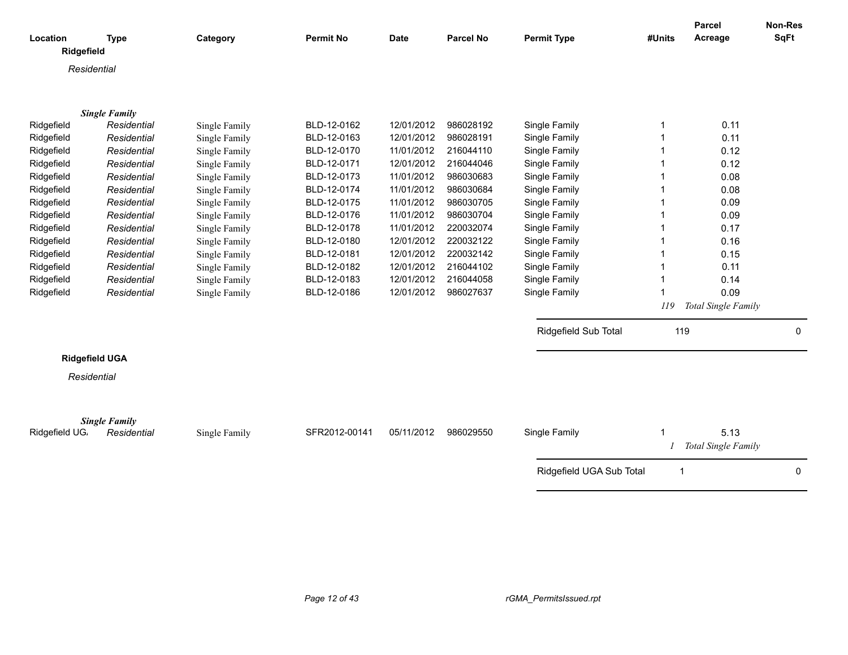| Location       | <b>Type</b>                         | Category      | <b>Permit No</b> | <b>Date</b> | <b>Parcel No</b> | <b>Permit Type</b>       | #Units       | Parcel<br>Acreage   | Non-Res<br>SqFt |
|----------------|-------------------------------------|---------------|------------------|-------------|------------------|--------------------------|--------------|---------------------|-----------------|
| Ridgefield     |                                     |               |                  |             |                  |                          |              |                     |                 |
|                | Residential                         |               |                  |             |                  |                          |              |                     |                 |
|                |                                     |               |                  |             |                  |                          |              |                     |                 |
|                | <b>Single Family</b>                |               |                  |             |                  |                          |              |                     |                 |
| Ridgefield     | Residential                         | Single Family | BLD-12-0162      | 12/01/2012  | 986028192        | Single Family            |              | 0.11                |                 |
| Ridgefield     | Residential                         | Single Family | BLD-12-0163      | 12/01/2012  | 986028191        | Single Family            |              | 0.11                |                 |
| Ridgefield     | Residential                         | Single Family | BLD-12-0170      | 11/01/2012  | 216044110        | Single Family            |              | 0.12                |                 |
| Ridgefield     | Residential                         | Single Family | BLD-12-0171      | 12/01/2012  | 216044046        | Single Family            |              | 0.12                |                 |
| Ridgefield     | Residential                         | Single Family | BLD-12-0173      | 11/01/2012  | 986030683        | Single Family            |              | 0.08                |                 |
| Ridgefield     | Residential                         | Single Family | BLD-12-0174      | 11/01/2012  | 986030684        | Single Family            |              | 0.08                |                 |
| Ridgefield     | Residential                         | Single Family | BLD-12-0175      | 11/01/2012  | 986030705        | Single Family            |              | 0.09                |                 |
| Ridgefield     | Residential                         | Single Family | BLD-12-0176      | 11/01/2012  | 986030704        | Single Family            |              | 0.09                |                 |
| Ridgefield     | Residential                         | Single Family | BLD-12-0178      | 11/01/2012  | 220032074        | Single Family            |              | 0.17                |                 |
| Ridgefield     | Residential                         | Single Family | BLD-12-0180      | 12/01/2012  | 220032122        | Single Family            |              | 0.16                |                 |
| Ridgefield     | Residential                         | Single Family | BLD-12-0181      | 12/01/2012  | 220032142        | Single Family            |              | 0.15                |                 |
| Ridgefield     | Residential                         | Single Family | BLD-12-0182      | 12/01/2012  | 216044102        | Single Family            |              | 0.11                |                 |
| Ridgefield     | Residential                         | Single Family | BLD-12-0183      | 12/01/2012  | 216044058        | Single Family            |              | 0.14                |                 |
| Ridgefield     | Residential                         | Single Family | BLD-12-0186      | 12/01/2012  | 986027637        | Single Family            |              | 0.09                |                 |
|                |                                     |               |                  |             |                  |                          | 119          | Total Single Family |                 |
|                |                                     |               |                  |             |                  | Ridgefield Sub Total     | 119          |                     | 0               |
|                | <b>Ridgefield UGA</b>               |               |                  |             |                  |                          |              |                     |                 |
|                | Residential                         |               |                  |             |                  |                          |              |                     |                 |
|                |                                     |               |                  |             |                  |                          |              |                     |                 |
|                |                                     |               |                  |             |                  |                          |              |                     |                 |
| Ridgefield UG. | <b>Single Family</b><br>Residential | Single Family | SFR2012-00141    | 05/11/2012  | 986029550        | Single Family            |              | 5.13                |                 |
|                |                                     |               |                  |             |                  |                          |              | Total Single Family |                 |
|                |                                     |               |                  |             |                  | Ridgefield UGA Sub Total | $\mathbf{1}$ |                     | 0               |
|                |                                     |               |                  |             |                  |                          |              |                     |                 |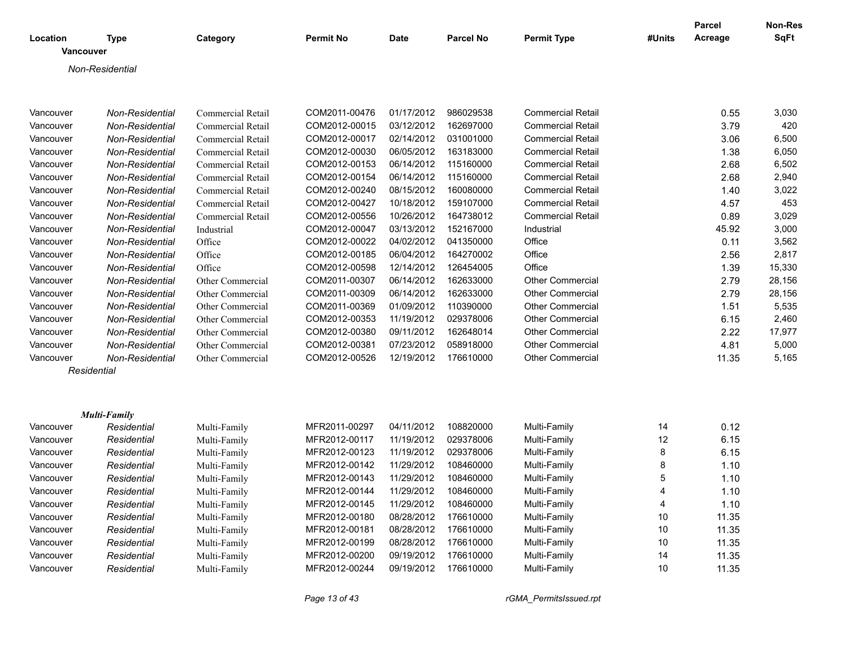| Location  |                        | Category                 | <b>Permit No</b> | <b>Date</b> | <b>Parcel No</b> | <b>Permit Type</b>       | #Units         | <b>Parcel</b><br>Acreage | Non-Res<br><b>SqFt</b> |
|-----------|------------------------|--------------------------|------------------|-------------|------------------|--------------------------|----------------|--------------------------|------------------------|
| Vancouver | <b>Type</b>            |                          |                  |             |                  |                          |                |                          |                        |
|           | Non-Residential        |                          |                  |             |                  |                          |                |                          |                        |
|           |                        |                          |                  |             |                  |                          |                |                          |                        |
| Vancouver | Non-Residential        | <b>Commercial Retail</b> | COM2011-00476    | 01/17/2012  | 986029538        | <b>Commercial Retail</b> |                | 0.55                     | 3,030                  |
| Vancouver | Non-Residential        | Commercial Retail        | COM2012-00015    | 03/12/2012  | 162697000        | <b>Commercial Retail</b> |                | 3.79                     | 420                    |
| Vancouver | Non-Residential        | Commercial Retail        | COM2012-00017    | 02/14/2012  | 031001000        | <b>Commercial Retail</b> |                | 3.06                     | 6,500                  |
| Vancouver | Non-Residential        | Commercial Retail        | COM2012-00030    | 06/05/2012  | 163183000        | <b>Commercial Retail</b> |                | 1.38                     | 6,050                  |
| Vancouver | <b>Non-Residential</b> | Commercial Retail        | COM2012-00153    | 06/14/2012  | 115160000        | <b>Commercial Retail</b> |                | 2.68                     | 6,502                  |
| Vancouver | Non-Residential        | Commercial Retail        | COM2012-00154    | 06/14/2012  | 115160000        | <b>Commercial Retail</b> |                | 2.68                     | 2,940                  |
| Vancouver | <b>Non-Residential</b> | Commercial Retail        | COM2012-00240    | 08/15/2012  | 160080000        | <b>Commercial Retail</b> |                | 1.40                     | 3,022                  |
| Vancouver | Non-Residential        | Commercial Retail        | COM2012-00427    | 10/18/2012  | 159107000        | <b>Commercial Retail</b> |                | 4.57                     | 453                    |
| Vancouver | Non-Residential        | Commercial Retail        | COM2012-00556    | 10/26/2012  | 164738012        | Commercial Retail        |                | 0.89                     | 3,029                  |
| Vancouver | Non-Residential        | Industrial               | COM2012-00047    | 03/13/2012  | 152167000        | Industrial               |                | 45.92                    | 3,000                  |
| Vancouver | Non-Residential        | Office                   | COM2012-00022    | 04/02/2012  | 041350000        | Office                   |                | 0.11                     | 3,562                  |
| Vancouver | Non-Residential        | Office                   | COM2012-00185    | 06/04/2012  | 164270002        | Office                   |                | 2.56                     | 2,817                  |
| Vancouver | <b>Non-Residential</b> | Office                   | COM2012-00598    | 12/14/2012  | 126454005        | Office                   |                | 1.39                     | 15,330                 |
| Vancouver | Non-Residential        | Other Commercial         | COM2011-00307    | 06/14/2012  | 162633000        | <b>Other Commercial</b>  |                | 2.79                     | 28,156                 |
| Vancouver | Non-Residential        | Other Commercial         | COM2011-00309    | 06/14/2012  | 162633000        | <b>Other Commercial</b>  |                | 2.79                     | 28,156                 |
| Vancouver | Non-Residential        | Other Commercial         | COM2011-00369    | 01/09/2012  | 110390000        | <b>Other Commercial</b>  |                | 1.51                     | 5,535                  |
| Vancouver | Non-Residential        | Other Commercial         | COM2012-00353    | 11/19/2012  | 029378006        | <b>Other Commercial</b>  |                | 6.15                     | 2,460                  |
| Vancouver | Non-Residential        | Other Commercial         | COM2012-00380    | 09/11/2012  | 162648014        | <b>Other Commercial</b>  |                | 2.22                     | 17,977                 |
| Vancouver | Non-Residential        | Other Commercial         | COM2012-00381    | 07/23/2012  | 058918000        | Other Commercial         |                | 4.81                     | 5,000                  |
| Vancouver | Non-Residential        | Other Commercial         | COM2012-00526    | 12/19/2012  | 176610000        | <b>Other Commercial</b>  |                | 11.35                    | 5,165                  |
|           | Residential            |                          |                  |             |                  |                          |                |                          |                        |
|           |                        |                          |                  |             |                  |                          |                |                          |                        |
|           | <b>Multi-Family</b>    |                          |                  |             |                  |                          |                |                          |                        |
| Vancouver | Residential            | Multi-Family             | MFR2011-00297    | 04/11/2012  | 108820000        | Multi-Family             | 14             | 0.12                     |                        |
| Vancouver | Residential            | Multi-Family             | MFR2012-00117    | 11/19/2012  | 029378006        | Multi-Family             | 12             | 6.15                     |                        |
| Vancouver | Residential            | Multi-Family             | MFR2012-00123    | 11/19/2012  | 029378006        | Multi-Family             | 8              | 6.15                     |                        |
| Vancouver | Residential            | Multi-Family             | MFR2012-00142    | 11/29/2012  | 108460000        | Multi-Family             | 8              | 1.10                     |                        |
| Vancouver | Residential            | Multi-Family             | MFR2012-00143    | 11/29/2012  | 108460000        | Multi-Family             | 5              | 1.10                     |                        |
| Vancouver | Residential            | Multi-Family             | MFR2012-00144    | 11/29/2012  | 108460000        | Multi-Family             | $\overline{4}$ | 1.10                     |                        |
| Vancouver | Residential            | Multi-Family             | MFR2012-00145    | 11/29/2012  | 108460000        | Multi-Family             | 4              | 1.10                     |                        |
| Vancouver | Residential            | Multi-Family             | MFR2012-00180    | 08/28/2012  | 176610000        | Multi-Family             | 10             | 11.35                    |                        |
| Vancouver | Residential            | Multi-Family             | MFR2012-00181    | 08/28/2012  | 176610000        | Multi-Family             | 10             | 11.35                    |                        |
| Vancouver | Residential            | Multi-Family             | MFR2012-00199    | 08/28/2012  | 176610000        | Multi-Family             | 10             | 11.35                    |                        |
| Vancouver | Residential            | Multi-Family             | MFR2012-00200    | 09/19/2012  | 176610000        | Multi-Family             | 14             | 11.35                    |                        |
| Vancouver | Residential            | Multi-Family             | MFR2012-00244    | 09/19/2012  | 176610000        | Multi-Family             | 10             | 11.35                    |                        |

*Page 13 of 43 rGMA\_PermitsIssued.rpt*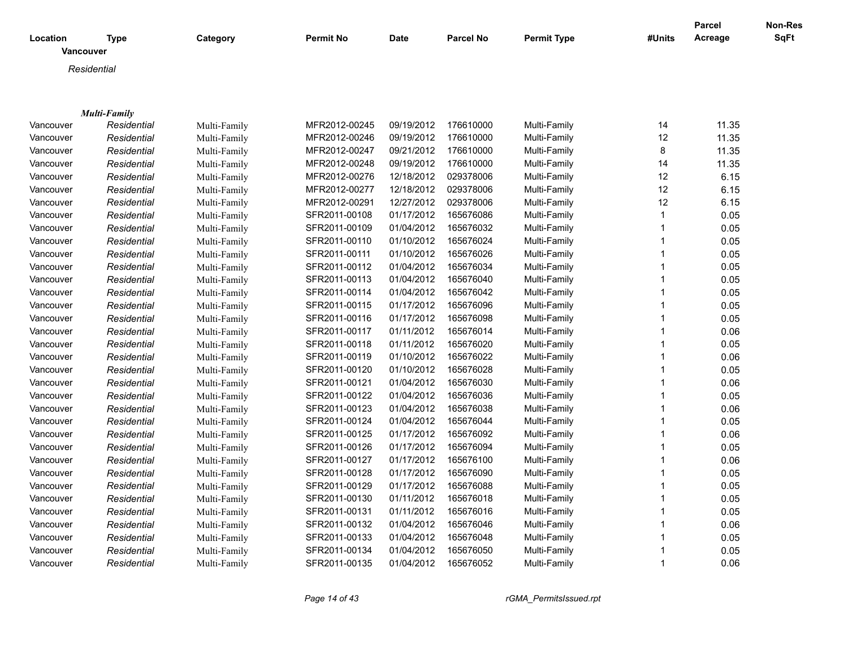| Location  | <b>Type</b>         | Category     | <b>Permit No</b> | <b>Date</b> | <b>Parcel No</b> | <b>Permit Type</b> | #Units       | <b>Parcel</b><br>Acreage | Non-Res<br>SqFt |
|-----------|---------------------|--------------|------------------|-------------|------------------|--------------------|--------------|--------------------------|-----------------|
| Vancouver |                     |              |                  |             |                  |                    |              |                          |                 |
|           | Residential         |              |                  |             |                  |                    |              |                          |                 |
|           |                     |              |                  |             |                  |                    |              |                          |                 |
|           |                     |              |                  |             |                  |                    |              |                          |                 |
|           | <b>Multi-Family</b> |              |                  |             |                  |                    |              |                          |                 |
| Vancouver | Residential         | Multi-Family | MFR2012-00245    | 09/19/2012  | 176610000        | Multi-Family       | 14           | 11.35                    |                 |
| Vancouver | Residential         | Multi-Family | MFR2012-00246    | 09/19/2012  | 176610000        | Multi-Family       | 12           | 11.35                    |                 |
| Vancouver | Residential         | Multi-Family | MFR2012-00247    | 09/21/2012  | 176610000        | Multi-Family       | 8            | 11.35                    |                 |
| Vancouver | Residential         | Multi-Family | MFR2012-00248    | 09/19/2012  | 176610000        | Multi-Family       | 14           | 11.35                    |                 |
| Vancouver | Residential         | Multi-Family | MFR2012-00276    | 12/18/2012  | 029378006        | Multi-Family       | 12           | 6.15                     |                 |
| Vancouver | Residential         | Multi-Family | MFR2012-00277    | 12/18/2012  | 029378006        | Multi-Family       | 12           | 6.15                     |                 |
| Vancouver | Residential         | Multi-Family | MFR2012-00291    | 12/27/2012  | 029378006        | Multi-Family       | 12           | 6.15                     |                 |
| Vancouver | Residential         | Multi-Family | SFR2011-00108    | 01/17/2012  | 165676086        | Multi-Family       | $\mathbf{1}$ | 0.05                     |                 |
| Vancouver | Residential         | Multi-Family | SFR2011-00109    | 01/04/2012  | 165676032        | Multi-Family       | -1           | 0.05                     |                 |
| Vancouver | Residential         | Multi-Family | SFR2011-00110    | 01/10/2012  | 165676024        | Multi-Family       | 1            | 0.05                     |                 |
| Vancouver | Residential         | Multi-Family | SFR2011-00111    | 01/10/2012  | 165676026        | Multi-Family       | 1            | 0.05                     |                 |
| Vancouver | Residential         | Multi-Family | SFR2011-00112    | 01/04/2012  | 165676034        | Multi-Family       |              | 0.05                     |                 |
| Vancouver | Residential         | Multi-Family | SFR2011-00113    | 01/04/2012  | 165676040        | Multi-Family       |              | 0.05                     |                 |
| Vancouver | Residential         | Multi-Family | SFR2011-00114    | 01/04/2012  | 165676042        | Multi-Family       |              | 0.05                     |                 |
| Vancouver | Residential         | Multi-Family | SFR2011-00115    | 01/17/2012  | 165676096        | Multi-Family       | 1            | 0.05                     |                 |
| Vancouver | Residential         | Multi-Family | SFR2011-00116    | 01/17/2012  | 165676098        | Multi-Family       |              | 0.05                     |                 |
| Vancouver | Residential         | Multi-Family | SFR2011-00117    | 01/11/2012  | 165676014        | Multi-Family       | 1            | 0.06                     |                 |
| Vancouver | Residential         | Multi-Family | SFR2011-00118    | 01/11/2012  | 165676020        | Multi-Family       |              | 0.05                     |                 |
| Vancouver | Residential         | Multi-Family | SFR2011-00119    | 01/10/2012  | 165676022        | Multi-Family       | $\mathbf{1}$ | 0.06                     |                 |
| Vancouver | Residential         | Multi-Family | SFR2011-00120    | 01/10/2012  | 165676028        | Multi-Family       | $\mathbf 1$  | 0.05                     |                 |
| Vancouver | Residential         | Multi-Family | SFR2011-00121    | 01/04/2012  | 165676030        | Multi-Family       | $\mathbf 1$  | 0.06                     |                 |
| Vancouver | Residential         | Multi-Family | SFR2011-00122    | 01/04/2012  | 165676036        | Multi-Family       | 1            | 0.05                     |                 |
| Vancouver | Residential         | Multi-Family | SFR2011-00123    | 01/04/2012  | 165676038        | Multi-Family       | $\mathbf{1}$ | 0.06                     |                 |
| Vancouver | Residential         | Multi-Family | SFR2011-00124    | 01/04/2012  | 165676044        | Multi-Family       |              | 0.05                     |                 |
| Vancouver | Residential         | Multi-Family | SFR2011-00125    | 01/17/2012  | 165676092        | Multi-Family       | $\mathbf{1}$ | 0.06                     |                 |
| Vancouver | Residential         | Multi-Family | SFR2011-00126    | 01/17/2012  | 165676094        | Multi-Family       | $\mathbf 1$  | 0.05                     |                 |
| Vancouver | Residential         | Multi-Family | SFR2011-00127    | 01/17/2012  | 165676100        | Multi-Family       | $\mathbf 1$  | 0.06                     |                 |
| Vancouver | Residential         | Multi-Family | SFR2011-00128    | 01/17/2012  | 165676090        | Multi-Family       | $\mathbf 1$  | 0.05                     |                 |
| Vancouver | Residential         | Multi-Family | SFR2011-00129    | 01/17/2012  | 165676088        | Multi-Family       | 1            | 0.05                     |                 |
| Vancouver | Residential         | Multi-Family | SFR2011-00130    | 01/11/2012  | 165676018        | Multi-Family       | 1            | 0.05                     |                 |
| Vancouver | Residential         | Multi-Family | SFR2011-00131    | 01/11/2012  | 165676016        | Multi-Family       | -1           | 0.05                     |                 |
| Vancouver | Residential         | Multi-Family | SFR2011-00132    | 01/04/2012  | 165676046        | Multi-Family       | $\mathbf 1$  | 0.06                     |                 |
| Vancouver | Residential         | Multi-Family | SFR2011-00133    | 01/04/2012  | 165676048        | Multi-Family       | -1           | 0.05                     |                 |
| Vancouver | Residential         | Multi-Family | SFR2011-00134    | 01/04/2012  | 165676050        | Multi-Family       | -1           | 0.05                     |                 |
| Vancouver | Residential         | Multi-Family | SFR2011-00135    | 01/04/2012  | 165676052        | Multi-Family       | -1           | 0.06                     |                 |
|           |                     |              |                  |             |                  |                    |              |                          |                 |

*Page 14 of 43 rGMA\_PermitsIssued.rpt*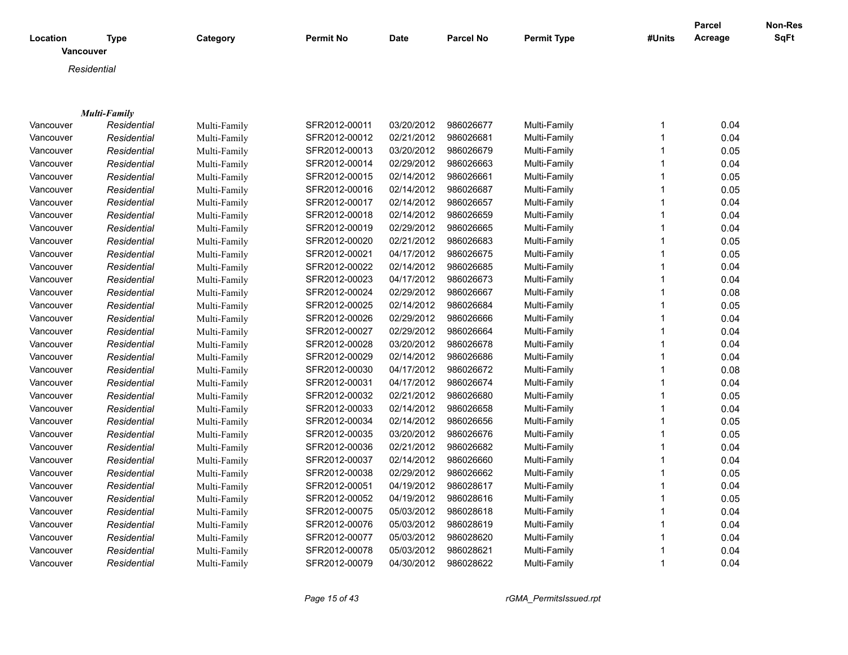|                              |              |              |                  |             |                  |                    |              | <b>Parcel</b> | Non-Res     |
|------------------------------|--------------|--------------|------------------|-------------|------------------|--------------------|--------------|---------------|-------------|
| Location<br><b>Vancouver</b> | Type         | Category     | <b>Permit No</b> | <b>Date</b> | <b>Parcel No</b> | <b>Permit Type</b> | #Units       | Acreage       | <b>SqFt</b> |
|                              | Residential  |              |                  |             |                  |                    |              |               |             |
|                              |              |              |                  |             |                  |                    |              |               |             |
|                              |              |              |                  |             |                  |                    |              |               |             |
|                              | Multi-Family |              |                  |             |                  |                    |              |               |             |
| Vancouver                    | Residential  | Multi-Family | SFR2012-00011    | 03/20/2012  | 986026677        | Multi-Family       | 1            | 0.04          |             |
| Vancouver                    | Residential  | Multi-Family | SFR2012-00012    | 02/21/2012  | 986026681        | Multi-Family       | $\mathbf{1}$ | 0.04          |             |
| Vancouver                    | Residential  | Multi-Family | SFR2012-00013    | 03/20/2012  | 986026679        | Multi-Family       | $\mathbf 1$  | 0.05          |             |
| Vancouver                    | Residential  | Multi-Family | SFR2012-00014    | 02/29/2012  | 986026663        | Multi-Family       | $\mathbf{1}$ | 0.04          |             |
| Vancouver                    | Residential  | Multi-Family | SFR2012-00015    | 02/14/2012  | 986026661        | Multi-Family       | $\mathbf 1$  | 0.05          |             |
| Vancouver                    | Residential  | Multi-Family | SFR2012-00016    | 02/14/2012  | 986026687        | Multi-Family       | $\mathbf 1$  | 0.05          |             |
| Vancouver                    | Residential  | Multi-Family | SFR2012-00017    | 02/14/2012  | 986026657        | Multi-Family       | 1            | 0.04          |             |
| Vancouver                    | Residential  | Multi-Family | SFR2012-00018    | 02/14/2012  | 986026659        | Multi-Family       | 1            | 0.04          |             |
| Vancouver                    | Residential  | Multi-Family | SFR2012-00019    | 02/29/2012  | 986026665        | Multi-Family       | 1            | 0.04          |             |
| Vancouver                    | Residential  | Multi-Family | SFR2012-00020    | 02/21/2012  | 986026683        | Multi-Family       | 1            | 0.05          |             |
| Vancouver                    | Residential  | Multi-Family | SFR2012-00021    | 04/17/2012  | 986026675        | Multi-Family       | 1            | 0.05          |             |
| Vancouver                    | Residential  | Multi-Family | SFR2012-00022    | 02/14/2012  | 986026685        | Multi-Family       | 1            | 0.04          |             |
| Vancouver                    | Residential  | Multi-Family | SFR2012-00023    | 04/17/2012  | 986026673        | Multi-Family       | 1            | 0.04          |             |
| Vancouver                    | Residential  | Multi-Family | SFR2012-00024    | 02/29/2012  | 986026667        | Multi-Family       | 1            | 0.08          |             |
| Vancouver                    | Residential  | Multi-Family | SFR2012-00025    | 02/14/2012  | 986026684        | Multi-Family       | 1            | 0.05          |             |
| Vancouver                    | Residential  | Multi-Family | SFR2012-00026    | 02/29/2012  | 986026666        | Multi-Family       | 1            | 0.04          |             |
| Vancouver                    | Residential  | Multi-Family | SFR2012-00027    | 02/29/2012  | 986026664        | Multi-Family       | $\mathbf{1}$ | 0.04          |             |
| Vancouver                    | Residential  | Multi-Family | SFR2012-00028    | 03/20/2012  | 986026678        | Multi-Family       | $\mathbf{1}$ | 0.04          |             |
| Vancouver                    | Residential  | Multi-Family | SFR2012-00029    | 02/14/2012  | 986026686        | Multi-Family       | $\mathbf{1}$ | 0.04          |             |
| Vancouver                    | Residential  | Multi-Family | SFR2012-00030    | 04/17/2012  | 986026672        | Multi-Family       | 1            | 0.08          |             |
| Vancouver                    | Residential  | Multi-Family | SFR2012-00031    | 04/17/2012  | 986026674        | Multi-Family       | $\mathbf{1}$ | 0.04          |             |
| Vancouver                    | Residential  | Multi-Family | SFR2012-00032    | 02/21/2012  | 986026680        | Multi-Family       | $\mathbf{1}$ | 0.05          |             |
| Vancouver                    | Residential  | Multi-Family | SFR2012-00033    | 02/14/2012  | 986026658        | Multi-Family       | $\mathbf{1}$ | 0.04          |             |
| Vancouver                    | Residential  | Multi-Family | SFR2012-00034    | 02/14/2012  | 986026656        | Multi-Family       | $\mathbf{1}$ | 0.05          |             |
| Vancouver                    | Residential  | Multi-Family | SFR2012-00035    | 03/20/2012  | 986026676        | Multi-Family       | 1            | 0.05          |             |
| Vancouver                    | Residential  | Multi-Family | SFR2012-00036    | 02/21/2012  | 986026682        | Multi-Family       | $\mathbf{1}$ | 0.04          |             |
| Vancouver                    | Residential  | Multi-Family | SFR2012-00037    | 02/14/2012  | 986026660        | Multi-Family       | $\mathbf{1}$ | 0.04          |             |
| Vancouver                    | Residential  | Multi-Family | SFR2012-00038    | 02/29/2012  | 986026662        | Multi-Family       | 1            | 0.05          |             |
| Vancouver                    | Residential  | Multi-Family | SFR2012-00051    | 04/19/2012  | 986028617        | Multi-Family       | 1            | 0.04          |             |
| Vancouver                    | Residential  | Multi-Family | SFR2012-00052    | 04/19/2012  | 986028616        | Multi-Family       | 1            | 0.05          |             |
| Vancouver                    | Residential  | Multi-Family | SFR2012-00075    | 05/03/2012  | 986028618        | Multi-Family       | 1            | 0.04          |             |
| Vancouver                    | Residential  | Multi-Family | SFR2012-00076    | 05/03/2012  | 986028619        | Multi-Family       | 1            | 0.04          |             |
| Vancouver                    | Residential  | Multi-Family | SFR2012-00077    | 05/03/2012  | 986028620        | Multi-Family       | 1            | 0.04          |             |
| Vancouver                    | Residential  | Multi-Family | SFR2012-00078    | 05/03/2012  | 986028621        | Multi-Family       | 1            | 0.04          |             |
| Vancouver                    | Residential  | Multi-Family | SFR2012-00079    | 04/30/2012  | 986028622        | Multi-Family       | $\mathbf{1}$ | 0.04          |             |

*Page 15 of 43 rGMA\_PermitsIssued.rpt*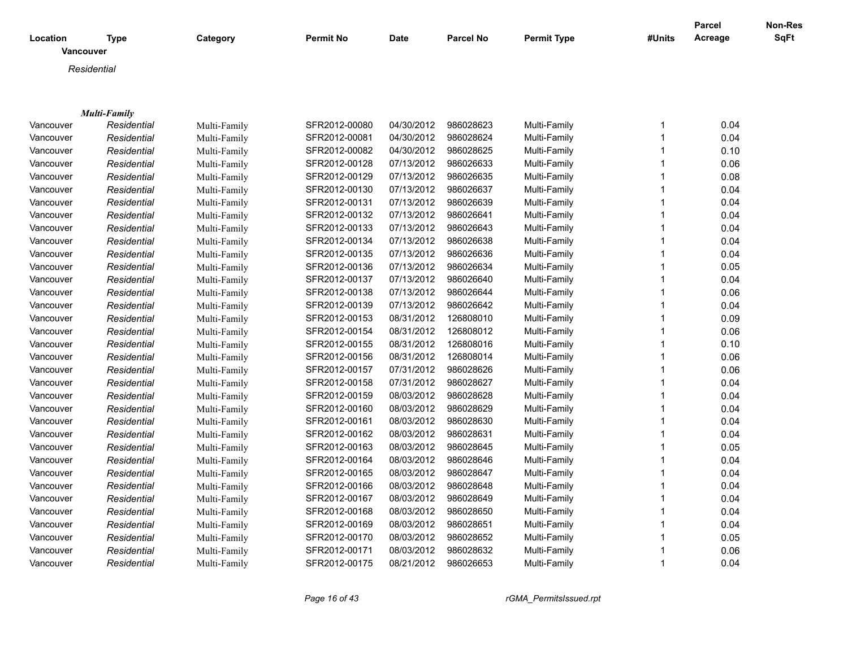|           |                          |              |                  |             |           |                    |        | <b>Parcel</b> | Non-Res |
|-----------|--------------------------|--------------|------------------|-------------|-----------|--------------------|--------|---------------|---------|
| Location  | Type<br><b>Vancouver</b> | Category     | <b>Permit No</b> | <b>Date</b> | Parcel No | <b>Permit Type</b> | #Units | Acreage       | SqFt    |
|           | Residential              |              |                  |             |           |                    |        |               |         |
|           |                          |              |                  |             |           |                    |        |               |         |
|           |                          |              |                  |             |           |                    |        |               |         |
|           | Multi-Family             |              |                  |             |           |                    |        |               |         |
| Vancouver | Residential              | Multi-Family | SFR2012-00080    | 04/30/2012  | 986028623 | Multi-Family       | 1      | 0.04          |         |
| Vancouver | Residential              | Multi-Family | SFR2012-00081    | 04/30/2012  | 986028624 | Multi-Family       | 1      | 0.04          |         |
| Vancouver | Residential              | Multi-Family | SFR2012-00082    | 04/30/2012  | 986028625 | Multi-Family       | 1      | 0.10          |         |
| Vancouver | Residential              | Multi-Family | SFR2012-00128    | 07/13/2012  | 986026633 | Multi-Family       | 1      | 0.06          |         |
| Vancouver | Residential              | Multi-Family | SFR2012-00129    | 07/13/2012  | 986026635 | Multi-Family       | 1      | 0.08          |         |
| Vancouver | Residential              | Multi-Family | SFR2012-00130    | 07/13/2012  | 986026637 | Multi-Family       | 1      | 0.04          |         |
| Vancouver | Residential              | Multi-Family | SFR2012-00131    | 07/13/2012  | 986026639 | Multi-Family       | 1      | 0.04          |         |
| Vancouver | Residential              | Multi-Family | SFR2012-00132    | 07/13/2012  | 986026641 | Multi-Family       | 1      | 0.04          |         |
| Vancouver | Residential              | Multi-Family | SFR2012-00133    | 07/13/2012  | 986026643 | Multi-Family       | 1      | 0.04          |         |
| Vancouver | Residential              | Multi-Family | SFR2012-00134    | 07/13/2012  | 986026638 | Multi-Family       | 1      | 0.04          |         |
| Vancouver | Residential              | Multi-Family | SFR2012-00135    | 07/13/2012  | 986026636 | Multi-Family       | 1      | 0.04          |         |
| Vancouver | Residential              | Multi-Family | SFR2012-00136    | 07/13/2012  | 986026634 | Multi-Family       | 1      | 0.05          |         |
| Vancouver | Residential              | Multi-Family | SFR2012-00137    | 07/13/2012  | 986026640 | Multi-Family       | 1      | 0.04          |         |
| Vancouver | Residential              | Multi-Family | SFR2012-00138    | 07/13/2012  | 986026644 | Multi-Family       | 1      | 0.06          |         |
| Vancouver | Residential              | Multi-Family | SFR2012-00139    | 07/13/2012  | 986026642 | Multi-Family       | 1      | 0.04          |         |
| Vancouver | Residential              | Multi-Family | SFR2012-00153    | 08/31/2012  | 126808010 | Multi-Family       | 1      | 0.09          |         |
| Vancouver | Residential              | Multi-Family | SFR2012-00154    | 08/31/2012  | 126808012 | Multi-Family       | 1      | 0.06          |         |
| Vancouver | Residential              | Multi-Family | SFR2012-00155    | 08/31/2012  | 126808016 | Multi-Family       | 1      | 0.10          |         |
| Vancouver | Residential              | Multi-Family | SFR2012-00156    | 08/31/2012  | 126808014 | Multi-Family       | 1      | 0.06          |         |
| Vancouver | Residential              | Multi-Family | SFR2012-00157    | 07/31/2012  | 986028626 | Multi-Family       | 1      | 0.06          |         |
| Vancouver | Residential              | Multi-Family | SFR2012-00158    | 07/31/2012  | 986028627 | Multi-Family       | 1      | 0.04          |         |
| Vancouver | Residential              | Multi-Family | SFR2012-00159    | 08/03/2012  | 986028628 | Multi-Family       | 1      | 0.04          |         |
| Vancouver | Residential              | Multi-Family | SFR2012-00160    | 08/03/2012  | 986028629 | Multi-Family       | 1      | 0.04          |         |
| Vancouver | Residential              | Multi-Family | SFR2012-00161    | 08/03/2012  | 986028630 | Multi-Family       | 1      | 0.04          |         |
| Vancouver | Residential              | Multi-Family | SFR2012-00162    | 08/03/2012  | 986028631 | Multi-Family       | 1      | 0.04          |         |
| Vancouver | Residential              | Multi-Family | SFR2012-00163    | 08/03/2012  | 986028645 | Multi-Family       | 1      | 0.05          |         |
| Vancouver | Residential              | Multi-Family | SFR2012-00164    | 08/03/2012  | 986028646 | Multi-Family       | 1      | 0.04          |         |
| Vancouver | Residential              | Multi-Family | SFR2012-00165    | 08/03/2012  | 986028647 | Multi-Family       | 1      | 0.04          |         |
| Vancouver | Residential              | Multi-Family | SFR2012-00166    | 08/03/2012  | 986028648 | Multi-Family       | 1      | 0.04          |         |
| Vancouver | Residential              | Multi-Family | SFR2012-00167    | 08/03/2012  | 986028649 | Multi-Family       | 1      | 0.04          |         |
| Vancouver | Residential              | Multi-Family | SFR2012-00168    | 08/03/2012  | 986028650 | Multi-Family       | 1      | 0.04          |         |
| Vancouver | Residential              | Multi-Family | SFR2012-00169    | 08/03/2012  | 986028651 | Multi-Family       | 1      | 0.04          |         |
| Vancouver | Residential              | Multi-Family | SFR2012-00170    | 08/03/2012  | 986028652 | Multi-Family       | 1      | 0.05          |         |
| Vancouver | Residential              | Multi-Family | SFR2012-00171    | 08/03/2012  | 986028632 | Multi-Family       | 1      | 0.06          |         |
| Vancouver | Residential              | Multi-Family | SFR2012-00175    | 08/21/2012  | 986026653 | Multi-Family       | 1      | 0.04          |         |
|           |                          |              |                  |             |           |                    |        |               |         |

*Page 16 of 43 rGMA\_PermitsIssued.rpt*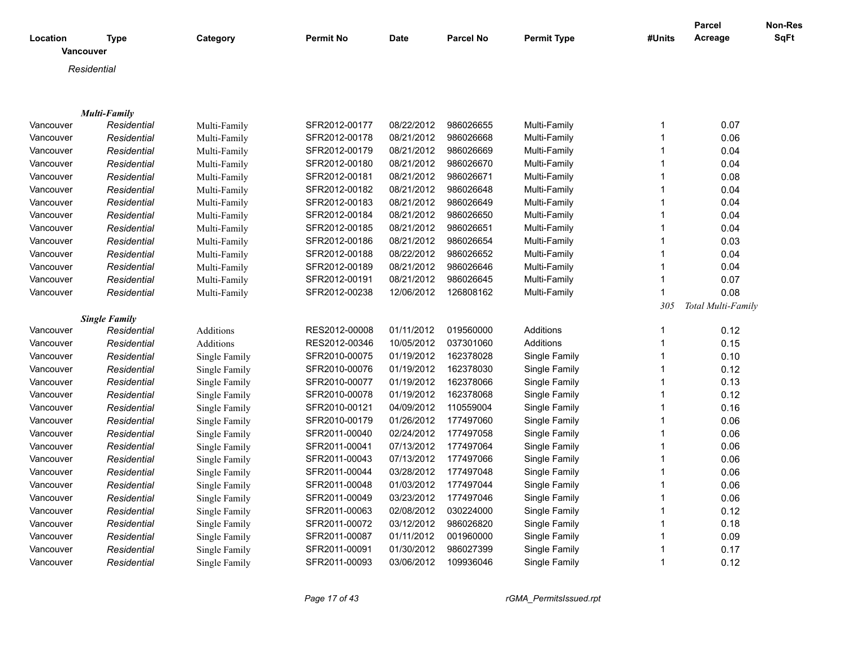| Location         | <b>Type</b>          | Category         | Permit No     | <b>Date</b> | <b>Parcel No</b> | <b>Permit Type</b> | #Units       | <b>Parcel</b><br>Acreage | <b>Non-Res</b><br><b>SqFt</b> |
|------------------|----------------------|------------------|---------------|-------------|------------------|--------------------|--------------|--------------------------|-------------------------------|
| <b>Vancouver</b> |                      |                  |               |             |                  |                    |              |                          |                               |
|                  | Residential          |                  |               |             |                  |                    |              |                          |                               |
|                  |                      |                  |               |             |                  |                    |              |                          |                               |
|                  | <b>Multi-Family</b>  |                  |               |             |                  |                    |              |                          |                               |
| Vancouver        | Residential          | Multi-Family     | SFR2012-00177 | 08/22/2012  | 986026655        | Multi-Family       | 1            | 0.07                     |                               |
| Vancouver        | Residential          | Multi-Family     | SFR2012-00178 | 08/21/2012  | 986026668        | Multi-Family       | $\mathbf{1}$ | 0.06                     |                               |
| Vancouver        | Residential          | Multi-Family     | SFR2012-00179 | 08/21/2012  | 986026669        | Multi-Family       | 1            | 0.04                     |                               |
| Vancouver        | Residential          | Multi-Family     | SFR2012-00180 | 08/21/2012  | 986026670        | Multi-Family       | 1            | 0.04                     |                               |
| Vancouver        | Residential          | Multi-Family     | SFR2012-00181 | 08/21/2012  | 986026671        | Multi-Family       | 1            | 0.08                     |                               |
| Vancouver        | Residential          | Multi-Family     | SFR2012-00182 | 08/21/2012  | 986026648        | Multi-Family       | $\mathbf{1}$ | 0.04                     |                               |
| Vancouver        | Residential          | Multi-Family     | SFR2012-00183 | 08/21/2012  | 986026649        | Multi-Family       | 1            | 0.04                     |                               |
| Vancouver        | Residential          | Multi-Family     | SFR2012-00184 | 08/21/2012  | 986026650        | Multi-Family       | 1            | 0.04                     |                               |
| Vancouver        | Residential          | Multi-Family     | SFR2012-00185 | 08/21/2012  | 986026651        | Multi-Family       | 1            | 0.04                     |                               |
| Vancouver        | Residential          | Multi-Family     | SFR2012-00186 | 08/21/2012  | 986026654        | Multi-Family       | $\mathbf{1}$ | 0.03                     |                               |
| Vancouver        | Residential          | Multi-Family     | SFR2012-00188 | 08/22/2012  | 986026652        | Multi-Family       | 1            | 0.04                     |                               |
| Vancouver        | Residential          | Multi-Family     | SFR2012-00189 | 08/21/2012  | 986026646        | Multi-Family       | 1            | 0.04                     |                               |
| Vancouver        | Residential          | Multi-Family     | SFR2012-00191 | 08/21/2012  | 986026645        | Multi-Family       | $\mathbf{1}$ | 0.07                     |                               |
| Vancouver        | Residential          | Multi-Family     | SFR2012-00238 | 12/06/2012  | 126808162        | Multi-Family       | 1            | 0.08                     |                               |
|                  |                      |                  |               |             |                  |                    | 305          | Total Multi-Family       |                               |
|                  | <b>Single Family</b> |                  |               |             |                  |                    |              |                          |                               |
| Vancouver        | Residential          | Additions        | RES2012-00008 | 01/11/2012  | 019560000        | Additions          | 1            | 0.12                     |                               |
| Vancouver        | Residential          | <b>Additions</b> | RES2012-00346 | 10/05/2012  | 037301060        | <b>Additions</b>   | $\mathbf{1}$ | 0.15                     |                               |
| Vancouver        | Residential          | Single Family    | SFR2010-00075 | 01/19/2012  | 162378028        | Single Family      | 1            | 0.10                     |                               |
| Vancouver        | Residential          | Single Family    | SFR2010-00076 | 01/19/2012  | 162378030        | Single Family      | 1            | 0.12                     |                               |
| Vancouver        | Residential          | Single Family    | SFR2010-00077 | 01/19/2012  | 162378066        | Single Family      | 1            | 0.13                     |                               |
| Vancouver        | Residential          | Single Family    | SFR2010-00078 | 01/19/2012  | 162378068        | Single Family      |              | 0.12                     |                               |
| Vancouver        | Residential          | Single Family    | SFR2010-00121 | 04/09/2012  | 110559004        | Single Family      | 1            | 0.16                     |                               |
| Vancouver        | Residential          | Single Family    | SFR2010-00179 | 01/26/2012  | 177497060        | Single Family      | 1            | 0.06                     |                               |
| Vancouver        | Residential          | Single Family    | SFR2011-00040 | 02/24/2012  | 177497058        | Single Family      | $\mathbf{1}$ | 0.06                     |                               |
| Vancouver        | Residential          | Single Family    | SFR2011-00041 | 07/13/2012  | 177497064        | Single Family      | 1            | 0.06                     |                               |
| Vancouver        | Residential          | Single Family    | SFR2011-00043 | 07/13/2012  | 177497066        | Single Family      | 1            | 0.06                     |                               |
| Vancouver        | Residential          | Single Family    | SFR2011-00044 | 03/28/2012  | 177497048        | Single Family      | 1            | 0.06                     |                               |
| Vancouver        | Residential          | Single Family    | SFR2011-00048 | 01/03/2012  | 177497044        | Single Family      | 1            | 0.06                     |                               |
| Vancouver        | Residential          | Single Family    | SFR2011-00049 | 03/23/2012  | 177497046        | Single Family      | 1            | 0.06                     |                               |
| Vancouver        | Residential          | Single Family    | SFR2011-00063 | 02/08/2012  | 030224000        | Single Family      | 1            | 0.12                     |                               |
| Vancouver        | Residential          | Single Family    | SFR2011-00072 | 03/12/2012  | 986026820        | Single Family      | $\mathbf{1}$ | 0.18                     |                               |
| Vancouver        | Residential          | Single Family    | SFR2011-00087 | 01/11/2012  | 001960000        | Single Family      | $\mathbf{1}$ | 0.09                     |                               |
| Vancouver        | Residential          | Single Family    | SFR2011-00091 | 01/30/2012  | 986027399        | Single Family      | 1            | 0.17                     |                               |
| Vancouver        | Residential          | Single Family    | SFR2011-00093 | 03/06/2012  | 109936046        | Single Family      | 1            | 0.12                     |                               |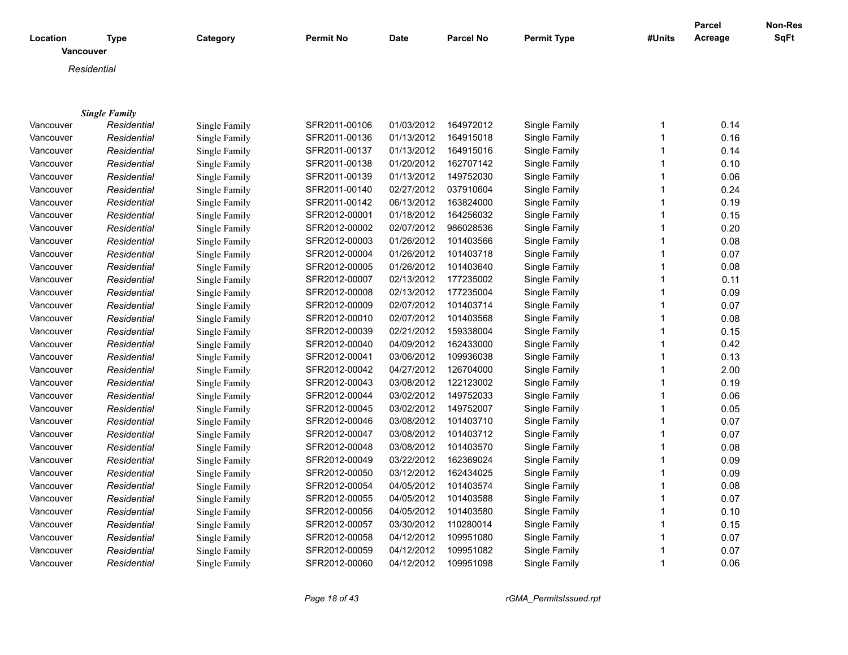|                       |                      |               |                  |             |                  |                    |              | Parcel  | <b>Non-Res</b> |
|-----------------------|----------------------|---------------|------------------|-------------|------------------|--------------------|--------------|---------|----------------|
| Location<br>Vancouver | <b>Type</b>          | Category      | <b>Permit No</b> | <b>Date</b> | <b>Parcel No</b> | <b>Permit Type</b> | #Units       | Acreage | <b>SqFt</b>    |
|                       | Residential          |               |                  |             |                  |                    |              |         |                |
|                       |                      |               |                  |             |                  |                    |              |         |                |
|                       |                      |               |                  |             |                  |                    |              |         |                |
|                       | <b>Single Family</b> |               |                  |             |                  |                    |              |         |                |
| Vancouver             | Residential          | Single Family | SFR2011-00106    | 01/03/2012  | 164972012        | Single Family      | 1            | 0.14    |                |
| Vancouver             | Residential          | Single Family | SFR2011-00136    | 01/13/2012  | 164915018        | Single Family      | $\mathbf{1}$ | 0.16    |                |
| Vancouver             | Residential          | Single Family | SFR2011-00137    | 01/13/2012  | 164915016        | Single Family      | 1            | 0.14    |                |
| Vancouver             | Residential          | Single Family | SFR2011-00138    | 01/20/2012  | 162707142        | Single Family      | $\mathbf{1}$ | 0.10    |                |
| Vancouver             | Residential          | Single Family | SFR2011-00139    | 01/13/2012  | 149752030        | Single Family      | 1            | 0.06    |                |
| Vancouver             | Residential          | Single Family | SFR2011-00140    | 02/27/2012  | 037910604        | Single Family      | 1            | 0.24    |                |
| Vancouver             | Residential          | Single Family | SFR2011-00142    | 06/13/2012  | 163824000        | Single Family      | 1            | 0.19    |                |
| Vancouver             | Residential          | Single Family | SFR2012-00001    | 01/18/2012  | 164256032        | Single Family      | 1            | 0.15    |                |
| Vancouver             | Residential          | Single Family | SFR2012-00002    | 02/07/2012  | 986028536        | Single Family      | 1            | 0.20    |                |
| Vancouver             | Residential          | Single Family | SFR2012-00003    | 01/26/2012  | 101403566        | Single Family      | 1            | 0.08    |                |
| Vancouver             | Residential          | Single Family | SFR2012-00004    | 01/26/2012  | 101403718        | Single Family      | 1            | 0.07    |                |
| Vancouver             | Residential          | Single Family | SFR2012-00005    | 01/26/2012  | 101403640        | Single Family      | 1            | 0.08    |                |
| Vancouver             | Residential          | Single Family | SFR2012-00007    | 02/13/2012  | 177235002        | Single Family      | 1            | 0.11    |                |
| Vancouver             | Residential          | Single Family | SFR2012-00008    | 02/13/2012  | 177235004        | Single Family      | 1            | 0.09    |                |
| Vancouver             | Residential          | Single Family | SFR2012-00009    | 02/07/2012  | 101403714        | Single Family      | 1            | 0.07    |                |
| Vancouver             | Residential          | Single Family | SFR2012-00010    | 02/07/2012  | 101403568        | Single Family      | 1            | 0.08    |                |
| Vancouver             | Residential          | Single Family | SFR2012-00039    | 02/21/2012  | 159338004        | Single Family      | $\mathbf{1}$ | 0.15    |                |
| Vancouver             | Residential          | Single Family | SFR2012-00040    | 04/09/2012  | 162433000        | Single Family      | 1            | 0.42    |                |
| Vancouver             | Residential          | Single Family | SFR2012-00041    | 03/06/2012  | 109936038        | Single Family      | 1            | 0.13    |                |
| Vancouver             | Residential          | Single Family | SFR2012-00042    | 04/27/2012  | 126704000        | Single Family      | 1            | 2.00    |                |
| Vancouver             | Residential          | Single Family | SFR2012-00043    | 03/08/2012  | 122123002        | Single Family      | 1            | 0.19    |                |
| Vancouver             | Residential          | Single Family | SFR2012-00044    | 03/02/2012  | 149752033        | Single Family      | 1            | 0.06    |                |
| Vancouver             | Residential          | Single Family | SFR2012-00045    | 03/02/2012  | 149752007        | Single Family      | 1            | 0.05    |                |
| Vancouver             | Residential          | Single Family | SFR2012-00046    | 03/08/2012  | 101403710        | Single Family      | 1            | 0.07    |                |
| Vancouver             | Residential          | Single Family | SFR2012-00047    | 03/08/2012  | 101403712        | Single Family      | 1            | 0.07    |                |
| Vancouver             | Residential          | Single Family | SFR2012-00048    | 03/08/2012  | 101403570        | Single Family      | 1            | 0.08    |                |
| Vancouver             | Residential          | Single Family | SFR2012-00049    | 03/22/2012  | 162369024        | Single Family      | 1            | 0.09    |                |
| Vancouver             | Residential          | Single Family | SFR2012-00050    | 03/12/2012  | 162434025        | Single Family      | 1            | 0.09    |                |
| Vancouver             | Residential          | Single Family | SFR2012-00054    | 04/05/2012  | 101403574        | Single Family      | 1            | 0.08    |                |
| Vancouver             | Residential          | Single Family | SFR2012-00055    | 04/05/2012  | 101403588        | Single Family      | 1            | 0.07    |                |
| Vancouver             | Residential          | Single Family | SFR2012-00056    | 04/05/2012  | 101403580        | Single Family      | 1            | 0.10    |                |
| Vancouver             | Residential          | Single Family | SFR2012-00057    | 03/30/2012  | 110280014        | Single Family      | 1            | 0.15    |                |
| Vancouver             | Residential          | Single Family | SFR2012-00058    | 04/12/2012  | 109951080        | Single Family      | 1            | 0.07    |                |
| Vancouver             | Residential          | Single Family | SFR2012-00059    | 04/12/2012  | 109951082        | Single Family      | 1            | 0.07    |                |
| Vancouver             | Residential          | Single Family | SFR2012-00060    | 04/12/2012  | 109951098        | Single Family      | 1            | 0.06    |                |

*Page 18 of 43 rGMA\_PermitsIssued.rpt*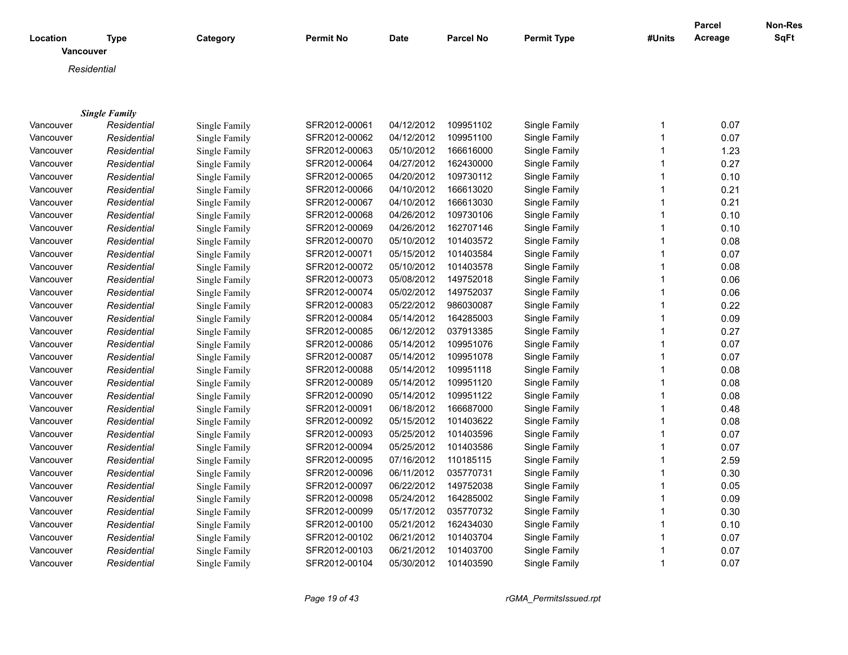|                       |                      |               |                  |             |                  |                    |              | <b>Parcel</b> | Non-Res     |
|-----------------------|----------------------|---------------|------------------|-------------|------------------|--------------------|--------------|---------------|-------------|
| Location<br>Vancouver | <b>Type</b>          | Category      | <b>Permit No</b> | <b>Date</b> | <b>Parcel No</b> | <b>Permit Type</b> | #Units       | Acreage       | <b>SqFt</b> |
|                       | Residential          |               |                  |             |                  |                    |              |               |             |
|                       |                      |               |                  |             |                  |                    |              |               |             |
|                       |                      |               |                  |             |                  |                    |              |               |             |
|                       | <b>Single Family</b> |               |                  |             |                  |                    |              |               |             |
| Vancouver             | Residential          | Single Family | SFR2012-00061    | 04/12/2012  | 109951102        | Single Family      | 1            | 0.07          |             |
| Vancouver             | Residential          | Single Family | SFR2012-00062    | 04/12/2012  | 109951100        | Single Family      | 1            | 0.07          |             |
| Vancouver             | Residential          | Single Family | SFR2012-00063    | 05/10/2012  | 166616000        | Single Family      | -1           | 1.23          |             |
| Vancouver             | Residential          | Single Family | SFR2012-00064    | 04/27/2012  | 162430000        | Single Family      | 1            | 0.27          |             |
| Vancouver             | Residential          | Single Family | SFR2012-00065    | 04/20/2012  | 109730112        | Single Family      |              | 0.10          |             |
| Vancouver             | Residential          | Single Family | SFR2012-00066    | 04/10/2012  | 166613020        | Single Family      |              | 0.21          |             |
| Vancouver             | Residential          | Single Family | SFR2012-00067    | 04/10/2012  | 166613030        | Single Family      | 1            | 0.21          |             |
| Vancouver             | Residential          | Single Family | SFR2012-00068    | 04/26/2012  | 109730106        | Single Family      |              | 0.10          |             |
| Vancouver             | Residential          | Single Family | SFR2012-00069    | 04/26/2012  | 162707146        | Single Family      | 1            | 0.10          |             |
| Vancouver             | Residential          | Single Family | SFR2012-00070    | 05/10/2012  | 101403572        | Single Family      |              | 0.08          |             |
| Vancouver             | Residential          | Single Family | SFR2012-00071    | 05/15/2012  | 101403584        | Single Family      | -1           | 0.07          |             |
| Vancouver             | Residential          | Single Family | SFR2012-00072    | 05/10/2012  | 101403578        | Single Family      |              | 0.08          |             |
| Vancouver             | Residential          | Single Family | SFR2012-00073    | 05/08/2012  | 149752018        | Single Family      |              | 0.06          |             |
| Vancouver             | Residential          | Single Family | SFR2012-00074    | 05/02/2012  | 149752037        | Single Family      |              | 0.06          |             |
| Vancouver             | Residential          | Single Family | SFR2012-00083    | 05/22/2012  | 986030087        | Single Family      | $\mathbf 1$  | 0.22          |             |
| Vancouver             | Residential          | Single Family | SFR2012-00084    | 05/14/2012  | 164285003        | Single Family      |              | 0.09          |             |
| Vancouver             | Residential          | Single Family | SFR2012-00085    | 06/12/2012  | 037913385        | Single Family      | $\mathbf{1}$ | 0.27          |             |
| Vancouver             | Residential          | Single Family | SFR2012-00086    | 05/14/2012  | 109951076        | Single Family      |              | 0.07          |             |
| Vancouver             | Residential          | Single Family | SFR2012-00087    | 05/14/2012  | 109951078        | Single Family      | -1           | 0.07          |             |
| Vancouver             | Residential          | Single Family | SFR2012-00088    | 05/14/2012  | 109951118        | Single Family      |              | 0.08          |             |
| Vancouver             | Residential          | Single Family | SFR2012-00089    | 05/14/2012  | 109951120        | Single Family      |              | 0.08          |             |
| Vancouver             | Residential          | Single Family | SFR2012-00090    | 05/14/2012  | 109951122        | Single Family      |              | 0.08          |             |
| Vancouver             | Residential          | Single Family | SFR2012-00091    | 06/18/2012  | 166687000        | Single Family      | $\mathbf 1$  | 0.48          |             |
| Vancouver             | Residential          | Single Family | SFR2012-00092    | 05/15/2012  | 101403622        | Single Family      |              | 0.08          |             |
| Vancouver             | Residential          | Single Family | SFR2012-00093    | 05/25/2012  | 101403596        | Single Family      | $\mathbf 1$  | 0.07          |             |
| Vancouver             | Residential          | Single Family | SFR2012-00094    | 05/25/2012  | 101403586        | Single Family      |              | 0.07          |             |
| Vancouver             | Residential          | Single Family | SFR2012-00095    | 07/16/2012  | 110185115        | Single Family      | $\mathbf 1$  | 2.59          |             |
| Vancouver             | Residential          | Single Family | SFR2012-00096    | 06/11/2012  | 035770731        | Single Family      |              | 0.30          |             |
| Vancouver             | Residential          | Single Family | SFR2012-00097    | 06/22/2012  | 149752038        | Single Family      | $\mathbf 1$  | 0.05          |             |
| Vancouver             | Residential          | Single Family | SFR2012-00098    | 05/24/2012  | 164285002        | Single Family      |              | 0.09          |             |
| Vancouver             | Residential          | Single Family | SFR2012-00099    | 05/17/2012  | 035770732        | Single Family      | $\mathbf{1}$ | 0.30          |             |
| Vancouver             | Residential          | Single Family | SFR2012-00100    | 05/21/2012  | 162434030        | Single Family      |              | 0.10          |             |
| Vancouver             | Residential          | Single Family | SFR2012-00102    | 06/21/2012  | 101403704        | Single Family      | 1            | 0.07          |             |
| Vancouver             | Residential          | Single Family | SFR2012-00103    | 06/21/2012  | 101403700        | Single Family      |              | 0.07          |             |
| Vancouver             | Residential          | Single Family | SFR2012-00104    | 05/30/2012  | 101403590        | Single Family      | 1            | 0.07          |             |

*Page 19 of 43 rGMA\_PermitsIssued.rpt*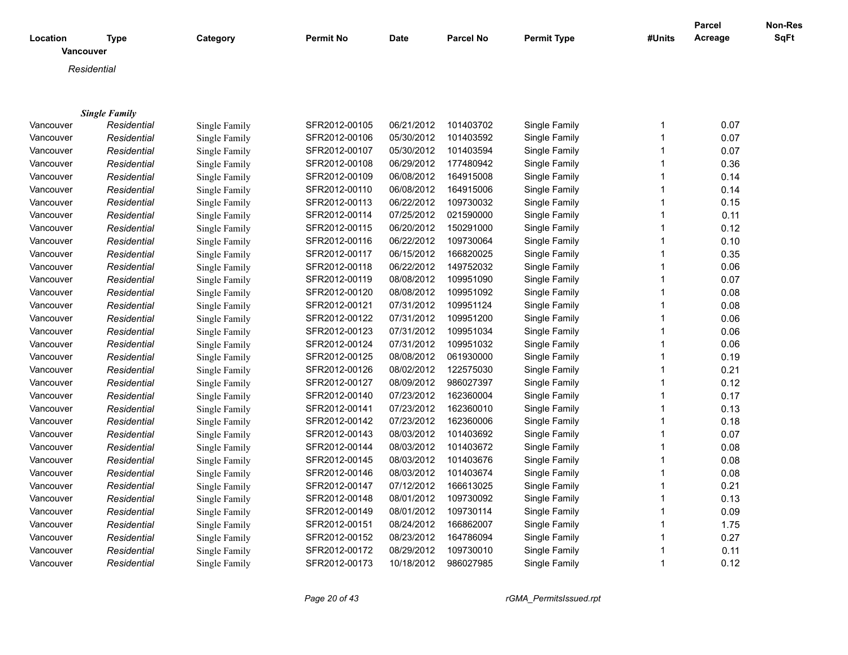| <b>SqFt</b><br>Acreage<br>Location<br><b>Type</b><br>Category<br><b>Permit No</b><br><b>Date</b><br><b>Parcel No</b><br><b>Permit Type</b><br>#Units<br>Vancouver<br>Residential<br><b>Single Family</b><br>SFR2012-00105<br>06/21/2012<br>101403702<br>Single Family<br>0.07<br>Single Family<br>Vancouver<br>Residential<br>1<br>SFR2012-00106<br>05/30/2012<br>101403592<br>Single Family<br>1<br>0.07<br>Vancouver<br>Residential<br>Single Family<br>0.07<br>Residential<br>SFR2012-00107<br>05/30/2012<br>101403594<br>Single Family<br>Vancouver<br>Single Family<br>1<br>SFR2012-00108<br>06/29/2012<br>177480942<br>Single Family<br>0.36<br>Vancouver<br>Residential<br>Single Family<br>1<br>06/08/2012<br>SFR2012-00109<br>164915008<br>Single Family<br>0.14<br>Vancouver<br>Residential<br>Single Family<br>SFR2012-00110<br>06/08/2012<br>164915006<br>Single Family<br>0.14<br>Vancouver<br>Residential<br>Single Family<br>06/22/2012<br>109730032<br>0.15<br>Vancouver<br>Residential<br>SFR2012-00113<br>Single Family<br>Single Family<br>1<br>07/25/2012<br>021590000<br>0.11<br>Residential<br>SFR2012-00114<br>Single Family<br>Vancouver<br>Single Family<br>06/20/2012<br>150291000<br>0.12<br>SFR2012-00115<br>Single Family<br>1<br>Vancouver<br>Residential<br>Single Family<br>06/22/2012<br>109730064<br>0.10<br>SFR2012-00116<br>Single Family<br>Vancouver<br>Residential<br>Single Family<br>06/15/2012<br>166820025<br>0.35<br>Vancouver<br>SFR2012-00117<br>Single Family<br>Residential<br>Single Family<br>1<br>06/22/2012<br>149752032<br>0.06<br>Vancouver<br>Residential<br>SFR2012-00118<br>Single Family<br>Single Family<br>08/08/2012<br>109951090<br>SFR2012-00119<br>Single Family<br>1<br>0.07<br>Vancouver<br>Residential<br>Single Family<br>08/08/2012<br>109951092<br>SFR2012-00120<br>Single Family<br>0.08<br>Vancouver<br>Residential<br>Single Family<br>SFR2012-00121<br>07/31/2012<br>109951124<br>Single Family<br>0.08<br>Vancouver<br>Residential<br>Single Family<br>1<br>SFR2012-00122<br>07/31/2012<br>109951200<br>0.06<br>Vancouver<br>Residential<br>Single Family<br>Single Family<br>07/31/2012<br>109951034<br>0.06<br>Residential<br>Single Family<br>SFR2012-00123<br>Single Family<br>1<br>Vancouver<br>SFR2012-00124<br>07/31/2012<br>109951032<br>0.06<br>Residential<br>Single Family<br>Vancouver<br>Single Family<br>08/08/2012<br>061930000<br>0.19<br>Vancouver<br>Residential<br>Single Family<br>SFR2012-00125<br>Single Family<br>1<br>SFR2012-00126<br>08/02/2012<br>122575030<br>0.21<br>Vancouver<br>Residential<br>Single Family<br>Single Family |           |             |               |               |            |           |               |   | <b>Parcel</b> | Non-Res |
|-----------------------------------------------------------------------------------------------------------------------------------------------------------------------------------------------------------------------------------------------------------------------------------------------------------------------------------------------------------------------------------------------------------------------------------------------------------------------------------------------------------------------------------------------------------------------------------------------------------------------------------------------------------------------------------------------------------------------------------------------------------------------------------------------------------------------------------------------------------------------------------------------------------------------------------------------------------------------------------------------------------------------------------------------------------------------------------------------------------------------------------------------------------------------------------------------------------------------------------------------------------------------------------------------------------------------------------------------------------------------------------------------------------------------------------------------------------------------------------------------------------------------------------------------------------------------------------------------------------------------------------------------------------------------------------------------------------------------------------------------------------------------------------------------------------------------------------------------------------------------------------------------------------------------------------------------------------------------------------------------------------------------------------------------------------------------------------------------------------------------------------------------------------------------------------------------------------------------------------------------------------------------------------------------------------------------------------------------------------------------------------------------------------------------------------------------------------------------------------------------------------------------------------------------------------------------------------------------------------------------------------------|-----------|-------------|---------------|---------------|------------|-----------|---------------|---|---------------|---------|
|                                                                                                                                                                                                                                                                                                                                                                                                                                                                                                                                                                                                                                                                                                                                                                                                                                                                                                                                                                                                                                                                                                                                                                                                                                                                                                                                                                                                                                                                                                                                                                                                                                                                                                                                                                                                                                                                                                                                                                                                                                                                                                                                                                                                                                                                                                                                                                                                                                                                                                                                                                                                                                         |           |             |               |               |            |           |               |   |               |         |
|                                                                                                                                                                                                                                                                                                                                                                                                                                                                                                                                                                                                                                                                                                                                                                                                                                                                                                                                                                                                                                                                                                                                                                                                                                                                                                                                                                                                                                                                                                                                                                                                                                                                                                                                                                                                                                                                                                                                                                                                                                                                                                                                                                                                                                                                                                                                                                                                                                                                                                                                                                                                                                         |           |             |               |               |            |           |               |   |               |         |
|                                                                                                                                                                                                                                                                                                                                                                                                                                                                                                                                                                                                                                                                                                                                                                                                                                                                                                                                                                                                                                                                                                                                                                                                                                                                                                                                                                                                                                                                                                                                                                                                                                                                                                                                                                                                                                                                                                                                                                                                                                                                                                                                                                                                                                                                                                                                                                                                                                                                                                                                                                                                                                         |           |             |               |               |            |           |               |   |               |         |
|                                                                                                                                                                                                                                                                                                                                                                                                                                                                                                                                                                                                                                                                                                                                                                                                                                                                                                                                                                                                                                                                                                                                                                                                                                                                                                                                                                                                                                                                                                                                                                                                                                                                                                                                                                                                                                                                                                                                                                                                                                                                                                                                                                                                                                                                                                                                                                                                                                                                                                                                                                                                                                         |           |             |               |               |            |           |               |   |               |         |
|                                                                                                                                                                                                                                                                                                                                                                                                                                                                                                                                                                                                                                                                                                                                                                                                                                                                                                                                                                                                                                                                                                                                                                                                                                                                                                                                                                                                                                                                                                                                                                                                                                                                                                                                                                                                                                                                                                                                                                                                                                                                                                                                                                                                                                                                                                                                                                                                                                                                                                                                                                                                                                         |           |             |               |               |            |           |               |   |               |         |
|                                                                                                                                                                                                                                                                                                                                                                                                                                                                                                                                                                                                                                                                                                                                                                                                                                                                                                                                                                                                                                                                                                                                                                                                                                                                                                                                                                                                                                                                                                                                                                                                                                                                                                                                                                                                                                                                                                                                                                                                                                                                                                                                                                                                                                                                                                                                                                                                                                                                                                                                                                                                                                         |           |             |               |               |            |           |               |   |               |         |
|                                                                                                                                                                                                                                                                                                                                                                                                                                                                                                                                                                                                                                                                                                                                                                                                                                                                                                                                                                                                                                                                                                                                                                                                                                                                                                                                                                                                                                                                                                                                                                                                                                                                                                                                                                                                                                                                                                                                                                                                                                                                                                                                                                                                                                                                                                                                                                                                                                                                                                                                                                                                                                         |           |             |               |               |            |           |               |   |               |         |
|                                                                                                                                                                                                                                                                                                                                                                                                                                                                                                                                                                                                                                                                                                                                                                                                                                                                                                                                                                                                                                                                                                                                                                                                                                                                                                                                                                                                                                                                                                                                                                                                                                                                                                                                                                                                                                                                                                                                                                                                                                                                                                                                                                                                                                                                                                                                                                                                                                                                                                                                                                                                                                         |           |             |               |               |            |           |               |   |               |         |
|                                                                                                                                                                                                                                                                                                                                                                                                                                                                                                                                                                                                                                                                                                                                                                                                                                                                                                                                                                                                                                                                                                                                                                                                                                                                                                                                                                                                                                                                                                                                                                                                                                                                                                                                                                                                                                                                                                                                                                                                                                                                                                                                                                                                                                                                                                                                                                                                                                                                                                                                                                                                                                         |           |             |               |               |            |           |               |   |               |         |
|                                                                                                                                                                                                                                                                                                                                                                                                                                                                                                                                                                                                                                                                                                                                                                                                                                                                                                                                                                                                                                                                                                                                                                                                                                                                                                                                                                                                                                                                                                                                                                                                                                                                                                                                                                                                                                                                                                                                                                                                                                                                                                                                                                                                                                                                                                                                                                                                                                                                                                                                                                                                                                         |           |             |               |               |            |           |               |   |               |         |
|                                                                                                                                                                                                                                                                                                                                                                                                                                                                                                                                                                                                                                                                                                                                                                                                                                                                                                                                                                                                                                                                                                                                                                                                                                                                                                                                                                                                                                                                                                                                                                                                                                                                                                                                                                                                                                                                                                                                                                                                                                                                                                                                                                                                                                                                                                                                                                                                                                                                                                                                                                                                                                         |           |             |               |               |            |           |               |   |               |         |
|                                                                                                                                                                                                                                                                                                                                                                                                                                                                                                                                                                                                                                                                                                                                                                                                                                                                                                                                                                                                                                                                                                                                                                                                                                                                                                                                                                                                                                                                                                                                                                                                                                                                                                                                                                                                                                                                                                                                                                                                                                                                                                                                                                                                                                                                                                                                                                                                                                                                                                                                                                                                                                         |           |             |               |               |            |           |               |   |               |         |
|                                                                                                                                                                                                                                                                                                                                                                                                                                                                                                                                                                                                                                                                                                                                                                                                                                                                                                                                                                                                                                                                                                                                                                                                                                                                                                                                                                                                                                                                                                                                                                                                                                                                                                                                                                                                                                                                                                                                                                                                                                                                                                                                                                                                                                                                                                                                                                                                                                                                                                                                                                                                                                         |           |             |               |               |            |           |               |   |               |         |
|                                                                                                                                                                                                                                                                                                                                                                                                                                                                                                                                                                                                                                                                                                                                                                                                                                                                                                                                                                                                                                                                                                                                                                                                                                                                                                                                                                                                                                                                                                                                                                                                                                                                                                                                                                                                                                                                                                                                                                                                                                                                                                                                                                                                                                                                                                                                                                                                                                                                                                                                                                                                                                         |           |             |               |               |            |           |               |   |               |         |
|                                                                                                                                                                                                                                                                                                                                                                                                                                                                                                                                                                                                                                                                                                                                                                                                                                                                                                                                                                                                                                                                                                                                                                                                                                                                                                                                                                                                                                                                                                                                                                                                                                                                                                                                                                                                                                                                                                                                                                                                                                                                                                                                                                                                                                                                                                                                                                                                                                                                                                                                                                                                                                         |           |             |               |               |            |           |               |   |               |         |
|                                                                                                                                                                                                                                                                                                                                                                                                                                                                                                                                                                                                                                                                                                                                                                                                                                                                                                                                                                                                                                                                                                                                                                                                                                                                                                                                                                                                                                                                                                                                                                                                                                                                                                                                                                                                                                                                                                                                                                                                                                                                                                                                                                                                                                                                                                                                                                                                                                                                                                                                                                                                                                         |           |             |               |               |            |           |               |   |               |         |
|                                                                                                                                                                                                                                                                                                                                                                                                                                                                                                                                                                                                                                                                                                                                                                                                                                                                                                                                                                                                                                                                                                                                                                                                                                                                                                                                                                                                                                                                                                                                                                                                                                                                                                                                                                                                                                                                                                                                                                                                                                                                                                                                                                                                                                                                                                                                                                                                                                                                                                                                                                                                                                         |           |             |               |               |            |           |               |   |               |         |
|                                                                                                                                                                                                                                                                                                                                                                                                                                                                                                                                                                                                                                                                                                                                                                                                                                                                                                                                                                                                                                                                                                                                                                                                                                                                                                                                                                                                                                                                                                                                                                                                                                                                                                                                                                                                                                                                                                                                                                                                                                                                                                                                                                                                                                                                                                                                                                                                                                                                                                                                                                                                                                         |           |             |               |               |            |           |               |   |               |         |
|                                                                                                                                                                                                                                                                                                                                                                                                                                                                                                                                                                                                                                                                                                                                                                                                                                                                                                                                                                                                                                                                                                                                                                                                                                                                                                                                                                                                                                                                                                                                                                                                                                                                                                                                                                                                                                                                                                                                                                                                                                                                                                                                                                                                                                                                                                                                                                                                                                                                                                                                                                                                                                         |           |             |               |               |            |           |               |   |               |         |
|                                                                                                                                                                                                                                                                                                                                                                                                                                                                                                                                                                                                                                                                                                                                                                                                                                                                                                                                                                                                                                                                                                                                                                                                                                                                                                                                                                                                                                                                                                                                                                                                                                                                                                                                                                                                                                                                                                                                                                                                                                                                                                                                                                                                                                                                                                                                                                                                                                                                                                                                                                                                                                         |           |             |               |               |            |           |               |   |               |         |
|                                                                                                                                                                                                                                                                                                                                                                                                                                                                                                                                                                                                                                                                                                                                                                                                                                                                                                                                                                                                                                                                                                                                                                                                                                                                                                                                                                                                                                                                                                                                                                                                                                                                                                                                                                                                                                                                                                                                                                                                                                                                                                                                                                                                                                                                                                                                                                                                                                                                                                                                                                                                                                         |           |             |               |               |            |           |               |   |               |         |
|                                                                                                                                                                                                                                                                                                                                                                                                                                                                                                                                                                                                                                                                                                                                                                                                                                                                                                                                                                                                                                                                                                                                                                                                                                                                                                                                                                                                                                                                                                                                                                                                                                                                                                                                                                                                                                                                                                                                                                                                                                                                                                                                                                                                                                                                                                                                                                                                                                                                                                                                                                                                                                         |           |             |               |               |            |           |               |   |               |         |
|                                                                                                                                                                                                                                                                                                                                                                                                                                                                                                                                                                                                                                                                                                                                                                                                                                                                                                                                                                                                                                                                                                                                                                                                                                                                                                                                                                                                                                                                                                                                                                                                                                                                                                                                                                                                                                                                                                                                                                                                                                                                                                                                                                                                                                                                                                                                                                                                                                                                                                                                                                                                                                         |           |             |               |               |            |           |               |   |               |         |
|                                                                                                                                                                                                                                                                                                                                                                                                                                                                                                                                                                                                                                                                                                                                                                                                                                                                                                                                                                                                                                                                                                                                                                                                                                                                                                                                                                                                                                                                                                                                                                                                                                                                                                                                                                                                                                                                                                                                                                                                                                                                                                                                                                                                                                                                                                                                                                                                                                                                                                                                                                                                                                         |           |             |               |               |            |           |               |   |               |         |
|                                                                                                                                                                                                                                                                                                                                                                                                                                                                                                                                                                                                                                                                                                                                                                                                                                                                                                                                                                                                                                                                                                                                                                                                                                                                                                                                                                                                                                                                                                                                                                                                                                                                                                                                                                                                                                                                                                                                                                                                                                                                                                                                                                                                                                                                                                                                                                                                                                                                                                                                                                                                                                         |           |             |               |               |            |           |               |   |               |         |
|                                                                                                                                                                                                                                                                                                                                                                                                                                                                                                                                                                                                                                                                                                                                                                                                                                                                                                                                                                                                                                                                                                                                                                                                                                                                                                                                                                                                                                                                                                                                                                                                                                                                                                                                                                                                                                                                                                                                                                                                                                                                                                                                                                                                                                                                                                                                                                                                                                                                                                                                                                                                                                         | Vancouver | Residential | Single Family | SFR2012-00127 | 08/09/2012 | 986027397 | Single Family | 1 | 0.12          |         |
| 0.17<br>SFR2012-00140<br>07/23/2012<br>162360004<br>Single Family<br>Vancouver<br>Residential<br>Single Family                                                                                                                                                                                                                                                                                                                                                                                                                                                                                                                                                                                                                                                                                                                                                                                                                                                                                                                                                                                                                                                                                                                                                                                                                                                                                                                                                                                                                                                                                                                                                                                                                                                                                                                                                                                                                                                                                                                                                                                                                                                                                                                                                                                                                                                                                                                                                                                                                                                                                                                          |           |             |               |               |            |           |               |   |               |         |
| 0.13<br>Residential<br>07/23/2012<br>162360010<br>Single Family<br>Vancouver<br>Single Family<br>SFR2012-00141<br>1                                                                                                                                                                                                                                                                                                                                                                                                                                                                                                                                                                                                                                                                                                                                                                                                                                                                                                                                                                                                                                                                                                                                                                                                                                                                                                                                                                                                                                                                                                                                                                                                                                                                                                                                                                                                                                                                                                                                                                                                                                                                                                                                                                                                                                                                                                                                                                                                                                                                                                                     |           |             |               |               |            |           |               |   |               |         |
| 07/23/2012<br>162360006<br>0.18<br>Residential<br>SFR2012-00142<br>Single Family<br>Vancouver<br>Single Family                                                                                                                                                                                                                                                                                                                                                                                                                                                                                                                                                                                                                                                                                                                                                                                                                                                                                                                                                                                                                                                                                                                                                                                                                                                                                                                                                                                                                                                                                                                                                                                                                                                                                                                                                                                                                                                                                                                                                                                                                                                                                                                                                                                                                                                                                                                                                                                                                                                                                                                          |           |             |               |               |            |           |               |   |               |         |
| 08/03/2012<br>101403692<br>Single Family<br>0.07<br>Vancouver<br>Residential<br>Single Family<br>SFR2012-00143<br>1                                                                                                                                                                                                                                                                                                                                                                                                                                                                                                                                                                                                                                                                                                                                                                                                                                                                                                                                                                                                                                                                                                                                                                                                                                                                                                                                                                                                                                                                                                                                                                                                                                                                                                                                                                                                                                                                                                                                                                                                                                                                                                                                                                                                                                                                                                                                                                                                                                                                                                                     |           |             |               |               |            |           |               |   |               |         |
| SFR2012-00144<br>08/03/2012<br>101403672<br>Single Family<br>0.08<br>Vancouver<br>Residential<br>Single Family                                                                                                                                                                                                                                                                                                                                                                                                                                                                                                                                                                                                                                                                                                                                                                                                                                                                                                                                                                                                                                                                                                                                                                                                                                                                                                                                                                                                                                                                                                                                                                                                                                                                                                                                                                                                                                                                                                                                                                                                                                                                                                                                                                                                                                                                                                                                                                                                                                                                                                                          |           |             |               |               |            |           |               |   |               |         |
| 08/03/2012<br>101403676<br>Single Family<br>0.08<br>Vancouver<br>Residential<br><b>Single Family</b><br>SFR2012-00145<br>1                                                                                                                                                                                                                                                                                                                                                                                                                                                                                                                                                                                                                                                                                                                                                                                                                                                                                                                                                                                                                                                                                                                                                                                                                                                                                                                                                                                                                                                                                                                                                                                                                                                                                                                                                                                                                                                                                                                                                                                                                                                                                                                                                                                                                                                                                                                                                                                                                                                                                                              |           |             |               |               |            |           |               |   |               |         |
| SFR2012-00146<br>08/03/2012<br>101403674<br>Single Family<br>0.08<br>Vancouver<br>Residential<br>Single Family                                                                                                                                                                                                                                                                                                                                                                                                                                                                                                                                                                                                                                                                                                                                                                                                                                                                                                                                                                                                                                                                                                                                                                                                                                                                                                                                                                                                                                                                                                                                                                                                                                                                                                                                                                                                                                                                                                                                                                                                                                                                                                                                                                                                                                                                                                                                                                                                                                                                                                                          |           |             |               |               |            |           |               |   |               |         |
| SFR2012-00147<br>07/12/2012<br>166613025<br>Single Family<br>0.21<br>Vancouver<br>Residential<br>1<br>Single Family                                                                                                                                                                                                                                                                                                                                                                                                                                                                                                                                                                                                                                                                                                                                                                                                                                                                                                                                                                                                                                                                                                                                                                                                                                                                                                                                                                                                                                                                                                                                                                                                                                                                                                                                                                                                                                                                                                                                                                                                                                                                                                                                                                                                                                                                                                                                                                                                                                                                                                                     |           |             |               |               |            |           |               |   |               |         |
| 109730092<br>0.13<br>Residential<br>SFR2012-00148<br>08/01/2012<br>Single Family<br>Vancouver<br>Single Family                                                                                                                                                                                                                                                                                                                                                                                                                                                                                                                                                                                                                                                                                                                                                                                                                                                                                                                                                                                                                                                                                                                                                                                                                                                                                                                                                                                                                                                                                                                                                                                                                                                                                                                                                                                                                                                                                                                                                                                                                                                                                                                                                                                                                                                                                                                                                                                                                                                                                                                          |           |             |               |               |            |           |               |   |               |         |
| 0.09<br>Vancouver<br>Residential<br>Single Family<br>SFR2012-00149<br>08/01/2012<br>109730114<br>Single Family<br>1                                                                                                                                                                                                                                                                                                                                                                                                                                                                                                                                                                                                                                                                                                                                                                                                                                                                                                                                                                                                                                                                                                                                                                                                                                                                                                                                                                                                                                                                                                                                                                                                                                                                                                                                                                                                                                                                                                                                                                                                                                                                                                                                                                                                                                                                                                                                                                                                                                                                                                                     |           |             |               |               |            |           |               |   |               |         |
| 1.75<br>Vancouver<br>Residential<br>Single Family<br>SFR2012-00151<br>08/24/2012<br>166862007<br>Single Family                                                                                                                                                                                                                                                                                                                                                                                                                                                                                                                                                                                                                                                                                                                                                                                                                                                                                                                                                                                                                                                                                                                                                                                                                                                                                                                                                                                                                                                                                                                                                                                                                                                                                                                                                                                                                                                                                                                                                                                                                                                                                                                                                                                                                                                                                                                                                                                                                                                                                                                          |           |             |               |               |            |           |               |   |               |         |
| 0.27<br>Residential<br>Single Family<br>SFR2012-00152<br>08/23/2012<br>164786094<br>Single Family<br>1<br>Vancouver                                                                                                                                                                                                                                                                                                                                                                                                                                                                                                                                                                                                                                                                                                                                                                                                                                                                                                                                                                                                                                                                                                                                                                                                                                                                                                                                                                                                                                                                                                                                                                                                                                                                                                                                                                                                                                                                                                                                                                                                                                                                                                                                                                                                                                                                                                                                                                                                                                                                                                                     |           |             |               |               |            |           |               |   |               |         |
| 0.11<br>Residential<br>SFR2012-00172<br>08/29/2012<br>109730010<br>Single Family<br>Vancouver<br>Single Family                                                                                                                                                                                                                                                                                                                                                                                                                                                                                                                                                                                                                                                                                                                                                                                                                                                                                                                                                                                                                                                                                                                                                                                                                                                                                                                                                                                                                                                                                                                                                                                                                                                                                                                                                                                                                                                                                                                                                                                                                                                                                                                                                                                                                                                                                                                                                                                                                                                                                                                          |           |             |               |               |            |           |               |   |               |         |
| 0.12<br>Residential<br>SFR2012-00173<br>10/18/2012<br>986027985<br>Single Family<br>$\mathbf 1$<br>Vancouver<br>Single Family                                                                                                                                                                                                                                                                                                                                                                                                                                                                                                                                                                                                                                                                                                                                                                                                                                                                                                                                                                                                                                                                                                                                                                                                                                                                                                                                                                                                                                                                                                                                                                                                                                                                                                                                                                                                                                                                                                                                                                                                                                                                                                                                                                                                                                                                                                                                                                                                                                                                                                           |           |             |               |               |            |           |               |   |               |         |

*Page 20 of 43 rGMA\_PermitsIssued.rpt*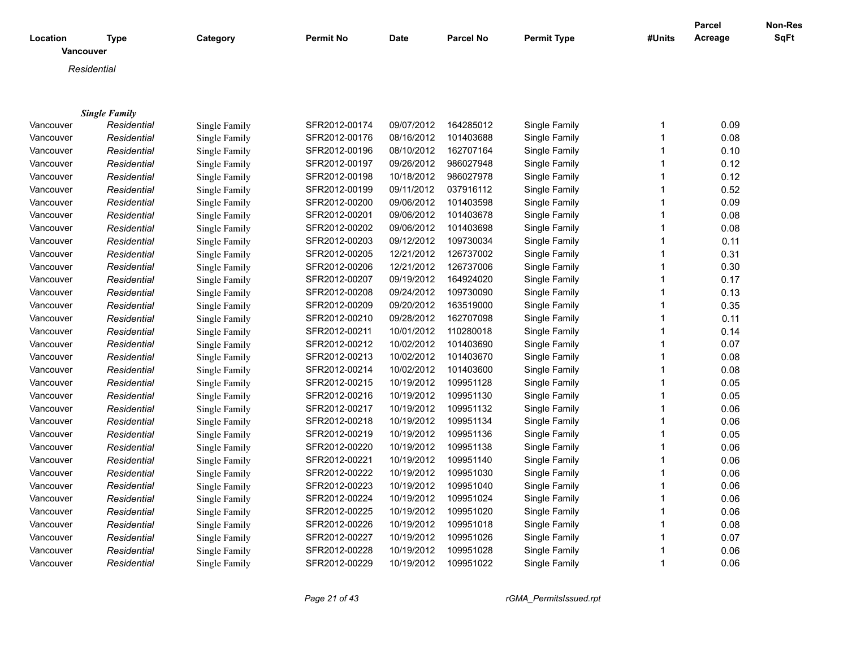| <b>SqFt</b><br>Acreage<br>Location<br><b>Type</b><br>Category<br><b>Permit No</b><br><b>Date</b><br><b>Parcel No</b><br><b>Permit Type</b><br>#Units<br>Vancouver<br>Residential<br><b>Single Family</b><br>SFR2012-00174<br>09/07/2012<br>164285012<br>Single Family<br>0.09<br>Single Family<br>Vancouver<br>Residential<br>1<br>SFR2012-00176<br>08/16/2012<br>101403688<br>Single Family<br>1<br>0.08<br>Vancouver<br>Residential<br>Single Family<br>162707164<br>Residential<br>SFR2012-00196<br>08/10/2012<br>Single Family<br>0.10<br>Vancouver<br>Single Family<br>1<br>986027948<br>SFR2012-00197<br>09/26/2012<br>Single Family<br>0.12<br>Vancouver<br>Residential<br>Single Family<br>1<br>986027978<br>0.12<br>SFR2012-00198<br>10/18/2012<br>Single Family<br>Vancouver<br>Residential<br>Single Family<br>037916112<br>SFR2012-00199<br>09/11/2012<br>Single Family<br>0.52<br>Vancouver<br>Residential<br>Single Family<br>09/06/2012<br>101403598<br>0.09<br>Residential<br>SFR2012-00200<br>Single Family<br>Vancouver<br>Single Family<br>1<br>09/06/2012<br>101403678<br>0.08<br>Residential<br>SFR2012-00201<br>Single Family<br>Vancouver<br>Single Family<br>09/06/2012<br>0.08<br>SFR2012-00202<br>101403698<br>Single Family<br>Vancouver<br>Residential<br>Single Family<br>09/12/2012<br>109730034<br>0.11<br>SFR2012-00203<br>Single Family<br>Vancouver<br>Residential<br>Single Family<br>12/21/2012<br>126737002<br>0.31<br>Vancouver<br>SFR2012-00205<br>Single Family<br>Residential<br>Single Family<br>1<br>12/21/2012<br>126737006<br>0.30<br>Vancouver<br>Residential<br>SFR2012-00206<br>Single Family<br>Single Family<br>09/19/2012<br>164924020<br>SFR2012-00207<br>Single Family<br>1<br>0.17<br>Vancouver<br>Residential<br>Single Family<br>SFR2012-00208<br>09/24/2012<br>109730090<br>Single Family<br>0.13<br>Vancouver<br>Residential<br>Single Family<br>SFR2012-00209<br>09/20/2012<br>163519000<br>Single Family<br>0.35<br>Vancouver<br>Residential<br>Single Family<br>1<br>SFR2012-00210<br>09/28/2012<br>162707098<br>0.11<br>Vancouver<br>Residential<br>Single Family<br>Single Family<br>10/01/2012<br>0.14<br>Residential<br>Single Family<br>SFR2012-00211<br>110280018<br>Single Family<br>1<br>Vancouver<br>SFR2012-00212<br>10/02/2012<br>101403690<br>0.07<br>Residential<br>Single Family<br>Vancouver<br>Single Family<br>10/02/2012<br>101403670<br>0.08<br>Vancouver<br>Residential<br>Single Family<br>SFR2012-00213<br>Single Family<br>1<br>SFR2012-00214<br>10/02/2012<br>101403600<br>0.08<br>Vancouver<br>Residential<br>Single Family<br>Single Family<br>SFR2012-00215<br>10/19/2012<br>109951128<br>Single Family<br>1<br>0.05<br>Vancouver<br>Residential<br>Single Family<br>SFR2012-00216<br>10/19/2012<br>109951130<br>Single Family<br>0.05<br>Vancouver<br>Residential<br>Single Family<br>Residential<br>SFR2012-00217<br>10/19/2012<br>109951132<br>Single Family<br>0.06<br>Vancouver<br>Single Family<br>1<br>Residential<br>SFR2012-00218<br>10/19/2012<br>109951134<br>Single Family<br>0.06<br>Vancouver<br>Single Family<br>10/19/2012<br>109951136<br>Single Family<br>0.05<br>Vancouver<br>Residential<br>Single Family<br>SFR2012-00219<br>1<br>SFR2012-00220<br>10/19/2012<br>109951138<br>Single Family<br>0.06<br>Vancouver<br>Residential<br>Single Family<br>SFR2012-00221<br>10/19/2012<br>109951140<br>Single Family<br>0.06<br>Vancouver<br>Residential<br>1<br>Single Family<br>SFR2012-00222<br>10/19/2012<br>109951030<br>Single Family<br>0.06<br>Vancouver<br>Residential<br>Single Family<br>SFR2012-00223<br>10/19/2012<br>109951040<br>Single Family<br>Vancouver<br>Residential<br>1<br>0.06<br>Single Family<br>109951024<br>0.06<br>Residential<br>SFR2012-00224<br>10/19/2012<br>Single Family<br>Vancouver<br>Single Family<br>109951020<br>Vancouver<br>Residential<br>Single Family<br>SFR2012-00225<br>10/19/2012<br>Single Family<br>0.06<br>109951018<br>0.08<br>Vancouver<br>Residential<br>Single Family<br>SFR2012-00226<br>10/19/2012<br>Single Family<br>Residential<br>Single Family<br>SFR2012-00227<br>10/19/2012<br>109951026<br>Single Family<br>0.07<br>Vancouver<br>0.06<br>Residential<br>SFR2012-00228<br>10/19/2012<br>109951028<br>Single Family<br>Vancouver<br>Single Family |           |             |               |               |            |           |               |             | <b>Parcel</b> | Non-Res |
|-------------------------------------------------------------------------------------------------------------------------------------------------------------------------------------------------------------------------------------------------------------------------------------------------------------------------------------------------------------------------------------------------------------------------------------------------------------------------------------------------------------------------------------------------------------------------------------------------------------------------------------------------------------------------------------------------------------------------------------------------------------------------------------------------------------------------------------------------------------------------------------------------------------------------------------------------------------------------------------------------------------------------------------------------------------------------------------------------------------------------------------------------------------------------------------------------------------------------------------------------------------------------------------------------------------------------------------------------------------------------------------------------------------------------------------------------------------------------------------------------------------------------------------------------------------------------------------------------------------------------------------------------------------------------------------------------------------------------------------------------------------------------------------------------------------------------------------------------------------------------------------------------------------------------------------------------------------------------------------------------------------------------------------------------------------------------------------------------------------------------------------------------------------------------------------------------------------------------------------------------------------------------------------------------------------------------------------------------------------------------------------------------------------------------------------------------------------------------------------------------------------------------------------------------------------------------------------------------------------------------------------------------------------------------------------------------------------------------------------------------------------------------------------------------------------------------------------------------------------------------------------------------------------------------------------------------------------------------------------------------------------------------------------------------------------------------------------------------------------------------------------------------------------------------------------------------------------------------------------------------------------------------------------------------------------------------------------------------------------------------------------------------------------------------------------------------------------------------------------------------------------------------------------------------------------------------------------------------------------------------------------------------------------------------------------------------------------------------------------------------------------------------------------------------------------------------------------------------------------------------------------------------------------------------------------------------------------------------------------------------------------------------------------------------------------------------------------------------------------------------------------------------------------------------------------------------------------------------------------------------------------------------------------------------------------------------|-----------|-------------|---------------|---------------|------------|-----------|---------------|-------------|---------------|---------|
|                                                                                                                                                                                                                                                                                                                                                                                                                                                                                                                                                                                                                                                                                                                                                                                                                                                                                                                                                                                                                                                                                                                                                                                                                                                                                                                                                                                                                                                                                                                                                                                                                                                                                                                                                                                                                                                                                                                                                                                                                                                                                                                                                                                                                                                                                                                                                                                                                                                                                                                                                                                                                                                                                                                                                                                                                                                                                                                                                                                                                                                                                                                                                                                                                                                                                                                                                                                                                                                                                                                                                                                                                                                                                                                                                                                                                                                                                                                                                                                                                                                                                                                                                                                                                                                                                                                         |           |             |               |               |            |           |               |             |               |         |
|                                                                                                                                                                                                                                                                                                                                                                                                                                                                                                                                                                                                                                                                                                                                                                                                                                                                                                                                                                                                                                                                                                                                                                                                                                                                                                                                                                                                                                                                                                                                                                                                                                                                                                                                                                                                                                                                                                                                                                                                                                                                                                                                                                                                                                                                                                                                                                                                                                                                                                                                                                                                                                                                                                                                                                                                                                                                                                                                                                                                                                                                                                                                                                                                                                                                                                                                                                                                                                                                                                                                                                                                                                                                                                                                                                                                                                                                                                                                                                                                                                                                                                                                                                                                                                                                                                                         |           |             |               |               |            |           |               |             |               |         |
|                                                                                                                                                                                                                                                                                                                                                                                                                                                                                                                                                                                                                                                                                                                                                                                                                                                                                                                                                                                                                                                                                                                                                                                                                                                                                                                                                                                                                                                                                                                                                                                                                                                                                                                                                                                                                                                                                                                                                                                                                                                                                                                                                                                                                                                                                                                                                                                                                                                                                                                                                                                                                                                                                                                                                                                                                                                                                                                                                                                                                                                                                                                                                                                                                                                                                                                                                                                                                                                                                                                                                                                                                                                                                                                                                                                                                                                                                                                                                                                                                                                                                                                                                                                                                                                                                                                         |           |             |               |               |            |           |               |             |               |         |
|                                                                                                                                                                                                                                                                                                                                                                                                                                                                                                                                                                                                                                                                                                                                                                                                                                                                                                                                                                                                                                                                                                                                                                                                                                                                                                                                                                                                                                                                                                                                                                                                                                                                                                                                                                                                                                                                                                                                                                                                                                                                                                                                                                                                                                                                                                                                                                                                                                                                                                                                                                                                                                                                                                                                                                                                                                                                                                                                                                                                                                                                                                                                                                                                                                                                                                                                                                                                                                                                                                                                                                                                                                                                                                                                                                                                                                                                                                                                                                                                                                                                                                                                                                                                                                                                                                                         |           |             |               |               |            |           |               |             |               |         |
|                                                                                                                                                                                                                                                                                                                                                                                                                                                                                                                                                                                                                                                                                                                                                                                                                                                                                                                                                                                                                                                                                                                                                                                                                                                                                                                                                                                                                                                                                                                                                                                                                                                                                                                                                                                                                                                                                                                                                                                                                                                                                                                                                                                                                                                                                                                                                                                                                                                                                                                                                                                                                                                                                                                                                                                                                                                                                                                                                                                                                                                                                                                                                                                                                                                                                                                                                                                                                                                                                                                                                                                                                                                                                                                                                                                                                                                                                                                                                                                                                                                                                                                                                                                                                                                                                                                         |           |             |               |               |            |           |               |             |               |         |
|                                                                                                                                                                                                                                                                                                                                                                                                                                                                                                                                                                                                                                                                                                                                                                                                                                                                                                                                                                                                                                                                                                                                                                                                                                                                                                                                                                                                                                                                                                                                                                                                                                                                                                                                                                                                                                                                                                                                                                                                                                                                                                                                                                                                                                                                                                                                                                                                                                                                                                                                                                                                                                                                                                                                                                                                                                                                                                                                                                                                                                                                                                                                                                                                                                                                                                                                                                                                                                                                                                                                                                                                                                                                                                                                                                                                                                                                                                                                                                                                                                                                                                                                                                                                                                                                                                                         |           |             |               |               |            |           |               |             |               |         |
|                                                                                                                                                                                                                                                                                                                                                                                                                                                                                                                                                                                                                                                                                                                                                                                                                                                                                                                                                                                                                                                                                                                                                                                                                                                                                                                                                                                                                                                                                                                                                                                                                                                                                                                                                                                                                                                                                                                                                                                                                                                                                                                                                                                                                                                                                                                                                                                                                                                                                                                                                                                                                                                                                                                                                                                                                                                                                                                                                                                                                                                                                                                                                                                                                                                                                                                                                                                                                                                                                                                                                                                                                                                                                                                                                                                                                                                                                                                                                                                                                                                                                                                                                                                                                                                                                                                         |           |             |               |               |            |           |               |             |               |         |
|                                                                                                                                                                                                                                                                                                                                                                                                                                                                                                                                                                                                                                                                                                                                                                                                                                                                                                                                                                                                                                                                                                                                                                                                                                                                                                                                                                                                                                                                                                                                                                                                                                                                                                                                                                                                                                                                                                                                                                                                                                                                                                                                                                                                                                                                                                                                                                                                                                                                                                                                                                                                                                                                                                                                                                                                                                                                                                                                                                                                                                                                                                                                                                                                                                                                                                                                                                                                                                                                                                                                                                                                                                                                                                                                                                                                                                                                                                                                                                                                                                                                                                                                                                                                                                                                                                                         |           |             |               |               |            |           |               |             |               |         |
|                                                                                                                                                                                                                                                                                                                                                                                                                                                                                                                                                                                                                                                                                                                                                                                                                                                                                                                                                                                                                                                                                                                                                                                                                                                                                                                                                                                                                                                                                                                                                                                                                                                                                                                                                                                                                                                                                                                                                                                                                                                                                                                                                                                                                                                                                                                                                                                                                                                                                                                                                                                                                                                                                                                                                                                                                                                                                                                                                                                                                                                                                                                                                                                                                                                                                                                                                                                                                                                                                                                                                                                                                                                                                                                                                                                                                                                                                                                                                                                                                                                                                                                                                                                                                                                                                                                         |           |             |               |               |            |           |               |             |               |         |
|                                                                                                                                                                                                                                                                                                                                                                                                                                                                                                                                                                                                                                                                                                                                                                                                                                                                                                                                                                                                                                                                                                                                                                                                                                                                                                                                                                                                                                                                                                                                                                                                                                                                                                                                                                                                                                                                                                                                                                                                                                                                                                                                                                                                                                                                                                                                                                                                                                                                                                                                                                                                                                                                                                                                                                                                                                                                                                                                                                                                                                                                                                                                                                                                                                                                                                                                                                                                                                                                                                                                                                                                                                                                                                                                                                                                                                                                                                                                                                                                                                                                                                                                                                                                                                                                                                                         |           |             |               |               |            |           |               |             |               |         |
|                                                                                                                                                                                                                                                                                                                                                                                                                                                                                                                                                                                                                                                                                                                                                                                                                                                                                                                                                                                                                                                                                                                                                                                                                                                                                                                                                                                                                                                                                                                                                                                                                                                                                                                                                                                                                                                                                                                                                                                                                                                                                                                                                                                                                                                                                                                                                                                                                                                                                                                                                                                                                                                                                                                                                                                                                                                                                                                                                                                                                                                                                                                                                                                                                                                                                                                                                                                                                                                                                                                                                                                                                                                                                                                                                                                                                                                                                                                                                                                                                                                                                                                                                                                                                                                                                                                         |           |             |               |               |            |           |               |             |               |         |
|                                                                                                                                                                                                                                                                                                                                                                                                                                                                                                                                                                                                                                                                                                                                                                                                                                                                                                                                                                                                                                                                                                                                                                                                                                                                                                                                                                                                                                                                                                                                                                                                                                                                                                                                                                                                                                                                                                                                                                                                                                                                                                                                                                                                                                                                                                                                                                                                                                                                                                                                                                                                                                                                                                                                                                                                                                                                                                                                                                                                                                                                                                                                                                                                                                                                                                                                                                                                                                                                                                                                                                                                                                                                                                                                                                                                                                                                                                                                                                                                                                                                                                                                                                                                                                                                                                                         |           |             |               |               |            |           |               |             |               |         |
|                                                                                                                                                                                                                                                                                                                                                                                                                                                                                                                                                                                                                                                                                                                                                                                                                                                                                                                                                                                                                                                                                                                                                                                                                                                                                                                                                                                                                                                                                                                                                                                                                                                                                                                                                                                                                                                                                                                                                                                                                                                                                                                                                                                                                                                                                                                                                                                                                                                                                                                                                                                                                                                                                                                                                                                                                                                                                                                                                                                                                                                                                                                                                                                                                                                                                                                                                                                                                                                                                                                                                                                                                                                                                                                                                                                                                                                                                                                                                                                                                                                                                                                                                                                                                                                                                                                         |           |             |               |               |            |           |               |             |               |         |
|                                                                                                                                                                                                                                                                                                                                                                                                                                                                                                                                                                                                                                                                                                                                                                                                                                                                                                                                                                                                                                                                                                                                                                                                                                                                                                                                                                                                                                                                                                                                                                                                                                                                                                                                                                                                                                                                                                                                                                                                                                                                                                                                                                                                                                                                                                                                                                                                                                                                                                                                                                                                                                                                                                                                                                                                                                                                                                                                                                                                                                                                                                                                                                                                                                                                                                                                                                                                                                                                                                                                                                                                                                                                                                                                                                                                                                                                                                                                                                                                                                                                                                                                                                                                                                                                                                                         |           |             |               |               |            |           |               |             |               |         |
|                                                                                                                                                                                                                                                                                                                                                                                                                                                                                                                                                                                                                                                                                                                                                                                                                                                                                                                                                                                                                                                                                                                                                                                                                                                                                                                                                                                                                                                                                                                                                                                                                                                                                                                                                                                                                                                                                                                                                                                                                                                                                                                                                                                                                                                                                                                                                                                                                                                                                                                                                                                                                                                                                                                                                                                                                                                                                                                                                                                                                                                                                                                                                                                                                                                                                                                                                                                                                                                                                                                                                                                                                                                                                                                                                                                                                                                                                                                                                                                                                                                                                                                                                                                                                                                                                                                         |           |             |               |               |            |           |               |             |               |         |
|                                                                                                                                                                                                                                                                                                                                                                                                                                                                                                                                                                                                                                                                                                                                                                                                                                                                                                                                                                                                                                                                                                                                                                                                                                                                                                                                                                                                                                                                                                                                                                                                                                                                                                                                                                                                                                                                                                                                                                                                                                                                                                                                                                                                                                                                                                                                                                                                                                                                                                                                                                                                                                                                                                                                                                                                                                                                                                                                                                                                                                                                                                                                                                                                                                                                                                                                                                                                                                                                                                                                                                                                                                                                                                                                                                                                                                                                                                                                                                                                                                                                                                                                                                                                                                                                                                                         |           |             |               |               |            |           |               |             |               |         |
|                                                                                                                                                                                                                                                                                                                                                                                                                                                                                                                                                                                                                                                                                                                                                                                                                                                                                                                                                                                                                                                                                                                                                                                                                                                                                                                                                                                                                                                                                                                                                                                                                                                                                                                                                                                                                                                                                                                                                                                                                                                                                                                                                                                                                                                                                                                                                                                                                                                                                                                                                                                                                                                                                                                                                                                                                                                                                                                                                                                                                                                                                                                                                                                                                                                                                                                                                                                                                                                                                                                                                                                                                                                                                                                                                                                                                                                                                                                                                                                                                                                                                                                                                                                                                                                                                                                         |           |             |               |               |            |           |               |             |               |         |
|                                                                                                                                                                                                                                                                                                                                                                                                                                                                                                                                                                                                                                                                                                                                                                                                                                                                                                                                                                                                                                                                                                                                                                                                                                                                                                                                                                                                                                                                                                                                                                                                                                                                                                                                                                                                                                                                                                                                                                                                                                                                                                                                                                                                                                                                                                                                                                                                                                                                                                                                                                                                                                                                                                                                                                                                                                                                                                                                                                                                                                                                                                                                                                                                                                                                                                                                                                                                                                                                                                                                                                                                                                                                                                                                                                                                                                                                                                                                                                                                                                                                                                                                                                                                                                                                                                                         |           |             |               |               |            |           |               |             |               |         |
|                                                                                                                                                                                                                                                                                                                                                                                                                                                                                                                                                                                                                                                                                                                                                                                                                                                                                                                                                                                                                                                                                                                                                                                                                                                                                                                                                                                                                                                                                                                                                                                                                                                                                                                                                                                                                                                                                                                                                                                                                                                                                                                                                                                                                                                                                                                                                                                                                                                                                                                                                                                                                                                                                                                                                                                                                                                                                                                                                                                                                                                                                                                                                                                                                                                                                                                                                                                                                                                                                                                                                                                                                                                                                                                                                                                                                                                                                                                                                                                                                                                                                                                                                                                                                                                                                                                         |           |             |               |               |            |           |               |             |               |         |
|                                                                                                                                                                                                                                                                                                                                                                                                                                                                                                                                                                                                                                                                                                                                                                                                                                                                                                                                                                                                                                                                                                                                                                                                                                                                                                                                                                                                                                                                                                                                                                                                                                                                                                                                                                                                                                                                                                                                                                                                                                                                                                                                                                                                                                                                                                                                                                                                                                                                                                                                                                                                                                                                                                                                                                                                                                                                                                                                                                                                                                                                                                                                                                                                                                                                                                                                                                                                                                                                                                                                                                                                                                                                                                                                                                                                                                                                                                                                                                                                                                                                                                                                                                                                                                                                                                                         |           |             |               |               |            |           |               |             |               |         |
|                                                                                                                                                                                                                                                                                                                                                                                                                                                                                                                                                                                                                                                                                                                                                                                                                                                                                                                                                                                                                                                                                                                                                                                                                                                                                                                                                                                                                                                                                                                                                                                                                                                                                                                                                                                                                                                                                                                                                                                                                                                                                                                                                                                                                                                                                                                                                                                                                                                                                                                                                                                                                                                                                                                                                                                                                                                                                                                                                                                                                                                                                                                                                                                                                                                                                                                                                                                                                                                                                                                                                                                                                                                                                                                                                                                                                                                                                                                                                                                                                                                                                                                                                                                                                                                                                                                         |           |             |               |               |            |           |               |             |               |         |
|                                                                                                                                                                                                                                                                                                                                                                                                                                                                                                                                                                                                                                                                                                                                                                                                                                                                                                                                                                                                                                                                                                                                                                                                                                                                                                                                                                                                                                                                                                                                                                                                                                                                                                                                                                                                                                                                                                                                                                                                                                                                                                                                                                                                                                                                                                                                                                                                                                                                                                                                                                                                                                                                                                                                                                                                                                                                                                                                                                                                                                                                                                                                                                                                                                                                                                                                                                                                                                                                                                                                                                                                                                                                                                                                                                                                                                                                                                                                                                                                                                                                                                                                                                                                                                                                                                                         |           |             |               |               |            |           |               |             |               |         |
|                                                                                                                                                                                                                                                                                                                                                                                                                                                                                                                                                                                                                                                                                                                                                                                                                                                                                                                                                                                                                                                                                                                                                                                                                                                                                                                                                                                                                                                                                                                                                                                                                                                                                                                                                                                                                                                                                                                                                                                                                                                                                                                                                                                                                                                                                                                                                                                                                                                                                                                                                                                                                                                                                                                                                                                                                                                                                                                                                                                                                                                                                                                                                                                                                                                                                                                                                                                                                                                                                                                                                                                                                                                                                                                                                                                                                                                                                                                                                                                                                                                                                                                                                                                                                                                                                                                         |           |             |               |               |            |           |               |             |               |         |
|                                                                                                                                                                                                                                                                                                                                                                                                                                                                                                                                                                                                                                                                                                                                                                                                                                                                                                                                                                                                                                                                                                                                                                                                                                                                                                                                                                                                                                                                                                                                                                                                                                                                                                                                                                                                                                                                                                                                                                                                                                                                                                                                                                                                                                                                                                                                                                                                                                                                                                                                                                                                                                                                                                                                                                                                                                                                                                                                                                                                                                                                                                                                                                                                                                                                                                                                                                                                                                                                                                                                                                                                                                                                                                                                                                                                                                                                                                                                                                                                                                                                                                                                                                                                                                                                                                                         |           |             |               |               |            |           |               |             |               |         |
|                                                                                                                                                                                                                                                                                                                                                                                                                                                                                                                                                                                                                                                                                                                                                                                                                                                                                                                                                                                                                                                                                                                                                                                                                                                                                                                                                                                                                                                                                                                                                                                                                                                                                                                                                                                                                                                                                                                                                                                                                                                                                                                                                                                                                                                                                                                                                                                                                                                                                                                                                                                                                                                                                                                                                                                                                                                                                                                                                                                                                                                                                                                                                                                                                                                                                                                                                                                                                                                                                                                                                                                                                                                                                                                                                                                                                                                                                                                                                                                                                                                                                                                                                                                                                                                                                                                         |           |             |               |               |            |           |               |             |               |         |
|                                                                                                                                                                                                                                                                                                                                                                                                                                                                                                                                                                                                                                                                                                                                                                                                                                                                                                                                                                                                                                                                                                                                                                                                                                                                                                                                                                                                                                                                                                                                                                                                                                                                                                                                                                                                                                                                                                                                                                                                                                                                                                                                                                                                                                                                                                                                                                                                                                                                                                                                                                                                                                                                                                                                                                                                                                                                                                                                                                                                                                                                                                                                                                                                                                                                                                                                                                                                                                                                                                                                                                                                                                                                                                                                                                                                                                                                                                                                                                                                                                                                                                                                                                                                                                                                                                                         |           |             |               |               |            |           |               |             |               |         |
|                                                                                                                                                                                                                                                                                                                                                                                                                                                                                                                                                                                                                                                                                                                                                                                                                                                                                                                                                                                                                                                                                                                                                                                                                                                                                                                                                                                                                                                                                                                                                                                                                                                                                                                                                                                                                                                                                                                                                                                                                                                                                                                                                                                                                                                                                                                                                                                                                                                                                                                                                                                                                                                                                                                                                                                                                                                                                                                                                                                                                                                                                                                                                                                                                                                                                                                                                                                                                                                                                                                                                                                                                                                                                                                                                                                                                                                                                                                                                                                                                                                                                                                                                                                                                                                                                                                         |           |             |               |               |            |           |               |             |               |         |
|                                                                                                                                                                                                                                                                                                                                                                                                                                                                                                                                                                                                                                                                                                                                                                                                                                                                                                                                                                                                                                                                                                                                                                                                                                                                                                                                                                                                                                                                                                                                                                                                                                                                                                                                                                                                                                                                                                                                                                                                                                                                                                                                                                                                                                                                                                                                                                                                                                                                                                                                                                                                                                                                                                                                                                                                                                                                                                                                                                                                                                                                                                                                                                                                                                                                                                                                                                                                                                                                                                                                                                                                                                                                                                                                                                                                                                                                                                                                                                                                                                                                                                                                                                                                                                                                                                                         |           |             |               |               |            |           |               |             |               |         |
|                                                                                                                                                                                                                                                                                                                                                                                                                                                                                                                                                                                                                                                                                                                                                                                                                                                                                                                                                                                                                                                                                                                                                                                                                                                                                                                                                                                                                                                                                                                                                                                                                                                                                                                                                                                                                                                                                                                                                                                                                                                                                                                                                                                                                                                                                                                                                                                                                                                                                                                                                                                                                                                                                                                                                                                                                                                                                                                                                                                                                                                                                                                                                                                                                                                                                                                                                                                                                                                                                                                                                                                                                                                                                                                                                                                                                                                                                                                                                                                                                                                                                                                                                                                                                                                                                                                         |           |             |               |               |            |           |               |             |               |         |
|                                                                                                                                                                                                                                                                                                                                                                                                                                                                                                                                                                                                                                                                                                                                                                                                                                                                                                                                                                                                                                                                                                                                                                                                                                                                                                                                                                                                                                                                                                                                                                                                                                                                                                                                                                                                                                                                                                                                                                                                                                                                                                                                                                                                                                                                                                                                                                                                                                                                                                                                                                                                                                                                                                                                                                                                                                                                                                                                                                                                                                                                                                                                                                                                                                                                                                                                                                                                                                                                                                                                                                                                                                                                                                                                                                                                                                                                                                                                                                                                                                                                                                                                                                                                                                                                                                                         |           |             |               |               |            |           |               |             |               |         |
|                                                                                                                                                                                                                                                                                                                                                                                                                                                                                                                                                                                                                                                                                                                                                                                                                                                                                                                                                                                                                                                                                                                                                                                                                                                                                                                                                                                                                                                                                                                                                                                                                                                                                                                                                                                                                                                                                                                                                                                                                                                                                                                                                                                                                                                                                                                                                                                                                                                                                                                                                                                                                                                                                                                                                                                                                                                                                                                                                                                                                                                                                                                                                                                                                                                                                                                                                                                                                                                                                                                                                                                                                                                                                                                                                                                                                                                                                                                                                                                                                                                                                                                                                                                                                                                                                                                         |           |             |               |               |            |           |               |             |               |         |
|                                                                                                                                                                                                                                                                                                                                                                                                                                                                                                                                                                                                                                                                                                                                                                                                                                                                                                                                                                                                                                                                                                                                                                                                                                                                                                                                                                                                                                                                                                                                                                                                                                                                                                                                                                                                                                                                                                                                                                                                                                                                                                                                                                                                                                                                                                                                                                                                                                                                                                                                                                                                                                                                                                                                                                                                                                                                                                                                                                                                                                                                                                                                                                                                                                                                                                                                                                                                                                                                                                                                                                                                                                                                                                                                                                                                                                                                                                                                                                                                                                                                                                                                                                                                                                                                                                                         |           |             |               |               |            |           |               |             |               |         |
|                                                                                                                                                                                                                                                                                                                                                                                                                                                                                                                                                                                                                                                                                                                                                                                                                                                                                                                                                                                                                                                                                                                                                                                                                                                                                                                                                                                                                                                                                                                                                                                                                                                                                                                                                                                                                                                                                                                                                                                                                                                                                                                                                                                                                                                                                                                                                                                                                                                                                                                                                                                                                                                                                                                                                                                                                                                                                                                                                                                                                                                                                                                                                                                                                                                                                                                                                                                                                                                                                                                                                                                                                                                                                                                                                                                                                                                                                                                                                                                                                                                                                                                                                                                                                                                                                                                         |           |             |               |               |            |           |               |             |               |         |
|                                                                                                                                                                                                                                                                                                                                                                                                                                                                                                                                                                                                                                                                                                                                                                                                                                                                                                                                                                                                                                                                                                                                                                                                                                                                                                                                                                                                                                                                                                                                                                                                                                                                                                                                                                                                                                                                                                                                                                                                                                                                                                                                                                                                                                                                                                                                                                                                                                                                                                                                                                                                                                                                                                                                                                                                                                                                                                                                                                                                                                                                                                                                                                                                                                                                                                                                                                                                                                                                                                                                                                                                                                                                                                                                                                                                                                                                                                                                                                                                                                                                                                                                                                                                                                                                                                                         |           |             |               |               |            |           |               |             |               |         |
|                                                                                                                                                                                                                                                                                                                                                                                                                                                                                                                                                                                                                                                                                                                                                                                                                                                                                                                                                                                                                                                                                                                                                                                                                                                                                                                                                                                                                                                                                                                                                                                                                                                                                                                                                                                                                                                                                                                                                                                                                                                                                                                                                                                                                                                                                                                                                                                                                                                                                                                                                                                                                                                                                                                                                                                                                                                                                                                                                                                                                                                                                                                                                                                                                                                                                                                                                                                                                                                                                                                                                                                                                                                                                                                                                                                                                                                                                                                                                                                                                                                                                                                                                                                                                                                                                                                         |           |             |               |               |            |           |               |             |               |         |
|                                                                                                                                                                                                                                                                                                                                                                                                                                                                                                                                                                                                                                                                                                                                                                                                                                                                                                                                                                                                                                                                                                                                                                                                                                                                                                                                                                                                                                                                                                                                                                                                                                                                                                                                                                                                                                                                                                                                                                                                                                                                                                                                                                                                                                                                                                                                                                                                                                                                                                                                                                                                                                                                                                                                                                                                                                                                                                                                                                                                                                                                                                                                                                                                                                                                                                                                                                                                                                                                                                                                                                                                                                                                                                                                                                                                                                                                                                                                                                                                                                                                                                                                                                                                                                                                                                                         |           |             |               |               |            |           |               |             |               |         |
|                                                                                                                                                                                                                                                                                                                                                                                                                                                                                                                                                                                                                                                                                                                                                                                                                                                                                                                                                                                                                                                                                                                                                                                                                                                                                                                                                                                                                                                                                                                                                                                                                                                                                                                                                                                                                                                                                                                                                                                                                                                                                                                                                                                                                                                                                                                                                                                                                                                                                                                                                                                                                                                                                                                                                                                                                                                                                                                                                                                                                                                                                                                                                                                                                                                                                                                                                                                                                                                                                                                                                                                                                                                                                                                                                                                                                                                                                                                                                                                                                                                                                                                                                                                                                                                                                                                         |           |             |               |               |            |           |               |             |               |         |
|                                                                                                                                                                                                                                                                                                                                                                                                                                                                                                                                                                                                                                                                                                                                                                                                                                                                                                                                                                                                                                                                                                                                                                                                                                                                                                                                                                                                                                                                                                                                                                                                                                                                                                                                                                                                                                                                                                                                                                                                                                                                                                                                                                                                                                                                                                                                                                                                                                                                                                                                                                                                                                                                                                                                                                                                                                                                                                                                                                                                                                                                                                                                                                                                                                                                                                                                                                                                                                                                                                                                                                                                                                                                                                                                                                                                                                                                                                                                                                                                                                                                                                                                                                                                                                                                                                                         |           |             |               |               |            |           |               |             |               |         |
|                                                                                                                                                                                                                                                                                                                                                                                                                                                                                                                                                                                                                                                                                                                                                                                                                                                                                                                                                                                                                                                                                                                                                                                                                                                                                                                                                                                                                                                                                                                                                                                                                                                                                                                                                                                                                                                                                                                                                                                                                                                                                                                                                                                                                                                                                                                                                                                                                                                                                                                                                                                                                                                                                                                                                                                                                                                                                                                                                                                                                                                                                                                                                                                                                                                                                                                                                                                                                                                                                                                                                                                                                                                                                                                                                                                                                                                                                                                                                                                                                                                                                                                                                                                                                                                                                                                         |           |             |               |               |            |           |               |             |               |         |
|                                                                                                                                                                                                                                                                                                                                                                                                                                                                                                                                                                                                                                                                                                                                                                                                                                                                                                                                                                                                                                                                                                                                                                                                                                                                                                                                                                                                                                                                                                                                                                                                                                                                                                                                                                                                                                                                                                                                                                                                                                                                                                                                                                                                                                                                                                                                                                                                                                                                                                                                                                                                                                                                                                                                                                                                                                                                                                                                                                                                                                                                                                                                                                                                                                                                                                                                                                                                                                                                                                                                                                                                                                                                                                                                                                                                                                                                                                                                                                                                                                                                                                                                                                                                                                                                                                                         | Vancouver | Residential | Single Family | SFR2012-00229 | 10/19/2012 | 109951022 | Single Family | $\mathbf 1$ | 0.06          |         |

*Page 21 of 43 rGMA\_PermitsIssued.rpt*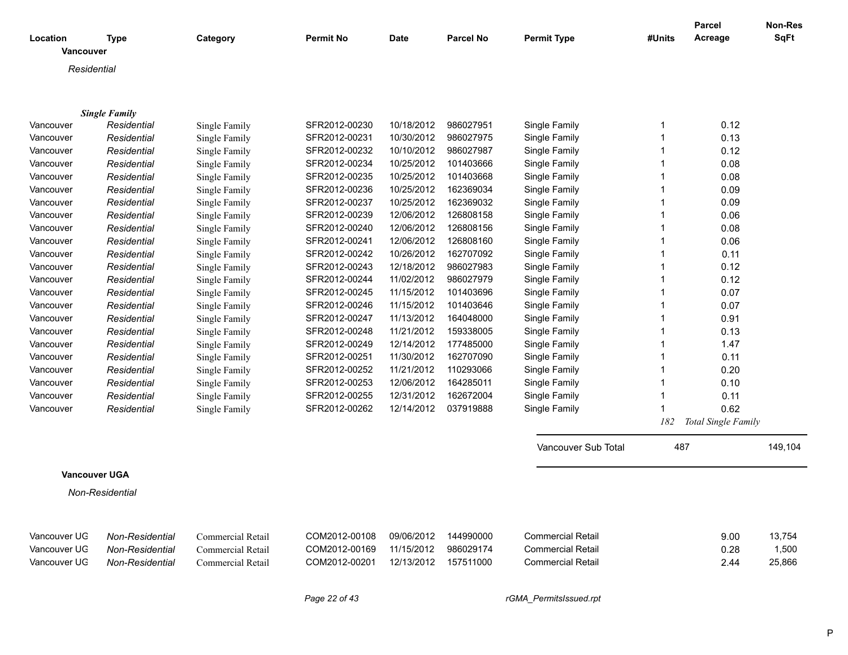| Location<br><b>Vancouver</b> | <b>Type</b>          | Category          | <b>Permit No</b> | <b>Date</b> | <b>Parcel No</b> | <b>Permit Type</b>       | #Units       | <b>Parcel</b><br>Acreage | <b>Non-Res</b><br><b>SqFt</b> |
|------------------------------|----------------------|-------------------|------------------|-------------|------------------|--------------------------|--------------|--------------------------|-------------------------------|
| Residential                  |                      |                   |                  |             |                  |                          |              |                          |                               |
|                              |                      |                   |                  |             |                  |                          |              |                          |                               |
|                              |                      |                   |                  |             |                  |                          |              |                          |                               |
|                              | <b>Single Family</b> |                   |                  |             |                  |                          |              |                          |                               |
| Vancouver                    | Residential          | Single Family     | SFR2012-00230    | 10/18/2012  | 986027951        | Single Family            | $\mathbf 1$  | 0.12                     |                               |
| Vancouver                    | Residential          | Single Family     | SFR2012-00231    | 10/30/2012  | 986027975        | Single Family            | $\mathbf{1}$ | 0.13                     |                               |
| Vancouver                    | Residential          | Single Family     | SFR2012-00232    | 10/10/2012  | 986027987        | Single Family            | $\mathbf{1}$ | 0.12                     |                               |
| Vancouver                    | Residential          | Single Family     | SFR2012-00234    | 10/25/2012  | 101403666        | Single Family            | $\mathbf{1}$ | 0.08                     |                               |
| Vancouver                    | Residential          | Single Family     | SFR2012-00235    | 10/25/2012  | 101403668        | Single Family            | $\mathbf{1}$ | 0.08                     |                               |
| Vancouver                    | Residential          | Single Family     | SFR2012-00236    | 10/25/2012  | 162369034        | Single Family            | $\mathbf{1}$ | 0.09                     |                               |
| Vancouver                    | Residential          | Single Family     | SFR2012-00237    | 10/25/2012  | 162369032        | Single Family            | $\mathbf{1}$ | 0.09                     |                               |
| Vancouver                    | Residential          | Single Family     | SFR2012-00239    | 12/06/2012  | 126808158        | Single Family            | $\mathbf{1}$ | 0.06                     |                               |
| Vancouver                    | Residential          | Single Family     | SFR2012-00240    | 12/06/2012  | 126808156        | Single Family            | $\mathbf{1}$ | 0.08                     |                               |
| Vancouver                    | Residential          | Single Family     | SFR2012-00241    | 12/06/2012  | 126808160        | Single Family            | 1            | 0.06                     |                               |
| Vancouver                    | Residential          | Single Family     | SFR2012-00242    | 10/26/2012  | 162707092        | Single Family            | $\mathbf{1}$ | 0.11                     |                               |
| Vancouver                    | Residential          | Single Family     | SFR2012-00243    | 12/18/2012  | 986027983        | Single Family            | $\mathbf{1}$ | 0.12                     |                               |
| Vancouver                    | Residential          | Single Family     | SFR2012-00244    | 11/02/2012  | 986027979        | Single Family            | $\mathbf{1}$ | 0.12                     |                               |
| Vancouver                    | Residential          | Single Family     | SFR2012-00245    | 11/15/2012  | 101403696        | Single Family            | $\mathbf{1}$ | 0.07                     |                               |
| Vancouver                    | Residential          | Single Family     | SFR2012-00246    | 11/15/2012  | 101403646        | Single Family            | $\mathbf{1}$ | 0.07                     |                               |
| Vancouver                    | Residential          | Single Family     | SFR2012-00247    | 11/13/2012  | 164048000        | Single Family            | $\mathbf{1}$ | 0.91                     |                               |
| Vancouver                    | Residential          | Single Family     | SFR2012-00248    | 11/21/2012  | 159338005        | Single Family            | $\mathbf{1}$ | 0.13                     |                               |
| Vancouver                    | Residential          | Single Family     | SFR2012-00249    | 12/14/2012  | 177485000        | Single Family            | $\mathbf{1}$ | 1.47                     |                               |
| Vancouver                    | Residential          | Single Family     | SFR2012-00251    | 11/30/2012  | 162707090        | Single Family            | $\mathbf{1}$ | 0.11                     |                               |
| Vancouver                    | Residential          | Single Family     | SFR2012-00252    | 11/21/2012  | 110293066        | Single Family            | $\mathbf{1}$ | 0.20                     |                               |
| Vancouver                    | Residential          | Single Family     | SFR2012-00253    | 12/06/2012  | 164285011        | Single Family            | $\mathbf{1}$ | 0.10                     |                               |
| Vancouver                    | Residential          | Single Family     | SFR2012-00255    | 12/31/2012  | 162672004        | Single Family            | $\mathbf{1}$ | 0.11                     |                               |
| Vancouver                    | Residential          | Single Family     | SFR2012-00262    | 12/14/2012  | 037919888        | Single Family            | $\mathbf{1}$ | 0.62                     |                               |
|                              |                      |                   |                  |             |                  |                          | 182          | Total Single Family      |                               |
|                              |                      |                   |                  |             |                  | Vancouver Sub Total      | 487          |                          | 149,104                       |
|                              |                      |                   |                  |             |                  |                          |              |                          |                               |
| <b>Vancouver UGA</b>         |                      |                   |                  |             |                  |                          |              |                          |                               |
|                              | Non-Residential      |                   |                  |             |                  |                          |              |                          |                               |
|                              |                      |                   |                  |             |                  |                          |              |                          |                               |
| Vancouver UG                 | Non-Residential      | Commercial Retail | COM2012-00108    | 09/06/2012  | 144990000        | <b>Commercial Retail</b> |              | 9.00                     | 13,754                        |
| Vancouver UG                 | Non-Residential      | Commercial Retail | COM2012-00169    | 11/15/2012  | 986029174        | <b>Commercial Retail</b> |              | 0.28                     | 1,500                         |
| Vancouver UG                 | Non-Residential      | Commercial Retail | COM2012-00201    | 12/13/2012  | 157511000        | <b>Commercial Retail</b> |              | 2.44                     | 25,866                        |
|                              |                      |                   |                  |             |                  |                          |              |                          |                               |

*Page 22 of 43 rGMA\_PermitsIssued.rpt*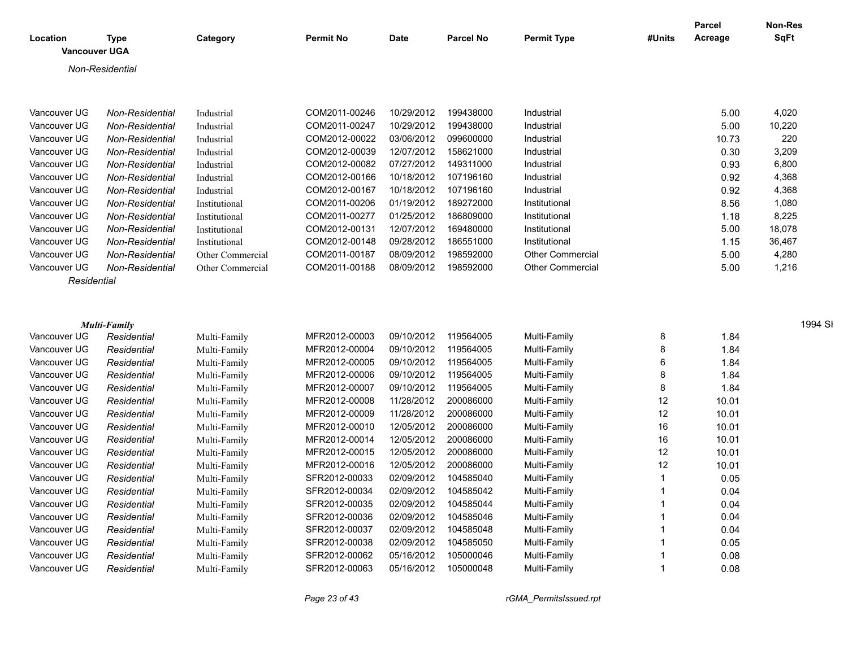| Location             | Type                | Category         | <b>Permit No</b> | Date       | <b>Parcel No</b> | <b>Permit Type</b>      | #Units | <b>Parcel</b><br>Acreage | Non-Res<br><b>SqFt</b> |
|----------------------|---------------------|------------------|------------------|------------|------------------|-------------------------|--------|--------------------------|------------------------|
| <b>Vancouver UGA</b> |                     |                  |                  |            |                  |                         |        |                          |                        |
|                      | Non-Residential     |                  |                  |            |                  |                         |        |                          |                        |
|                      |                     |                  |                  |            |                  |                         |        |                          |                        |
|                      |                     |                  |                  |            |                  |                         |        |                          |                        |
| Vancouver UG         | Non-Residential     | Industrial       | COM2011-00246    | 10/29/2012 | 199438000        | Industrial              |        | 5.00                     | 4,020                  |
| Vancouver UG         | Non-Residential     | Industrial       | COM2011-00247    | 10/29/2012 | 199438000        | Industrial              |        | 5.00                     | 10,220                 |
| Vancouver UG         | Non-Residential     | Industrial       | COM2012-00022    | 03/06/2012 | 099600000        | Industrial              |        | 10.73                    | 220                    |
| Vancouver UG         | Non-Residential     | Industrial       | COM2012-00039    | 12/07/2012 | 158621000        | Industrial              |        | 0.30                     | 3,209                  |
| Vancouver UG         | Non-Residential     | Industrial       | COM2012-00082    | 07/27/2012 | 149311000        | Industrial              |        | 0.93                     | 6,800                  |
| Vancouver UG         | Non-Residential     | Industrial       | COM2012-00166    | 10/18/2012 | 107196160        | Industrial              |        | 0.92                     | 4,368                  |
| Vancouver UG         | Non-Residential     | Industrial       | COM2012-00167    | 10/18/2012 | 107196160        | Industrial              |        | 0.92                     | 4,368                  |
| Vancouver UG         | Non-Residential     | Institutional    | COM2011-00206    | 01/19/2012 | 189272000        | Institutional           |        | 8.56                     | 1,080                  |
| Vancouver UG         | Non-Residential     | Institutional    | COM2011-00277    | 01/25/2012 | 186809000        | Institutional           |        | 1.18                     | 8,225                  |
| Vancouver UG         | Non-Residential     | Institutional    | COM2012-00131    | 12/07/2012 | 169480000        | Institutional           |        | 5.00                     | 18,078                 |
| Vancouver UG         | Non-Residential     | Institutional    | COM2012-00148    | 09/28/2012 | 186551000        | Institutional           |        | 1.15                     | 36,467                 |
| Vancouver UG         | Non-Residential     | Other Commercial | COM2011-00187    | 08/09/2012 | 198592000        | Other Commercial        |        | 5.00                     | 4,280                  |
| Vancouver UG         | Non-Residential     | Other Commercial | COM2011-00188    | 08/09/2012 | 198592000        | <b>Other Commercial</b> |        | 5.00                     | 1,216                  |
| Residential          |                     |                  |                  |            |                  |                         |        |                          |                        |
|                      |                     |                  |                  |            |                  |                         |        |                          |                        |
|                      |                     |                  |                  |            |                  |                         |        |                          |                        |
|                      | <b>Multi-Family</b> |                  |                  |            |                  |                         |        |                          | 1994 SI                |
| Vancouver UG         | Residential         | Multi-Family     | MFR2012-00003    | 09/10/2012 | 119564005        | Multi-Family            | 8      | 1.84                     |                        |
| Vancouver UG         | Residential         | Multi-Family     | MFR2012-00004    | 09/10/2012 | 119564005        | Multi-Family            | 8      | 1.84                     |                        |
| Vancouver UG         | Residential         | Multi-Family     | MFR2012-00005    | 09/10/2012 | 119564005        | Multi-Family            | 6      | 1.84                     |                        |
| Vancouver UG         | Residential         | Multi-Family     | MFR2012-00006    | 09/10/2012 | 119564005        | Multi-Family            | 8      | 1.84                     |                        |
| Vancouver UG         | Residential         | Multi-Family     | MFR2012-00007    | 09/10/2012 | 119564005        | Multi-Family            | 8      | 1.84                     |                        |
| Vancouver UG         | Residential         | Multi-Family     | MFR2012-00008    | 11/28/2012 | 200086000        | Multi-Family            | 12     | 10.01                    |                        |
| Vancouver UG         | Residential         | Multi-Family     | MFR2012-00009    | 11/28/2012 | 200086000        | Multi-Family            | 12     | 10.01                    |                        |
| Vancouver UG         | Residential         | Multi-Family     | MFR2012-00010    | 12/05/2012 | 200086000        | Multi-Family            | 16     | 10.01                    |                        |
| Vancouver UG         | Residential         | Multi-Family     | MFR2012-00014    | 12/05/2012 | 200086000        | Multi-Family            | 16     | 10.01                    |                        |
| Vancouver UG         | Residential         | Multi-Family     | MFR2012-00015    | 12/05/2012 | 200086000        | Multi-Family            | 12     | 10.01                    |                        |
| Vancouver UG         | Residential         | Multi-Family     | MFR2012-00016    | 12/05/2012 | 200086000        | Multi-Family            | 12     | 10.01                    |                        |
| Vancouver UG         | Residential         | Multi-Family     | SFR2012-00033    | 02/09/2012 | 104585040        | Multi-Family            | 1      | 0.05                     |                        |
| Vancouver UG         | Residential         | Multi-Family     | SFR2012-00034    | 02/09/2012 | 104585042        | Multi-Family            | 1      | 0.04                     |                        |
| Vancouver UG         | Residential         | Multi-Family     | SFR2012-00035    | 02/09/2012 | 104585044        | Multi-Family            | 1      | 0.04                     |                        |
| Vancouver UG         | Residential         | Multi-Family     | SFR2012-00036    | 02/09/2012 | 104585046        | Multi-Family            | 1      | 0.04                     |                        |
| Vancouver UG         | Residential         | Multi-Family     | SFR2012-00037    | 02/09/2012 | 104585048        | Multi-Family            | 1      | 0.04                     |                        |
| Vancouver UG         | Residential         | Multi-Family     | SFR2012-00038    | 02/09/2012 | 104585050        | Multi-Family            | 1      | 0.05                     |                        |
| Vancouver UG         | Residential         | Multi-Family     | SFR2012-00062    | 05/16/2012 | 105000046        | Multi-Family            | 1      | 0.08                     |                        |
| Vancouver UG         | Residential         | Multi-Family     | SFR2012-00063    | 05/16/2012 | 105000048        | Multi-Family            | 1      | 0.08                     |                        |
|                      |                     |                  |                  |            |                  |                         |        |                          |                        |

*Page 23 of 43 rGMA\_PermitsIssued.rpt*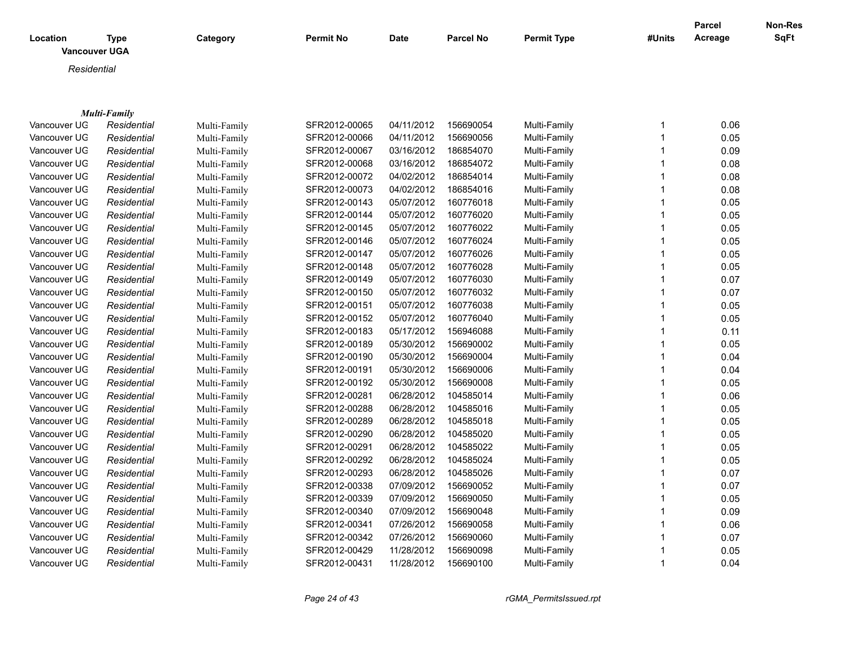| Location<br><b>Vancouver UGA</b> | <b>Type</b>                        | Category                     | <b>Permit No</b> | <b>Date</b> | <b>Parcel No</b> | <b>Permit Type</b> | #Units | Parcel<br>Acreage | <b>Non-Res</b><br><b>SqFt</b> |
|----------------------------------|------------------------------------|------------------------------|------------------|-------------|------------------|--------------------|--------|-------------------|-------------------------------|
| Residential                      |                                    |                              |                  |             |                  |                    |        |                   |                               |
|                                  |                                    |                              |                  |             |                  |                    |        |                   |                               |
|                                  |                                    |                              |                  |             |                  |                    |        |                   |                               |
| Vancouver UG                     | <b>Multi-Family</b><br>Residential |                              | SFR2012-00065    | 04/11/2012  | 156690054        | Multi-Family       |        | 0.06              |                               |
| Vancouver UG                     | Residential                        | Multi-Family<br>Multi-Family | SFR2012-00066    | 04/11/2012  | 156690056        | Multi-Family       |        | 0.05              |                               |
| Vancouver UG                     | Residential                        | Multi-Family                 | SFR2012-00067    | 03/16/2012  | 186854070        | Multi-Family       |        | 0.09              |                               |
| Vancouver UG                     | Residential                        | Multi-Family                 | SFR2012-00068    | 03/16/2012  | 186854072        | Multi-Family       |        | 0.08              |                               |
| Vancouver UG                     | Residential                        | Multi-Family                 | SFR2012-00072    | 04/02/2012  | 186854014        | Multi-Family       |        | 0.08              |                               |
| Vancouver UG                     | Residential                        |                              | SFR2012-00073    | 04/02/2012  | 186854016        | Multi-Family       |        | 0.08              |                               |
| Vancouver UG                     | Residential                        | Multi-Family<br>Multi-Family | SFR2012-00143    | 05/07/2012  | 160776018        | Multi-Family       |        | 0.05              |                               |
| Vancouver UG                     | Residential                        | Multi-Family                 | SFR2012-00144    | 05/07/2012  | 160776020        | Multi-Family       |        | 0.05              |                               |
| Vancouver UG                     |                                    |                              | SFR2012-00145    | 05/07/2012  | 160776022        |                    |        | 0.05              |                               |
| Vancouver UG                     | Residential                        | Multi-Family                 |                  |             | 160776024        | Multi-Family       |        |                   |                               |
| Vancouver UG                     | Residential                        | Multi-Family                 | SFR2012-00146    | 05/07/2012  | 160776026        | Multi-Family       |        | 0.05              |                               |
|                                  | Residential                        | Multi-Family                 | SFR2012-00147    | 05/07/2012  |                  | Multi-Family       |        | 0.05              |                               |
| Vancouver UG                     | Residential                        | Multi-Family                 | SFR2012-00148    | 05/07/2012  | 160776028        | Multi-Family       |        | 0.05              |                               |
| Vancouver UG                     | Residential                        | Multi-Family                 | SFR2012-00149    | 05/07/2012  | 160776030        | Multi-Family       |        | 0.07              |                               |
| Vancouver UG                     | Residential                        | Multi-Family                 | SFR2012-00150    | 05/07/2012  | 160776032        | Multi-Family       |        | 0.07              |                               |
| Vancouver UG                     | Residential                        | Multi-Family                 | SFR2012-00151    | 05/07/2012  | 160776038        | Multi-Family       |        | 0.05              |                               |
| Vancouver UG                     | Residential                        | Multi-Family                 | SFR2012-00152    | 05/07/2012  | 160776040        | Multi-Family       |        | 0.05              |                               |
| Vancouver UG                     | Residential                        | Multi-Family                 | SFR2012-00183    | 05/17/2012  | 156946088        | Multi-Family       |        | 0.11              |                               |
| Vancouver UG                     | Residential                        | Multi-Family                 | SFR2012-00189    | 05/30/2012  | 156690002        | Multi-Family       |        | 0.05              |                               |
| Vancouver UG                     | Residential                        | Multi-Family                 | SFR2012-00190    | 05/30/2012  | 156690004        | Multi-Family       |        | 0.04              |                               |
| Vancouver UG                     | Residential                        | Multi-Family                 | SFR2012-00191    | 05/30/2012  | 156690006        | Multi-Family       |        | 0.04              |                               |
| Vancouver UG                     | Residential                        | Multi-Family                 | SFR2012-00192    | 05/30/2012  | 156690008        | Multi-Family       |        | 0.05              |                               |
| Vancouver UG                     | Residential                        | Multi-Family                 | SFR2012-00281    | 06/28/2012  | 104585014        | Multi-Family       |        | 0.06              |                               |
|                                  |                                    |                              |                  |             |                  |                    |        |                   |                               |

| Vancouver UG | Residential | Multi-Family | SFR2012-00189 | 05/30/2012 | 156690002 | Multi-Family | 0.05 |
|--------------|-------------|--------------|---------------|------------|-----------|--------------|------|
| Vancouver UG | Residential | Multi-Family | SFR2012-00190 | 05/30/2012 | 156690004 | Multi-Family | 0.04 |
| Vancouver UG | Residential | Multi-Family | SFR2012-00191 | 05/30/2012 | 156690006 | Multi-Family | 0.04 |
| Vancouver UG | Residential | Multi-Family | SFR2012-00192 | 05/30/2012 | 156690008 | Multi-Family | 0.05 |
| Vancouver UG | Residential | Multi-Family | SFR2012-00281 | 06/28/2012 | 104585014 | Multi-Family | 0.06 |
| Vancouver UG | Residential | Multi-Family | SFR2012-00288 | 06/28/2012 | 104585016 | Multi-Family | 0.05 |
| Vancouver UG | Residential | Multi-Family | SFR2012-00289 | 06/28/2012 | 104585018 | Multi-Family | 0.05 |
| Vancouver UG | Residential | Multi-Family | SFR2012-00290 | 06/28/2012 | 104585020 | Multi-Family | 0.05 |
| Vancouver UG | Residential | Multi-Family | SFR2012-00291 | 06/28/2012 | 104585022 | Multi-Family | 0.05 |
| Vancouver UG | Residential | Multi-Family | SFR2012-00292 | 06/28/2012 | 104585024 | Multi-Family | 0.05 |
| Vancouver UG | Residential | Multi-Family | SFR2012-00293 | 06/28/2012 | 104585026 | Multi-Family | 0.07 |
| Vancouver UG | Residential | Multi-Family | SFR2012-00338 | 07/09/2012 | 156690052 | Multi-Family | 0.07 |
| Vancouver UG | Residential | Multi-Family | SFR2012-00339 | 07/09/2012 | 156690050 | Multi-Family | 0.05 |
| Vancouver UG | Residential | Multi-Family | SFR2012-00340 | 07/09/2012 | 156690048 | Multi-Family | 0.09 |
| Vancouver UG | Residential | Multi-Family | SFR2012-00341 | 07/26/2012 | 156690058 | Multi-Family | 0.06 |
| Vancouver UG | Residential | Multi-Family | SFR2012-00342 | 07/26/2012 | 156690060 | Multi-Family | 0.07 |
| Vancouver UG | Residential | Multi-Family | SFR2012-00429 | 11/28/2012 | 156690098 | Multi-Family | 0.05 |
| Vancouver UG | Residential | Multi-Family | SFR2012-00431 | 11/28/2012 | 156690100 | Multi-Family | 0.04 |
|              |             |              |               |            |           |              |      |

*Page 24 of 43 rGMA\_PermitsIssued.rpt*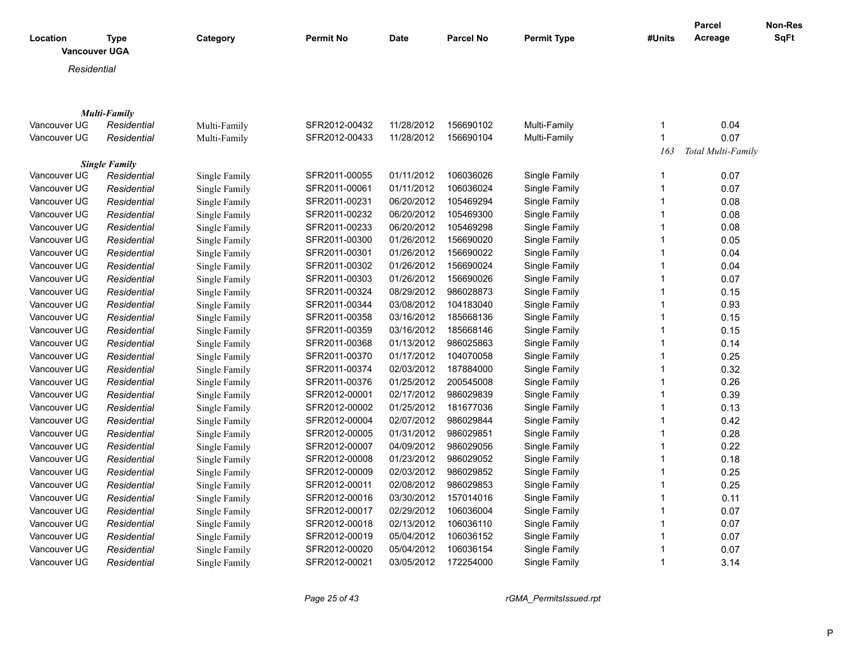|                      |                      |               |                  |             |                  |                    |              | <b>Parcel</b>      | Non-Res     |
|----------------------|----------------------|---------------|------------------|-------------|------------------|--------------------|--------------|--------------------|-------------|
| Location             | <b>Type</b>          | Category      | <b>Permit No</b> | <b>Date</b> | <b>Parcel No</b> | <b>Permit Type</b> | #Units       | Acreage            | <b>SqFt</b> |
| <b>Vancouver UGA</b> |                      |               |                  |             |                  |                    |              |                    |             |
| Residential          |                      |               |                  |             |                  |                    |              |                    |             |
|                      |                      |               |                  |             |                  |                    |              |                    |             |
|                      |                      |               |                  |             |                  |                    |              |                    |             |
|                      | <b>Multi-Family</b>  |               |                  |             |                  |                    |              |                    |             |
| Vancouver UG         | Residential          | Multi-Family  | SFR2012-00432    | 11/28/2012  | 156690102        | Multi-Family       | 1            | 0.04               |             |
| Vancouver UG         | Residential          | Multi-Family  | SFR2012-00433    | 11/28/2012  | 156690104        | Multi-Family       | $\mathbf{1}$ | 0.07               |             |
|                      |                      |               |                  |             |                  |                    | 163          | Total Multi-Family |             |
|                      | <b>Single Family</b> |               |                  |             |                  |                    |              |                    |             |
| Vancouver UG         | Residential          | Single Family | SFR2011-00055    | 01/11/2012  | 106036026        | Single Family      | $\mathbf{1}$ | 0.07               |             |
| Vancouver UG         | Residential          | Single Family | SFR2011-00061    | 01/11/2012  | 106036024        | Single Family      | $\mathbf{1}$ | 0.07               |             |
| Vancouver UG         | Residential          | Single Family | SFR2011-00231    | 06/20/2012  | 105469294        | Single Family      | 1            | 0.08               |             |
| Vancouver UG         | Residential          | Single Family | SFR2011-00232    | 06/20/2012  | 105469300        | Single Family      | 1            | 0.08               |             |
| Vancouver UG         | Residential          | Single Family | SFR2011-00233    | 06/20/2012  | 105469298        | Single Family      | 1            | 0.08               |             |
| Vancouver UG         | Residential          | Single Family | SFR2011-00300    | 01/26/2012  | 156690020        | Single Family      | 1            | 0.05               |             |
| Vancouver UG         | Residential          | Single Family | SFR2011-00301    | 01/26/2012  | 156690022        | Single Family      | 1            | 0.04               |             |
| Vancouver UG         | Residential          | Single Family | SFR2011-00302    | 01/26/2012  | 156690024        | Single Family      | 1            | 0.04               |             |
| Vancouver UG         | Residential          | Single Family | SFR2011-00303    | 01/26/2012  | 156690026        | Single Family      | 1            | 0.07               |             |
| Vancouver UG         | Residential          | Single Family | SFR2011-00324    | 08/29/2012  | 986028873        | Single Family      | 1            | 0.15               |             |
| Vancouver UG         | Residential          | Single Family | SFR2011-00344    | 03/08/2012  | 104183040        | Single Family      | 1            | 0.93               |             |
| Vancouver UG         | Residential          | Single Family | SFR2011-00358    | 03/16/2012  | 185668136        | Single Family      | $\mathbf{1}$ | 0.15               |             |
| Vancouver UG         | Residential          | Single Family | SFR2011-00359    | 03/16/2012  | 185668146        | Single Family      | 1            | 0.15               |             |
| Vancouver UG         | Residential          | Single Family | SFR2011-00368    | 01/13/2012  | 986025863        | Single Family      | $\mathbf 1$  | 0.14               |             |
| Vancouver UG         | Residential          | Single Family | SFR2011-00370    | 01/17/2012  | 104070058        | Single Family      | 1            | 0.25               |             |
| Vancouver UG         | Residential          | Single Family | SFR2011-00374    | 02/03/2012  | 187884000        | Single Family      | 1            | 0.32               |             |
| Vancouver UG         | Residential          | Single Family | SFR2011-00376    | 01/25/2012  | 200545008        | Single Family      | 1            | 0.26               |             |
| Vancouver UG         | Residential          | Single Family | SFR2012-00001    | 02/17/2012  | 986029839        | Single Family      | 1            | 0.39               |             |
| Vancouver UG         | Residential          | Single Family | SFR2012-00002    | 01/25/2012  | 181677036        | Single Family      | 1            | 0.13               |             |
| Vancouver UG         | Residential          | Single Family | SFR2012-00004    | 02/07/2012  | 986029844        | Single Family      | 1            | 0.42               |             |
| Vancouver UG         | Residential          | Single Family | SFR2012-00005    | 01/31/2012  | 986029851        | Single Family      | 1            | 0.28               |             |
| Vancouver UG         | Residential          | Single Family | SFR2012-00007    | 04/09/2012  | 986029056        | Single Family      | 1            | 0.22               |             |
| Vancouver UG         | Residential          | Single Family | SFR2012-00008    | 01/23/2012  | 986029052        | Single Family      | $\mathbf{1}$ | 0.18               |             |
| Vancouver UG         | Residential          | Single Family | SFR2012-00009    | 02/03/2012  | 986029852        | Single Family      | 1            | 0.25               |             |
| Vancouver UG         | Residential          | Single Family | SFR2012-00011    | 02/08/2012  | 986029853        | Single Family      | 1            | 0.25               |             |
| Vancouver UG         | Residential          | Single Family | SFR2012-00016    | 03/30/2012  | 157014016        | Single Family      | 1            | 0.11               |             |
| Vancouver UG         | Residential          | Single Family | SFR2012-00017    | 02/29/2012  | 106036004        | Single Family      | $\mathbf{1}$ | 0.07               |             |
| Vancouver UG         | Residential          | Single Family | SFR2012-00018    | 02/13/2012  | 106036110        | Single Family      | 1            | 0.07               |             |
| Vancouver UG         | Residential          | Single Family | SFR2012-00019    | 05/04/2012  | 106036152        | Single Family      | 1            | 0.07               |             |
| Vancouver UG         | Residential          | Single Family | SFR2012-00020    | 05/04/2012  | 106036154        | Single Family      | 1            | 0.07               |             |
| Vancouver UG         | Residential          | Single Family | SFR2012-00021    | 03/05/2012  | 172254000        | Single Family      | $\mathbf 1$  | 3.14               |             |
|                      |                      |               |                  |             |                  |                    |              |                    |             |

*Page 25 of 43 rGMA\_PermitsIssued.rpt*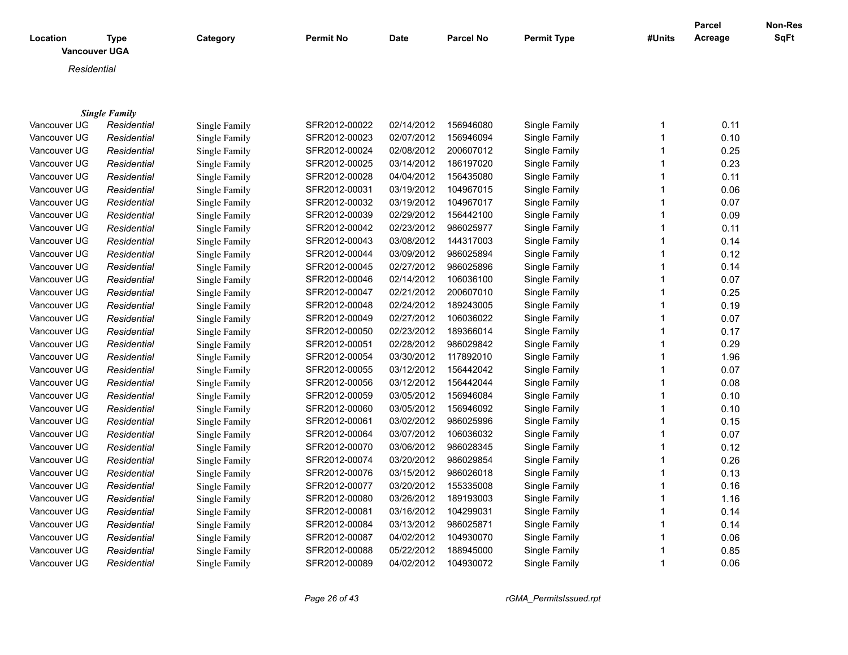| Location<br><b>Vancouver UGA</b> | <b>Type</b>                         | Category                       | <b>Permit No</b> | <b>Date</b> | <b>Parcel No</b> | <b>Permit Type</b> | #Units | Parcel<br>Acreage | <b>Non-Res</b><br><b>SqFt</b> |
|----------------------------------|-------------------------------------|--------------------------------|------------------|-------------|------------------|--------------------|--------|-------------------|-------------------------------|
| Residential                      |                                     |                                |                  |             |                  |                    |        |                   |                               |
|                                  |                                     |                                |                  |             |                  |                    |        |                   |                               |
|                                  |                                     |                                |                  |             |                  |                    |        |                   |                               |
| Vancouver UG                     | <b>Single Family</b><br>Residential |                                | SFR2012-00022    | 02/14/2012  | 156946080        | Single Family      | 1      | 0.11              |                               |
| Vancouver UG                     | Residential                         | Single Family                  | SFR2012-00023    | 02/07/2012  | 156946094        | Single Family      |        | 0.10              |                               |
| Vancouver UG                     | Residential                         | Single Family                  | SFR2012-00024    | 02/08/2012  | 200607012        | Single Family      |        | 0.25              |                               |
| Vancouver UG                     | Residential                         | Single Family<br>Single Family | SFR2012-00025    | 03/14/2012  | 186197020        | Single Family      |        | 0.23              |                               |
| Vancouver UG                     | Residential                         |                                | SFR2012-00028    | 04/04/2012  | 156435080        | Single Family      |        | 0.11              |                               |
| Vancouver UG                     |                                     | Single Family                  | SFR2012-00031    | 03/19/2012  | 104967015        | Single Family      |        | 0.06              |                               |
|                                  | Residential                         | Single Family                  |                  |             |                  |                    |        |                   |                               |
| Vancouver UG                     | Residential                         | Single Family                  | SFR2012-00032    | 03/19/2012  | 104967017        | Single Family      |        | 0.07              |                               |
| Vancouver UG                     | Residential                         | Single Family                  | SFR2012-00039    | 02/29/2012  | 156442100        | Single Family      |        | 0.09<br>0.11      |                               |
| Vancouver UG                     | Residential                         | Single Family                  | SFR2012-00042    | 02/23/2012  | 986025977        | Single Family      |        |                   |                               |
| Vancouver UG                     | Residential                         | Single Family                  | SFR2012-00043    | 03/08/2012  | 144317003        | Single Family      |        | 0.14              |                               |
| Vancouver UG                     | Residential                         | Single Family                  | SFR2012-00044    | 03/09/2012  | 986025894        | Single Family      |        | 0.12              |                               |
| Vancouver UG                     | Residential                         | Single Family                  | SFR2012-00045    | 02/27/2012  | 986025896        | Single Family      |        | 0.14              |                               |
| Vancouver UG                     | Residential                         | Single Family                  | SFR2012-00046    | 02/14/2012  | 106036100        | Single Family      |        | 0.07              |                               |
| Vancouver UG                     | Residential                         | Single Family                  | SFR2012-00047    | 02/21/2012  | 200607010        | Single Family      |        | 0.25              |                               |
| Vancouver UG                     | Residential                         | Single Family                  | SFR2012-00048    | 02/24/2012  | 189243005        | Single Family      |        | 0.19              |                               |
| Vancouver UG                     | Residential                         | Single Family                  | SFR2012-00049    | 02/27/2012  | 106036022        | Single Family      |        | 0.07              |                               |
| Vancouver UG                     | Residential                         | Single Family                  | SFR2012-00050    | 02/23/2012  | 189366014        | Single Family      |        | 0.17              |                               |
| Vancouver UG                     | Residential                         | Single Family                  | SFR2012-00051    | 02/28/2012  | 986029842        | Single Family      |        | 0.29              |                               |
| Vancouver UG                     | Residential                         | Single Family                  | SFR2012-00054    | 03/30/2012  | 117892010        | Single Family      |        | 1.96              |                               |
| Vancouver UG                     | Residential                         | Single Family                  | SFR2012-00055    | 03/12/2012  | 156442042        | Single Family      |        | 0.07              |                               |
| Vancouver UG                     | Residential                         | Single Family                  | SFR2012-00056    | 03/12/2012  | 156442044        | Single Family      |        | 0.08              |                               |
| Vancouver UG                     | Residential                         | Single Family                  | SFR2012-00059    | 03/05/2012  | 156946084        | Single Family      |        | 0.10              |                               |
| Vancouver UG                     | Residential                         | Single Family                  | SFR2012-00060    | 03/05/2012  | 156946092        | Single Family      |        | 0.10              |                               |
| Vancouver UG                     | Residential                         | Single Family                  | SFR2012-00061    | 03/02/2012  | 986025996        | Single Family      |        | 0.15              |                               |
| Vancouver UG                     | Residential                         | Single Family                  | SFR2012-00064    | 03/07/2012  | 106036032        | Single Family      |        | 0.07              |                               |
| Vancouver UG                     | Residential                         | Single Family                  | SFR2012-00070    | 03/06/2012  | 986028345        | Single Family      |        | 0.12              |                               |
| Vancouver UG                     | Residential                         | Single Family                  | SFR2012-00074    | 03/20/2012  | 986029854        | Single Family      |        | 0.26              |                               |
| Vancouver UG                     | Residential                         | Single Family                  | SFR2012-00076    | 03/15/2012  | 986026018        | Single Family      | 1      | 0.13              |                               |

Vancouver UGA *Residential* Single Family SFR2012-00077 03/20/2012 155335008 Single Family 1 0.16 Vancouver UGA *Residential* Single Family SFR2012-00080 03/26/2012 189193003 Single Family 1 1.16 Vancouver UGA *Residential* Single Family SFR2012-00081 03/16/2012 104299031 Single Family 1 0.14 Vancouver UGA *Residential* Single Family SFR2012-00084 03/13/2012 986025871 Single Family 1 0.14 Vancouver UGA *Residential* Single Family SFR2012-00087 04/02/2012 104930070 Single Family 1 0.06 Vancouver UGA *Residential* Single Family SFR2012-00088 05/22/2012 188945000 Single Family 1 0.85 Vancouver UGA *Residential* Single Family SFR2012-00089 04/02/2012 104930072 Single Family 1 0.06

*Page 26 of 43 rGMA\_PermitsIssued.rpt*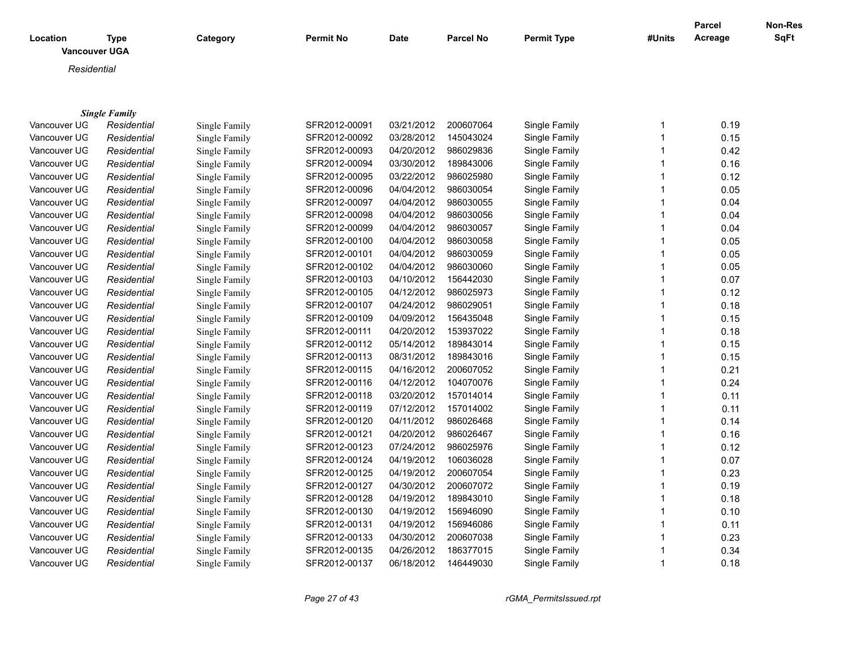| Location<br><b>Vancouver UGA</b> | <b>Type</b>          | Category      | <b>Permit No</b> | Date       | <b>Parcel No</b> | <b>Permit Type</b> | #Units       | <b>Parcel</b><br>Acreage | Non-Res<br>SqFt |
|----------------------------------|----------------------|---------------|------------------|------------|------------------|--------------------|--------------|--------------------------|-----------------|
| Residential                      |                      |               |                  |            |                  |                    |              |                          |                 |
|                                  |                      |               |                  |            |                  |                    |              |                          |                 |
|                                  | <b>Single Family</b> |               |                  |            |                  |                    |              |                          |                 |
| Vancouver UG                     | Residential          | Single Family | SFR2012-00091    | 03/21/2012 | 200607064        | Single Family      | 1            | 0.19                     |                 |
| Vancouver UG                     | Residential          | Single Family | SFR2012-00092    | 03/28/2012 | 145043024        | Single Family      | 1            | 0.15                     |                 |
| Vancouver UG                     | Residential          | Single Family | SFR2012-00093    | 04/20/2012 | 986029836        | Single Family      | 1            | 0.42                     |                 |
| Vancouver UG                     | Residential          | Single Family | SFR2012-00094    | 03/30/2012 | 189843006        | Single Family      |              | 0.16                     |                 |
| Vancouver UG                     | Residential          | Single Family | SFR2012-00095    | 03/22/2012 | 986025980        | Single Family      | 1            | 0.12                     |                 |
| Vancouver UG                     | Residential          | Single Family | SFR2012-00096    | 04/04/2012 | 986030054        | Single Family      | 1            | 0.05                     |                 |
| Vancouver UG                     | Residential          | Single Family | SFR2012-00097    | 04/04/2012 | 986030055        | Single Family      |              | 0.04                     |                 |
| Vancouver UG                     | Residential          | Single Family | SFR2012-00098    | 04/04/2012 | 986030056        | Single Family      |              | 0.04                     |                 |
| Vancouver UG                     | Residential          | Single Family | SFR2012-00099    | 04/04/2012 | 986030057        | Single Family      | 1            | 0.04                     |                 |
| Vancouver UG                     | Residential          | Single Family | SFR2012-00100    | 04/04/2012 | 986030058        | Single Family      | 1            | 0.05                     |                 |
| Vancouver UG                     | Residential          | Single Family | SFR2012-00101    | 04/04/2012 | 986030059        | Single Family      | 1            | 0.05                     |                 |
| Vancouver UG                     | Residential          | Single Family | SFR2012-00102    | 04/04/2012 | 986030060        | Single Family      | 1            | 0.05                     |                 |
| Vancouver UG                     | Residential          | Single Family | SFR2012-00103    | 04/10/2012 | 156442030        | Single Family      | $\mathbf{1}$ | 0.07                     |                 |
| Vancouver UG                     | Residential          | Single Family | SFR2012-00105    | 04/12/2012 | 986025973        | Single Family      | 1            | 0.12                     |                 |
| Vancouver UG                     | Residential          | Single Family | SFR2012-00107    | 04/24/2012 | 986029051        | Single Family      | 1            | 0.18                     |                 |
| Vancouver UG                     | Residential          | Single Family | SFR2012-00109    | 04/09/2012 | 156435048        | Single Family      | 1            | 0.15                     |                 |
| Vancouver UG                     | Residential          | Single Family | SFR2012-00111    | 04/20/2012 | 153937022        | Single Family      | 1            | 0.18                     |                 |
| Vancouver UG                     | Residential          | Single Family | SFR2012-00112    | 05/14/2012 | 189843014        | Single Family      | 1            | 0.15                     |                 |
| Vancouver UG                     | Residential          | Single Family | SFR2012-00113    | 08/31/2012 | 189843016        | Single Family      | 1            | 0.15                     |                 |
| Vancouver UG                     | Residential          | Single Family | SFR2012-00115    | 04/16/2012 | 200607052        | Single Family      |              | 0.21                     |                 |
| Vancouver UG                     | Residential          | Single Family | SFR2012-00116    | 04/12/2012 | 104070076        | Single Family      | 1            | 0.24                     |                 |
| Vancouver UG                     | Residential          | Single Family | SFR2012-00118    | 03/20/2012 | 157014014        | Single Family      | 1            | 0.11                     |                 |
| Vancouver UG                     | Residential          | Single Family | SFR2012-00119    | 07/12/2012 | 157014002        | Single Family      | 1            | 0.11                     |                 |
| Vancouver UG                     | Residential          | Single Family | SFR2012-00120    | 04/11/2012 | 986026468        | Single Family      | 1            | 0.14                     |                 |
| Vancouver UG                     | Residential          | Single Family | SFR2012-00121    | 04/20/2012 | 986026467        | Single Family      | 1            | 0.16                     |                 |
| Vancouver UG                     | Residential          | Single Family | SFR2012-00123    | 07/24/2012 | 986025976        | Single Family      | 1            | 0.12                     |                 |
| Vancouver UG                     | Residential          | Single Family | SFR2012-00124    | 04/19/2012 | 106036028        | Single Family      | 1            | 0.07                     |                 |
| Vancouver UG                     | Residential          | Single Family | SFR2012-00125    | 04/19/2012 | 200607054        | Single Family      | 1            | 0.23                     |                 |
| Vancouver UG                     | Residential          | Single Family | SFR2012-00127    | 04/30/2012 | 200607072        | Single Family      | 1            | 0.19                     |                 |
| Vancouver UG                     | Residential          | Single Family | SFR2012-00128    | 04/19/2012 | 189843010        | Single Family      | 1            | 0.18                     |                 |
| Vancouver UG                     | Residential          | Single Family | SFR2012-00130    | 04/19/2012 | 156946090        | Single Family      |              | 0.10                     |                 |
| Vancouver UG                     | Residential          | Single Family | SFR2012-00131    | 04/19/2012 | 156946086        | Single Family      | $\mathbf{1}$ | 0.11                     |                 |

Vancouver UGA *Residential* Single Family SFR2012-00133 04/30/2012 200607038 Single Family 1 0.23 Vancouver UGA *Residential* Single Family SFR2012-00135 04/26/2012 186377015 Single Family 1 0.34 Vancouver UG *Residential* Single Family SFR2012-00137 06/18/2012 146449030 Single Family 1 0.18

*Page 27 of 43 rGMA\_PermitsIssued.rpt*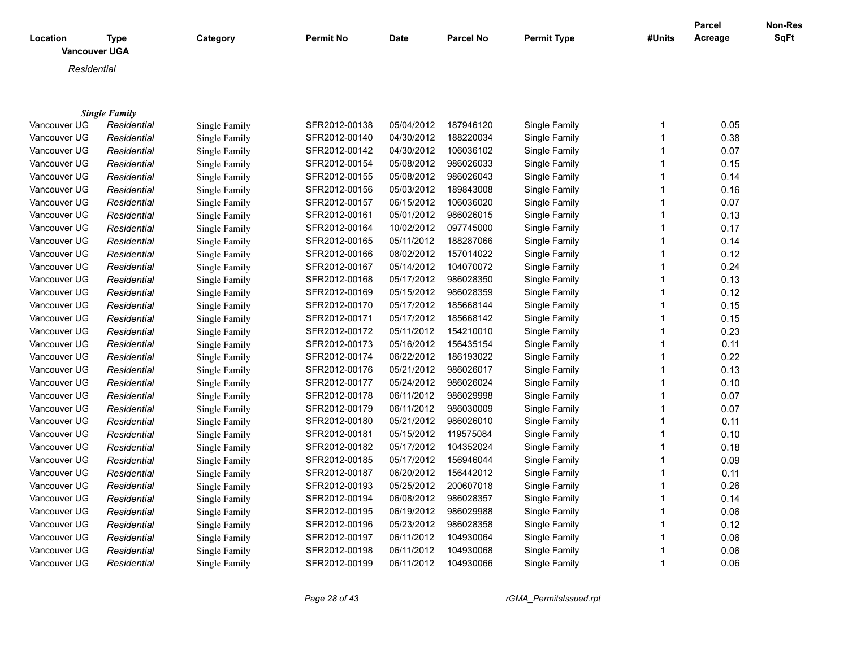|                      |                      |               |                  |             |                  |                    |              | <b>Parcel</b> | Non-Res |
|----------------------|----------------------|---------------|------------------|-------------|------------------|--------------------|--------------|---------------|---------|
| Location             | <b>Type</b>          | Category      | <b>Permit No</b> | <b>Date</b> | <b>Parcel No</b> | <b>Permit Type</b> | #Units       | Acreage       | SqFt    |
| <b>Vancouver UGA</b> |                      |               |                  |             |                  |                    |              |               |         |
| Residential          |                      |               |                  |             |                  |                    |              |               |         |
|                      |                      |               |                  |             |                  |                    |              |               |         |
|                      |                      |               |                  |             |                  |                    |              |               |         |
|                      | <b>Single Family</b> |               |                  |             |                  |                    |              |               |         |
| Vancouver UG         | Residential          | Single Family | SFR2012-00138    | 05/04/2012  | 187946120        | Single Family      | 1            | 0.05          |         |
| Vancouver UG         | Residential          | Single Family | SFR2012-00140    | 04/30/2012  | 188220034        | Single Family      | $\mathbf{1}$ | 0.38          |         |
| Vancouver UG         | Residential          | Single Family | SFR2012-00142    | 04/30/2012  | 106036102        | Single Family      | $\mathbf{1}$ | 0.07          |         |
| Vancouver UG         | Residential          | Single Family | SFR2012-00154    | 05/08/2012  | 986026033        | Single Family      | $\mathbf{1}$ | 0.15          |         |
| Vancouver UG         | Residential          | Single Family | SFR2012-00155    | 05/08/2012  | 986026043        | Single Family      | $\mathbf{1}$ | 0.14          |         |
| Vancouver UG         | Residential          | Single Family | SFR2012-00156    | 05/03/2012  | 189843008        | Single Family      | 1            | 0.16          |         |
| Vancouver UG         | Residential          | Single Family | SFR2012-00157    | 06/15/2012  | 106036020        | Single Family      | 1            | 0.07          |         |
| Vancouver UG         | Residential          | Single Family | SFR2012-00161    | 05/01/2012  | 986026015        | Single Family      | 1            | 0.13          |         |
| Vancouver UG         | Residential          | Single Family | SFR2012-00164    | 10/02/2012  | 097745000        | Single Family      | $\mathbf{1}$ | 0.17          |         |
| Vancouver UG         | Residential          | Single Family | SFR2012-00165    | 05/11/2012  | 188287066        | Single Family      | 1            | 0.14          |         |
| Vancouver UG         | Residential          | Single Family | SFR2012-00166    | 08/02/2012  | 157014022        | Single Family      | $\mathbf{1}$ | 0.12          |         |
| Vancouver UG         | Residential          | Single Family | SFR2012-00167    | 05/14/2012  | 104070072        | Single Family      | 1            | 0.24          |         |
| Vancouver UG         | Residential          | Single Family | SFR2012-00168    | 05/17/2012  | 986028350        | Single Family      | 1            | 0.13          |         |
| Vancouver UG         | Residential          | Single Family | SFR2012-00169    | 05/15/2012  | 986028359        | Single Family      | 1            | 0.12          |         |
| Vancouver UG         | Residential          | Single Family | SFR2012-00170    | 05/17/2012  | 185668144        | Single Family      | $\mathbf{1}$ | 0.15          |         |
| Vancouver UG         | Residential          | Single Family | SFR2012-00171    | 05/17/2012  | 185668142        | Single Family      | $\mathbf{1}$ | 0.15          |         |
| Vancouver UG         | Residential          | Single Family | SFR2012-00172    | 05/11/2012  | 154210010        | Single Family      | $\mathbf{1}$ | 0.23          |         |
| Vancouver UG         | Residential          | Single Family | SFR2012-00173    | 05/16/2012  | 156435154        | Single Family      | 1            | 0.11          |         |
| Vancouver UG         | Residential          | Single Family | SFR2012-00174    | 06/22/2012  | 186193022        | Single Family      | $\mathbf{1}$ | 0.22          |         |
| Vancouver UG         | Residential          | Single Family | SFR2012-00176    | 05/21/2012  | 986026017        | Single Family      | 1            | 0.13          |         |
| Vancouver UG         | Residential          | Single Family | SFR2012-00177    | 05/24/2012  | 986026024        | Single Family      | 1            | 0.10          |         |
| Vancouver UG         | Residential          | Single Family | SFR2012-00178    | 06/11/2012  | 986029998        | Single Family      | 1            | 0.07          |         |
| Vancouver UG         | Residential          | Single Family | SFR2012-00179    | 06/11/2012  | 986030009        | Single Family      | $\mathbf{1}$ | 0.07          |         |
| Vancouver UG         | Residential          | Single Family | SFR2012-00180    | 05/21/2012  | 986026010        | Single Family      | $\mathbf{1}$ | 0.11          |         |
| Vancouver UG         | Residential          | Single Family | SFR2012-00181    | 05/15/2012  | 119575084        | Single Family      | $\mathbf{1}$ | 0.10          |         |
| Vancouver UG         | Residential          | Single Family | SFR2012-00182    | 05/17/2012  | 104352024        | Single Family      | 1            | 0.18          |         |
| Vancouver UG         | Residential          | Single Family | SFR2012-00185    | 05/17/2012  | 156946044        | Single Family      | $\mathbf{1}$ | 0.09          |         |
| Vancouver UG         | Residential          | Single Family | SFR2012-00187    | 06/20/2012  | 156442012        | Single Family      | 1            | 0.11          |         |
| Vancouver UG         | Residential          | Single Family | SFR2012-00193    | 05/25/2012  | 200607018        | Single Family      | $\mathbf{1}$ | 0.26          |         |
| Vancouver UG         | Residential          | Single Family | SFR2012-00194    | 06/08/2012  | 986028357        | Single Family      | 1            | 0.14          |         |
| Vancouver UG         | Residential          | Single Family | SFR2012-00195    | 06/19/2012  | 986029988        | Single Family      | $\mathbf{1}$ | 0.06          |         |
| Vancouver UG         | Residential          | Single Family | SFR2012-00196    | 05/23/2012  | 986028358        | Single Family      | $\mathbf{1}$ | 0.12          |         |
| Vancouver UG         | Residential          | Single Family | SFR2012-00197    | 06/11/2012  | 104930064        | Single Family      | $\mathbf{1}$ | 0.06          |         |
| Vancouver UG         | Residential          | Single Family | SFR2012-00198    | 06/11/2012  | 104930068        | Single Family      | 1            | 0.06          |         |
| Vancouver UG         | Residential          | Single Family | SFR2012-00199    | 06/11/2012  | 104930066        | Single Family      | 1            | 0.06          |         |

*Page 28 of 43 rGMA\_PermitsIssued.rpt*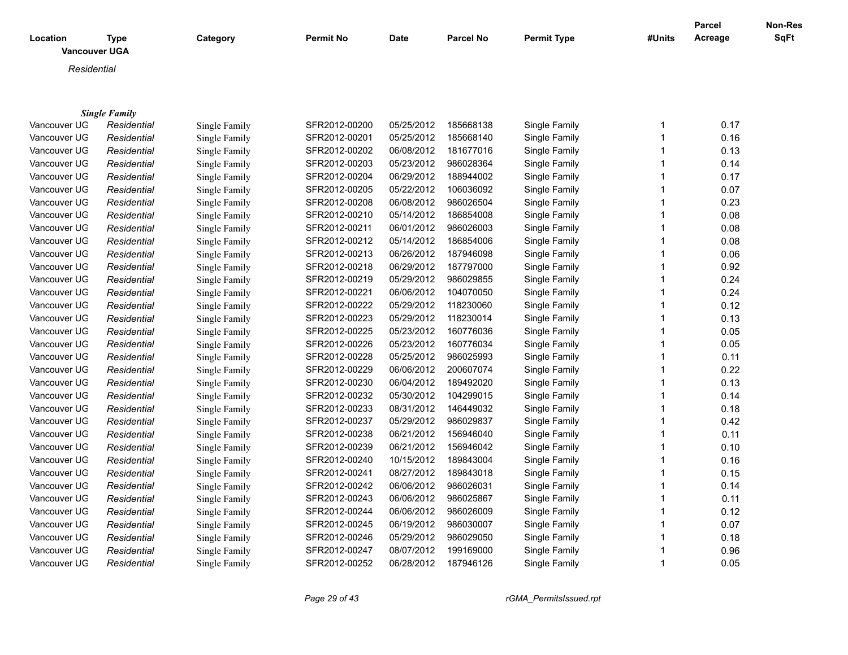| Location     | <b>Type</b><br><b>Vancouver UGA</b> | Category      | <b>Permit No</b> | <b>Date</b> | <b>Parcel No</b> | <b>Permit Type</b> | #Units | <b>Parcel</b><br>Acreage | <b>Non-Res</b><br><b>SqFt</b> |
|--------------|-------------------------------------|---------------|------------------|-------------|------------------|--------------------|--------|--------------------------|-------------------------------|
| Residential  |                                     |               |                  |             |                  |                    |        |                          |                               |
|              |                                     |               |                  |             |                  |                    |        |                          |                               |
|              |                                     |               |                  |             |                  |                    |        |                          |                               |
|              | <b>Single Family</b>                |               |                  |             |                  |                    |        |                          |                               |
| Vancouver UG | Residential                         | Single Family | SFR2012-00200    | 05/25/2012  | 185668138        | Single Family      | 1      | 0.17                     |                               |
| Vancouver UG | Residential                         | Single Family | SFR2012-00201    | 05/25/2012  | 185668140        | Single Family      |        | 0.16                     |                               |
| Vancouver UG | Residential                         | Single Family | SFR2012-00202    | 06/08/2012  | 181677016        | Single Family      |        | 0.13                     |                               |
| Vancouver UG | Residential                         | Single Family | SFR2012-00203    | 05/23/2012  | 986028364        | Single Family      |        | 0.14                     |                               |
| Vancouver UG | Residential                         | Single Family | SFR2012-00204    | 06/29/2012  | 188944002        | Single Family      |        | 0.17                     |                               |
| Vancouver UG | Residential                         | Single Family | SFR2012-00205    | 05/22/2012  | 106036092        | Single Family      |        | 0.07                     |                               |
| Vancouver UG | Residential                         | Single Family | SFR2012-00208    | 06/08/2012  | 986026504        | Single Family      |        | 0.23                     |                               |
| Vancouver UG | Residential                         | Single Family | SFR2012-00210    | 05/14/2012  | 186854008        | Single Family      |        | 0.08                     |                               |
| Vancouver UG | Residential                         | Single Family | SFR2012-00211    | 06/01/2012  | 986026003        | Single Family      |        | 0.08                     |                               |
| Vancouver UG | Residential                         | Single Family | SFR2012-00212    | 05/14/2012  | 186854006        | Single Family      |        | 0.08                     |                               |
| Vancouver UG | Residential                         | Single Family | SFR2012-00213    | 06/26/2012  | 187946098        | Single Family      |        | 0.06                     |                               |
| Vancouver UG | Residential                         | Single Family | SFR2012-00218    | 06/29/2012  | 187797000        | Single Family      |        | 0.92                     |                               |
| Vancouver UG | Residential                         | Single Family | SFR2012-00219    | 05/29/2012  | 986029855        | Single Family      |        | 0.24                     |                               |
| Vancouver UG | Residential                         | Single Family | SFR2012-00221    | 06/06/2012  | 104070050        | Single Family      |        | 0.24                     |                               |
| Vancouver UG | Residential                         | Single Family | SFR2012-00222    | 05/29/2012  | 118230060        | Single Family      |        | 0.12                     |                               |
| Vancouver UG | Residential                         | Single Family | SFR2012-00223    | 05/29/2012  | 118230014        | Single Family      |        | 0.13                     |                               |
| Vancouver UG | Residential                         | Single Family | SFR2012-00225    | 05/23/2012  | 160776036        | Single Family      |        | 0.05                     |                               |
| Vancouver UG | Residential                         | Single Family | SFR2012-00226    | 05/23/2012  | 160776034        | Single Family      |        | 0.05                     |                               |
| Vancouver UG | Residential                         | Single Family | SFR2012-00228    | 05/25/2012  | 986025993        | Single Family      |        | 0.11                     |                               |
| Vancouver UG | Residential                         | Single Family | SFR2012-00229    | 06/06/2012  | 200607074        | Single Family      |        | 0.22                     |                               |
| Vancouver UG | Residential                         | Single Family | SFR2012-00230    | 06/04/2012  | 189492020        | Single Family      |        | 0.13                     |                               |
| Vancouver UG | Residential                         | Single Family | SFR2012-00232    | 05/30/2012  | 104299015        | Single Family      |        | 0.14                     |                               |
| Vancouver UG | Residential                         | Single Family | SFR2012-00233    | 08/31/2012  | 146449032        | Single Family      |        | 0.18                     |                               |
| Vancouver UG | Residential                         | Single Family | SFR2012-00237    | 05/29/2012  | 986029837        | Single Family      |        | 0.42                     |                               |
| Vancouver UG | Residential                         | Single Family | SFR2012-00238    | 06/21/2012  | 156946040        | Single Family      |        | 0.11                     |                               |

Vancouver UGA *Residential* Single Family SFR2012-00239 06/21/2012 156946042 Single Family 1 0.10 Vancouver UGA *Residential* Single Family SFR2012-00240 10/15/2012 189843004 Single Family 1 0.16 Vancouver UGA *Residential* Single Family SFR2012-00241 08/27/2012 189843018 Single Family 1 0.15 Vancouver UGA *Residential* Single Family SFR2012-00242 06/06/2012 986026031 Single Family 1 0.14 Vancouver UGA *Residential* Single Family SFR2012-00243 06/06/2012 986025867 Single Family 1 0.11 Vancouver UGA *Residential* Single Family SFR2012-00244 06/06/2012 986026009 Single Family 1 0.12

Vancouver UGA *Residential* Single Family SFR2012-00245 06/19/2012 986030007 Single Family 1 0.07 Vancouver UGA *Residential* Single Family SFR2012-00246 05/29/2012 986029050 Single Family 1 0.18 Vancouver UGA *Residential* Single Family SFR2012-00247 08/07/2012 199169000 Single Family 1 0.96 Vancouver UGA *Residential* Single Family SFR2012-00252 06/28/2012 187946126 Single Family 1 0.05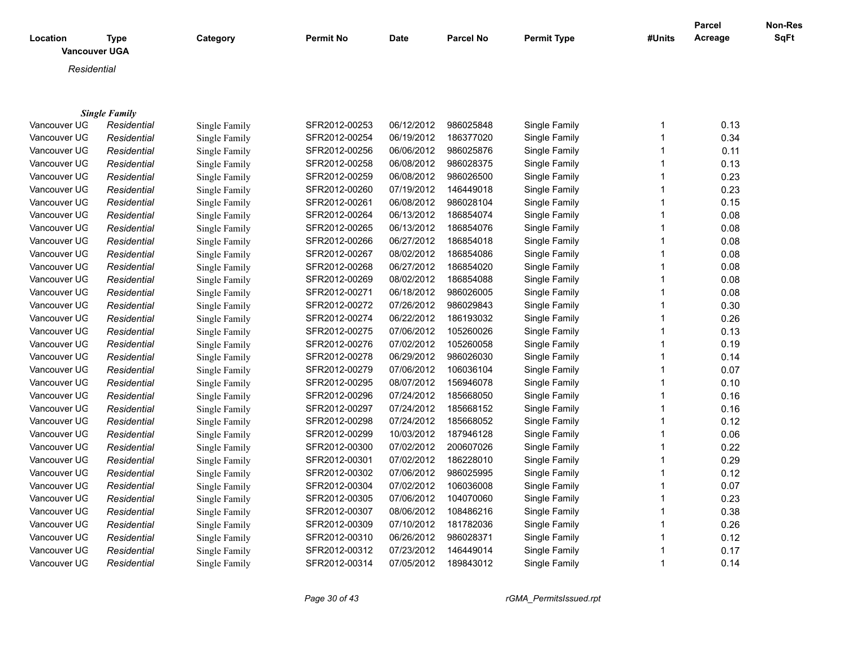| Location     | <b>Vancouver UGA</b> | <b>Type</b>          | Category      | <b>Permit No</b> | <b>Date</b> | <b>Parcel No</b> | <b>Permit Type</b> | #Units | <b>Parcel</b><br>Acreage | <b>Non-Res</b><br>SqFt |
|--------------|----------------------|----------------------|---------------|------------------|-------------|------------------|--------------------|--------|--------------------------|------------------------|
|              | Residential          |                      |               |                  |             |                  |                    |        |                          |                        |
|              |                      |                      |               |                  |             |                  |                    |        |                          |                        |
|              |                      | <b>Single Family</b> |               |                  |             |                  |                    |        |                          |                        |
| Vancouver UG |                      | Residential          | Single Family | SFR2012-00253    | 06/12/2012  | 986025848        | Single Family      |        | 0.13                     |                        |
| Vancouver UG |                      | Residential          | Single Family | SFR2012-00254    | 06/19/2012  | 186377020        | Single Family      |        | 0.34                     |                        |
| Vancouver UG |                      | Residential          | Single Family | SFR2012-00256    | 06/06/2012  | 986025876        | Single Family      |        | 0.11                     |                        |
| Vancouver UG |                      | Residential          | Single Family | SFR2012-00258    | 06/08/2012  | 986028375        | Single Family      |        | 0.13                     |                        |
| Vancouver UG |                      | Residential          | Single Family | SFR2012-00259    | 06/08/2012  | 986026500        | Single Family      |        | 0.23                     |                        |
| Vancouver UG |                      | Residential          | Single Family | SFR2012-00260    | 07/19/2012  | 146449018        | Single Family      |        | 0.23                     |                        |
| Vancouver UG |                      | Residential          | Single Family | SFR2012-00261    | 06/08/2012  | 986028104        | Single Family      |        | 0.15                     |                        |
| Vancouver UG |                      | Residential          | Single Family | SFR2012-00264    | 06/13/2012  | 186854074        | Single Family      |        | 0.08                     |                        |
| Vancouver UG |                      | Residential          | Single Family | SFR2012-00265    | 06/13/2012  | 186854076        | Single Family      |        | 0.08                     |                        |
| Vancouver UG |                      | Residential          | Single Family | SFR2012-00266    | 06/27/2012  | 186854018        | Single Family      |        | 0.08                     |                        |
| Vancouver UG |                      | Residential          | Single Family | SFR2012-00267    | 08/02/2012  | 186854086        | Single Family      |        | 0.08                     |                        |
| Vancouver UG |                      | Residential          | Single Family | SFR2012-00268    | 06/27/2012  | 186854020        | Single Family      |        | 0.08                     |                        |
| Vancouver UG |                      | Residential          | Single Family | SFR2012-00269    | 08/02/2012  | 186854088        | Single Family      |        | 0.08                     |                        |
| Vancouver UG |                      | Residential          | Single Family | SFR2012-00271    | 06/18/2012  | 986026005        | Single Family      |        | 0.08                     |                        |
| Vancouver UG |                      | Residential          | Single Family | SFR2012-00272    | 07/26/2012  | 986029843        | Single Family      |        | 0.30                     |                        |
| Vancouver UG |                      | Residential          | Single Family | SFR2012-00274    | 06/22/2012  | 186193032        | Single Family      |        | 0.26                     |                        |
| Vancouver UG |                      | Residential          | Single Family | SFR2012-00275    | 07/06/2012  | 105260026        | Single Family      |        | 0.13                     |                        |
| Vancouver UG |                      | Residential          | Single Family | SFR2012-00276    | 07/02/2012  | 105260058        | Single Family      |        | 0.19                     |                        |
| Vancouver UG |                      | Residential          | Single Family | SFR2012-00278    | 06/29/2012  | 986026030        | Single Family      |        | 0.14                     |                        |
|              |                      |                      |               |                  |             |                  |                    |        |                          |                        |

| Vancouver UG | Residential | Single Family | SFR2012-00278 | 06/29/2012 | 986026030 | Single Family | 0.14 |
|--------------|-------------|---------------|---------------|------------|-----------|---------------|------|
| Vancouver UG | Residential | Single Family | SFR2012-00279 | 07/06/2012 | 106036104 | Single Family | 0.07 |
| Vancouver UG | Residential | Single Family | SFR2012-00295 | 08/07/2012 | 156946078 | Single Family | 0.10 |
| Vancouver UG | Residential | Single Family | SFR2012-00296 | 07/24/2012 | 185668050 | Single Family | 0.16 |
| Vancouver UG | Residential | Single Family | SFR2012-00297 | 07/24/2012 | 185668152 | Single Family | 0.16 |
| Vancouver UG | Residential | Single Family | SFR2012-00298 | 07/24/2012 | 185668052 | Single Family | 0.12 |
| Vancouver UG | Residential | Single Family | SFR2012-00299 | 10/03/2012 | 187946128 | Single Family | 0.06 |
| Vancouver UG | Residential | Single Family | SFR2012-00300 | 07/02/2012 | 200607026 | Single Family | 0.22 |
| Vancouver UG | Residential | Single Family | SFR2012-00301 | 07/02/2012 | 186228010 | Single Family | 0.29 |
| Vancouver UG | Residential | Single Family | SFR2012-00302 | 07/06/2012 | 986025995 | Single Family | 0.12 |
| Vancouver UG | Residential | Single Family | SFR2012-00304 | 07/02/2012 | 106036008 | Single Family | 0.07 |
| Vancouver UG | Residential | Single Family | SFR2012-00305 | 07/06/2012 | 104070060 | Single Family | 0.23 |
| Vancouver UG | Residential | Single Family | SFR2012-00307 | 08/06/2012 | 108486216 | Single Family | 0.38 |
| Vancouver UG | Residential | Single Family | SFR2012-00309 | 07/10/2012 | 181782036 | Single Family | 0.26 |
| Vancouver UG | Residential | Single Family | SFR2012-00310 | 06/26/2012 | 986028371 | Single Family | 0.12 |
| Vancouver UG | Residential | Single Family | SFR2012-00312 | 07/23/2012 | 146449014 | Single Family | 0.17 |
| Vancouver UG | Residential | Single Family | SFR2012-00314 | 07/05/2012 | 189843012 | Single Family | 0.14 |
|              |             |               |               |            |           |               |      |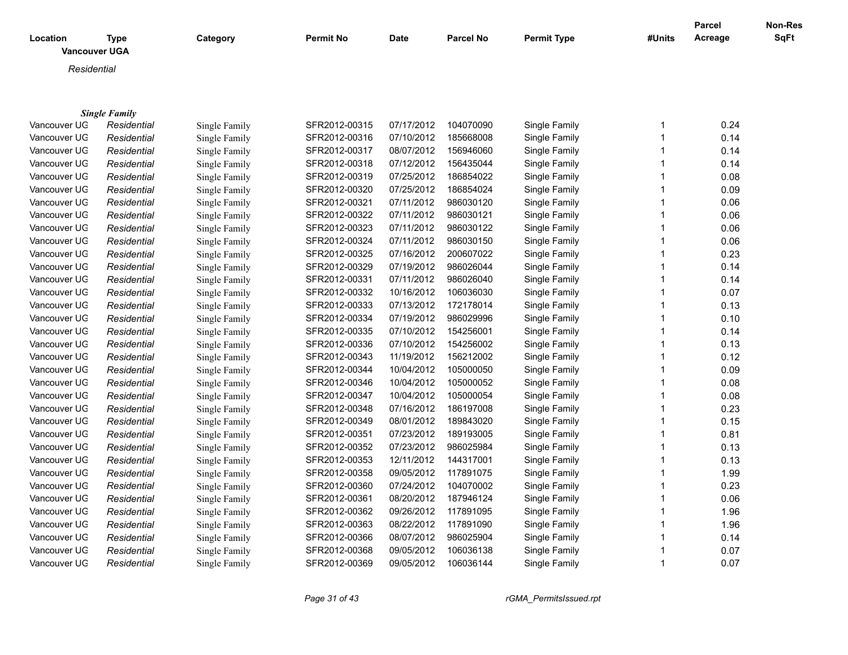| Location<br><b>Vancouver UGA</b> | <b>Type</b>          | Category      | <b>Permit No</b> | <b>Date</b> | Parcel No | <b>Permit Type</b> | #Units       | <b>Parcel</b><br>Acreage | Non-Res<br><b>SqFt</b> |
|----------------------------------|----------------------|---------------|------------------|-------------|-----------|--------------------|--------------|--------------------------|------------------------|
| Residential                      |                      |               |                  |             |           |                    |              |                          |                        |
|                                  |                      |               |                  |             |           |                    |              |                          |                        |
|                                  |                      |               |                  |             |           |                    |              |                          |                        |
|                                  | <b>Single Family</b> |               |                  |             |           |                    |              |                          |                        |
| Vancouver UG                     | Residential          | Single Family | SFR2012-00315    | 07/17/2012  | 104070090 | Single Family      | 1            | 0.24                     |                        |
| Vancouver UG                     | Residential          | Single Family | SFR2012-00316    | 07/10/2012  | 185668008 | Single Family      | 1            | 0.14                     |                        |
| Vancouver UG                     | Residential          | Single Family | SFR2012-00317    | 08/07/2012  | 156946060 | Single Family      | 1            | 0.14                     |                        |
| Vancouver UG                     | Residential          | Single Family | SFR2012-00318    | 07/12/2012  | 156435044 | Single Family      |              | 0.14                     |                        |
| Vancouver UG                     | Residential          | Single Family | SFR2012-00319    | 07/25/2012  | 186854022 | Single Family      |              | 0.08                     |                        |
| Vancouver UG                     | Residential          | Single Family | SFR2012-00320    | 07/25/2012  | 186854024 | Single Family      |              | 0.09                     |                        |
| Vancouver UG                     | Residential          | Single Family | SFR2012-00321    | 07/11/2012  | 986030120 | Single Family      |              | 0.06                     |                        |
| Vancouver UG                     | Residential          | Single Family | SFR2012-00322    | 07/11/2012  | 986030121 | Single Family      |              | 0.06                     |                        |
| Vancouver UG                     | Residential          | Single Family | SFR2012-00323    | 07/11/2012  | 986030122 | Single Family      |              | 0.06                     |                        |
| Vancouver UG                     | Residential          | Single Family | SFR2012-00324    | 07/11/2012  | 986030150 | Single Family      |              | 0.06                     |                        |
| Vancouver UG                     | Residential          | Single Family | SFR2012-00325    | 07/16/2012  | 200607022 | Single Family      | 1            | 0.23                     |                        |
| Vancouver UG                     | Residential          | Single Family | SFR2012-00329    | 07/19/2012  | 986026044 | Single Family      |              | 0.14                     |                        |
| Vancouver UG                     | Residential          | Single Family | SFR2012-00331    | 07/11/2012  | 986026040 | Single Family      | 1            | 0.14                     |                        |
| Vancouver UG                     | Residential          | Single Family | SFR2012-00332    | 10/16/2012  | 106036030 | Single Family      | $\mathbf{1}$ | 0.07                     |                        |
| Vancouver UG                     | Residential          | Single Family | SFR2012-00333    | 07/13/2012  | 172178014 | Single Family      |              | 0.13                     |                        |
| Vancouver UG                     | Residential          | Single Family | SFR2012-00334    | 07/19/2012  | 986029996 | Single Family      |              | 0.10                     |                        |
| Vancouver UG                     | Residential          | Single Family | SFR2012-00335    | 07/10/2012  | 154256001 | Single Family      |              | 0.14                     |                        |
| Vancouver UG                     | Residential          | Single Family | SFR2012-00336    | 07/10/2012  | 154256002 | Single Family      |              | 0.13                     |                        |
| Vancouver UG                     | Residential          | Single Family | SFR2012-00343    | 11/19/2012  | 156212002 | Single Family      |              | 0.12                     |                        |
| Vancouver UG                     | Residential          | Single Family | SFR2012-00344    | 10/04/2012  | 105000050 | Single Family      |              | 0.09                     |                        |
| Vancouver UG                     | Residential          | Single Family | SFR2012-00346    | 10/04/2012  | 105000052 | Single Family      |              | 0.08                     |                        |
| Vancouver UG                     | Residential          | Single Family | SFR2012-00347    | 10/04/2012  | 105000054 | Single Family      | 1            | 0.08                     |                        |
| Vancouver UG                     | Residential          | Single Family | SFR2012-00348    | 07/16/2012  | 186197008 | Single Family      |              | 0.23                     |                        |
| Vancouver UG                     | Residential          | Single Family | SFR2012-00349    | 08/01/2012  | 189843020 | Single Family      |              | 0.15                     |                        |
| Vancouver UG                     | Residential          | Single Family | SFR2012-00351    | 07/23/2012  | 189193005 | Single Family      |              | 0.81                     |                        |
| Vancouver UG                     | Residential          | Single Family | SFR2012-00352    | 07/23/2012  | 986025984 | Single Family      | 1            | 0.13                     |                        |
| Vancouver UG                     |                      |               | SFR2012-00353    | 12/11/2012  | 144317001 |                    | 1            | 0.13                     |                        |
| Vancouver UG                     | Residential          | Single Family | SFR2012-00358    | 09/05/2012  | 117891075 | Single Family      | 1            |                          |                        |
|                                  | Residential          | Single Family |                  |             |           | Single Family      |              | 1.99                     |                        |
| Vancouver UG                     | Residential          | Single Family | SFR2012-00360    | 07/24/2012  | 104070002 | Single Family      |              | 0.23                     |                        |
| Vancouver UG                     | Residential          | Single Family | SFR2012-00361    | 08/20/2012  | 187946124 | Single Family      |              | 0.06                     |                        |
| Vancouver UG                     | Residential          | Single Family | SFR2012-00362    | 09/26/2012  | 117891095 | Single Family      |              | 1.96                     |                        |
| Vancouver UG                     | Residential          | Single Family | SFR2012-00363    | 08/22/2012  | 117891090 | Single Family      | 1            | 1.96                     |                        |

Vancouver UGA *Residential* Single Family SFR2012-00366 08/07/2012 986025904 Single Family 1 0.14 Vancouver UGA *Residential* Single Family SFR2012-00368 09/05/2012 106036138 Single Family 1 0.07 Vancouver UG *Residential* Single Family SFR2012-00369 09/05/2012 106036144 Single Family 1 0.07

*Page 31 of 43 rGMA\_PermitsIssued.rpt*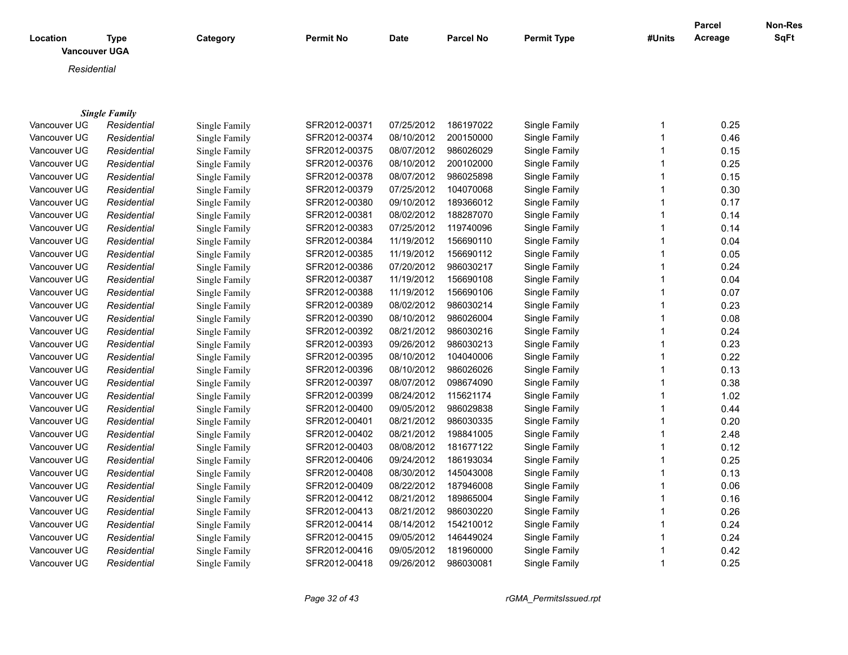| Location     | <b>Type</b><br><b>Vancouver UGA</b> | Category      | <b>Permit No</b> | <b>Date</b> | <b>Parcel No</b> | <b>Permit Type</b> | #Units       | <b>Parcel</b><br>Acreage | <b>Non-Res</b><br>SqFt |
|--------------|-------------------------------------|---------------|------------------|-------------|------------------|--------------------|--------------|--------------------------|------------------------|
| Residential  |                                     |               |                  |             |                  |                    |              |                          |                        |
|              |                                     |               |                  |             |                  |                    |              |                          |                        |
|              |                                     |               |                  |             |                  |                    |              |                          |                        |
|              | <b>Single Family</b>                |               |                  |             |                  |                    |              |                          |                        |
| Vancouver UG | Residential                         | Single Family | SFR2012-00371    | 07/25/2012  | 186197022        | Single Family      | 1            | 0.25                     |                        |
| Vancouver UG | Residential                         | Single Family | SFR2012-00374    | 08/10/2012  | 200150000        | Single Family      | 1            | 0.46                     |                        |
| Vancouver UG | Residential                         | Single Family | SFR2012-00375    | 08/07/2012  | 986026029        | Single Family      | 1            | 0.15                     |                        |
| Vancouver UG | Residential                         | Single Family | SFR2012-00376    | 08/10/2012  | 200102000        | Single Family      | 1            | 0.25                     |                        |
| Vancouver UG | Residential                         | Single Family | SFR2012-00378    | 08/07/2012  | 986025898        | Single Family      | 1            | 0.15                     |                        |
| Vancouver UG | Residential                         | Single Family | SFR2012-00379    | 07/25/2012  | 104070068        | Single Family      | 1            | 0.30                     |                        |
| Vancouver UG | Residential                         | Single Family | SFR2012-00380    | 09/10/2012  | 189366012        | Single Family      |              | 0.17                     |                        |
| Vancouver UG | Residential                         | Single Family | SFR2012-00381    | 08/02/2012  | 188287070        | Single Family      | 1            | 0.14                     |                        |
| Vancouver UG | Residential                         | Single Family | SFR2012-00383    | 07/25/2012  | 119740096        | Single Family      | 1            | 0.14                     |                        |
| Vancouver UG | Residential                         | Single Family | SFR2012-00384    | 11/19/2012  | 156690110        | Single Family      | 1            | 0.04                     |                        |
| Vancouver UG | Residential                         | Single Family | SFR2012-00385    | 11/19/2012  | 156690112        | Single Family      |              | 0.05                     |                        |
| Vancouver UG | Residential                         | Single Family | SFR2012-00386    | 07/20/2012  | 986030217        | Single Family      | 1            | 0.24                     |                        |
| Vancouver UG | Residential                         | Single Family | SFR2012-00387    | 11/19/2012  | 156690108        | Single Family      | 1            | 0.04                     |                        |
| Vancouver UG | Residential                         | Single Family | SFR2012-00388    | 11/19/2012  | 156690106        | Single Family      | 1            | 0.07                     |                        |
| Vancouver UG | Residential                         | Single Family | SFR2012-00389    | 08/02/2012  | 986030214        | Single Family      | 1            | 0.23                     |                        |
| Vancouver UG | Residential                         | Single Family | SFR2012-00390    | 08/10/2012  | 986026004        | Single Family      | 1            | 0.08                     |                        |
| Vancouver UG | Residential                         | Single Family | SFR2012-00392    | 08/21/2012  | 986030216        | Single Family      | 1            | 0.24                     |                        |
| Vancouver UG | Residential                         | Single Family | SFR2012-00393    | 09/26/2012  | 986030213        | Single Family      | 1            | 0.23                     |                        |
| Vancouver UG | Residential                         | Single Family | SFR2012-00395    | 08/10/2012  | 104040006        | Single Family      | 1            | 0.22                     |                        |
| Vancouver UG | Residential                         | Single Family | SFR2012-00396    | 08/10/2012  | 986026026        | Single Family      | 1            | 0.13                     |                        |
| Vancouver UG | Residential                         | Single Family | SFR2012-00397    | 08/07/2012  | 098674090        | Single Family      | 1            | 0.38                     |                        |
| Vancouver UG | Residential                         | Single Family | SFR2012-00399    | 08/24/2012  | 115621174        | Single Family      | 1            | 1.02                     |                        |
| Vancouver UG | Residential                         | Single Family | SFR2012-00400    | 09/05/2012  | 986029838        | Single Family      |              | 0.44                     |                        |
| Vancouver UG | Residential                         | Single Family | SFR2012-00401    | 08/21/2012  | 986030335        | Single Family      | 1            | 0.20                     |                        |
| Vancouver UG | Residential                         | Single Family | SFR2012-00402    | 08/21/2012  | 198841005        | Single Family      |              | 2.48                     |                        |
| Vancouver UG | Residential                         | Single Family | SFR2012-00403    | 08/08/2012  | 181677122        | Single Family      | 1            | 0.12                     |                        |
| Vancouver UG | Residential                         | Single Family | SFR2012-00406    | 09/24/2012  | 186193034        | Single Family      |              | 0.25                     |                        |
| Vancouver UG | Residential                         | Single Family | SFR2012-00408    | 08/30/2012  | 145043008        | Single Family      | 1            | 0.13                     |                        |
| Vancouver UG | Residential                         | Single Family | SFR2012-00409    | 08/22/2012  | 187946008        | Single Family      | 1            | 0.06                     |                        |
| Vancouver UG | Residential                         | Single Family | SFR2012-00412    | 08/21/2012  | 189865004        | Single Family      | 1            | 0.16                     |                        |
| Vancouver UG | Residential                         | Single Family | SFR2012-00413    | 08/21/2012  | 986030220        | Single Family      | 1            | 0.26                     |                        |
| Vancouver UG | Residential                         | Single Family | SFR2012-00414    | 08/14/2012  | 154210012        | Single Family      | 1            | 0.24                     |                        |
| Vancouver UG | Residential                         | Single Family | SFR2012-00415    | 09/05/2012  | 146449024        | Single Family      | 1            | 0.24                     |                        |
| Vancouver UG | Residential                         | Single Family | SFR2012-00416    | 09/05/2012  | 181960000        | Single Family      | 1            | 0.42                     |                        |
| Vancouver UG | Residential                         | Single Family | SFR2012-00418    | 09/26/2012  | 986030081        | Single Family      | $\mathbf{1}$ | 0.25                     |                        |

*Page 32 of 43 rGMA\_PermitsIssued.rpt*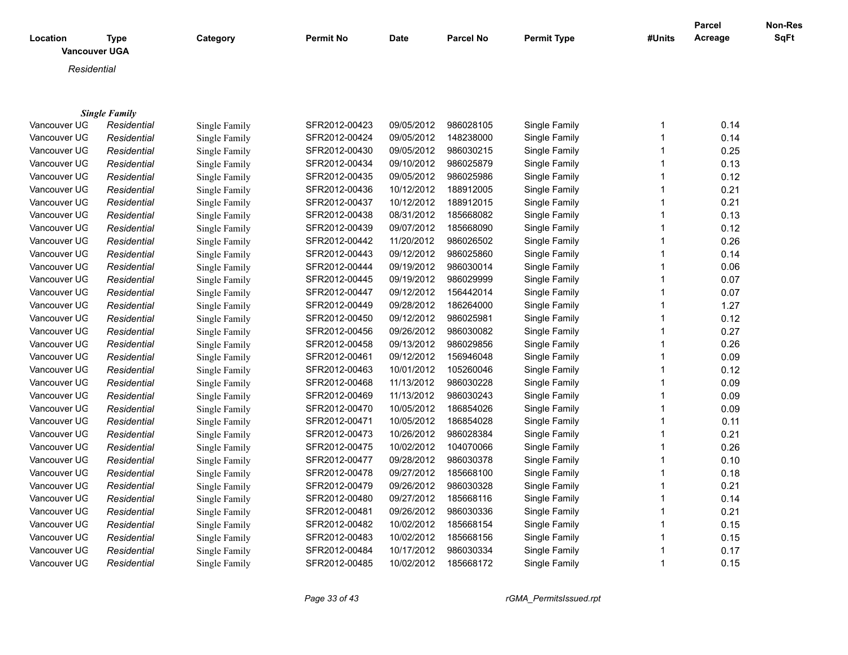| Location     | <b>Type</b><br><b>Vancouver UGA</b> | Category             | <b>Permit No</b> | <b>Date</b> | <b>Parcel No</b> | Permit Type   | #Units                  | Parcel<br>Acreage | Non-Res<br><b>SqFt</b> |
|--------------|-------------------------------------|----------------------|------------------|-------------|------------------|---------------|-------------------------|-------------------|------------------------|
| Residential  |                                     |                      |                  |             |                  |               |                         |                   |                        |
|              |                                     |                      |                  |             |                  |               |                         |                   |                        |
|              |                                     |                      |                  |             |                  |               |                         |                   |                        |
|              | <b>Single Family</b>                |                      |                  |             |                  |               |                         |                   |                        |
| Vancouver UG | Residential                         | Single Family        | SFR2012-00423    | 09/05/2012  | 986028105        | Single Family | 1                       | 0.14              |                        |
| Vancouver UG | Residential                         | Single Family        | SFR2012-00424    | 09/05/2012  | 148238000        | Single Family | $\mathbf{1}$            | 0.14              |                        |
| Vancouver UG | Residential                         | Single Family        | SFR2012-00430    | 09/05/2012  | 986030215        | Single Family | $\mathbf{1}$            | 0.25              |                        |
| Vancouver UG | Residential                         | Single Family        | SFR2012-00434    | 09/10/2012  | 986025879        | Single Family | $\mathbf{1}$            | 0.13              |                        |
| Vancouver UG | Residential                         | <b>Single Family</b> | SFR2012-00435    | 09/05/2012  | 986025986        | Single Family | $\overline{1}$          | 0.12              |                        |
| Vancouver UG | Residential                         | Single Family        | SFR2012-00436    | 10/12/2012  | 188912005        | Single Family | $\mathbf{1}$            | 0.21              |                        |
| Vancouver UG | Residential                         | Single Family        | SFR2012-00437    | 10/12/2012  | 188912015        | Single Family | $\overline{\mathbf{1}}$ | 0.21              |                        |
| Vancouver UG | Residential                         | <b>Single Family</b> | SFR2012-00438    | 08/31/2012  | 185668082        | Single Family | $\overline{1}$          | 0.13              |                        |
| Vancouver UG | Residential                         | Single Family        | SFR2012-00439    | 09/07/2012  | 185668090        | Single Family | $\overline{1}$          | 0.12              |                        |
| Vancouver UG | Residential                         | Single Family        | SFR2012-00442    | 11/20/2012  | 986026502        | Single Family | $\overline{1}$          | 0.26              |                        |
| Vancouver UG | Residential                         | Single Family        | SFR2012-00443    | 09/12/2012  | 986025860        | Single Family | $\overline{1}$          | 0.14              |                        |
| Vancouver UG | Residential                         | Single Family        | SFR2012-00444    | 09/19/2012  | 986030014        | Single Family | $\mathbf{1}$            | 0.06              |                        |
| Vancouver UG | Residential                         | <b>Single Family</b> | SFR2012-00445    | 09/19/2012  | 986029999        | Single Family | $\overline{1}$          | 0.07              |                        |
| Vancouver UG | Residential                         | <b>Single Family</b> | SFR2012-00447    | 09/12/2012  | 156442014        | Single Family | $\mathbf{1}$            | 0.07              |                        |
| Vancouver UG | Residential                         | Single Family        | SFR2012-00449    | 09/28/2012  | 186264000        | Single Family | 1                       | 1.27              |                        |
| Vancouver UG | Residential                         | <b>Single Family</b> | SFR2012-00450    | 09/12/2012  | 986025981        | Single Family | $\mathbf 1$             | 0.12              |                        |
| Vancouver UG | Residential                         | Single Family        | SFR2012-00456    | 09/26/2012  | 986030082        | Single Family | 1                       | 0.27              |                        |
| Vancouver UG | Residential                         | Single Family        | SFR2012-00458    | 09/13/2012  | 986029856        | Single Family | $\mathbf{1}$            | 0.26              |                        |
| Vancouver UG | Residential                         | Single Family        | SFR2012-00461    | 09/12/2012  | 156946048        | Single Family | $\mathbf 1$             | 0.09              |                        |
| Vancouver UG | Residential                         | Single Family        | SFR2012-00463    | 10/01/2012  | 105260046        | Single Family | $\mathbf{1}$            | 0.12              |                        |
| Vancouver UG | Residential                         | Single Family        | SFR2012-00468    | 11/13/2012  | 986030228        | Single Family | $\mathbf 1$             | 0.09              |                        |
| Vancouver UG | Residential                         | Single Family        | SFR2012-00469    | 11/13/2012  | 986030243        | Single Family | $\mathbf 1$             | 0.09              |                        |
| Vancouver UG | Residential                         | <b>Single Family</b> | SFR2012-00470    | 10/05/2012  | 186854026        | Single Family | $\mathbf 1$             | 0.09              |                        |
| Vancouver UG | Residential                         | <b>Single Family</b> | SFR2012-00471    | 10/05/2012  | 186854028        | Single Family | $\mathbf 1$             | 0.11              |                        |
| Vancouver UG | Residential                         | Single Family        | SFR2012-00473    | 10/26/2012  | 986028384        | Single Family | $\mathbf 1$             | 0.21              |                        |
| Vancouver UG | Residential                         | Single Family        | SFR2012-00475    | 10/02/2012  | 104070066        | Single Family | $\mathbf 1$             | 0.26              |                        |
| Vancouver UG | Residential                         | Single Family        | SFR2012-00477    | 09/28/2012  | 986030378        | Single Family | $\mathbf 1$             | 0.10              |                        |
| Vancouver UG | Residential                         | Single Family        | SFR2012-00478    | 09/27/2012  | 185668100        | Single Family | $\mathbf 1$             | 0.18              |                        |
| Vancouver UG | Residential                         | Single Family        | SFR2012-00479    | 09/26/2012  | 986030328        | Single Family | $\mathbf 1$             | 0.21              |                        |
| Vancouver UG | Residential                         | Single Family        | SFR2012-00480    | 09/27/2012  | 185668116        | Single Family | $\mathbf 1$             | 0.14              |                        |
| Vancouver UG | Residential                         | Single Family        | SFR2012-00481    | 09/26/2012  | 986030336        | Single Family | $\mathbf 1$             | 0.21              |                        |
| Vancouver UG | Residential                         | Single Family        | SFR2012-00482    | 10/02/2012  | 185668154        | Single Family |                         | 0.15              |                        |
| Vancouver UG | Residential                         | Single Family        | SFR2012-00483    | 10/02/2012  | 185668156        | Single Family | $\overline{\mathbf{1}}$ | 0.15              |                        |
| Vancouver UG | Residential                         | Single Family        | SFR2012-00484    | 10/17/2012  | 986030334        | Single Family |                         | 0.17              |                        |
| Vancouver UG | Residential                         | Single Family        | SFR2012-00485    | 10/02/2012  | 185668172        | Single Family | $\mathbf 1$             | 0.15              |                        |

Single Family **SFR2012-00485** 10/02/2012 185668172

*Page 33 of 43 rGMA\_PermitsIssued.rpt*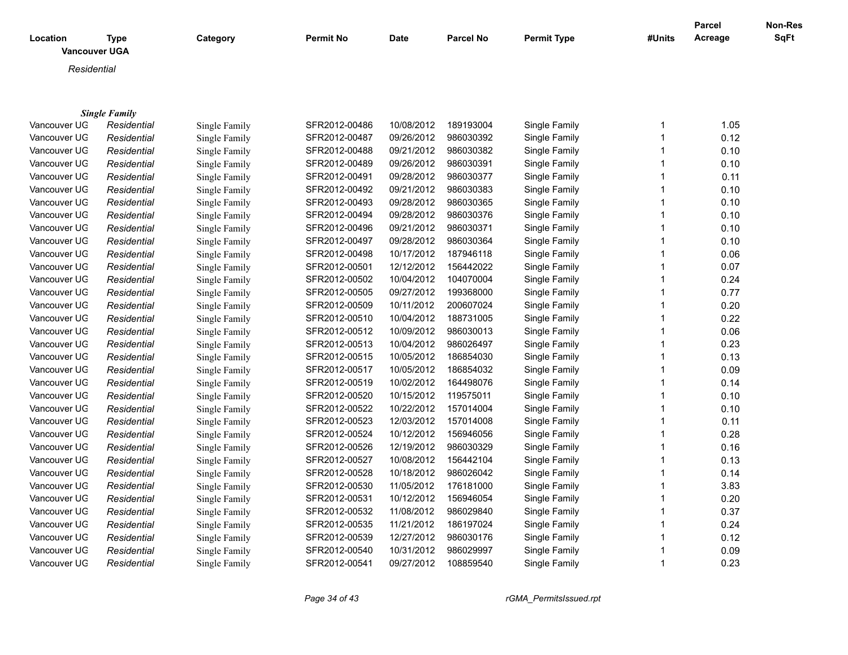| Location<br><b>Vancouver UGA</b> | <b>Type</b>          | Category      | <b>Permit No</b> | <b>Date</b> | <b>Parcel No</b> | <b>Permit Type</b> | #Units | Parcel<br>Acreage | <b>Non-Res</b><br><b>SqFt</b> |
|----------------------------------|----------------------|---------------|------------------|-------------|------------------|--------------------|--------|-------------------|-------------------------------|
| Residential                      |                      |               |                  |             |                  |                    |        |                   |                               |
|                                  |                      |               |                  |             |                  |                    |        |                   |                               |
|                                  | <b>Single Family</b> |               |                  |             |                  |                    |        |                   |                               |
| Vancouver UG                     | Residential          | Single Family | SFR2012-00486    | 10/08/2012  | 189193004        | Single Family      | 1      | 1.05              |                               |
| Vancouver UG                     | Residential          | Single Family | SFR2012-00487    | 09/26/2012  | 986030392        | Single Family      |        | 0.12              |                               |
| Vancouver UG                     | Residential          | Single Family | SFR2012-00488    | 09/21/2012  | 986030382        | Single Family      |        | 0.10              |                               |
| Vancouver UG                     | Residential          | Single Family | SFR2012-00489    | 09/26/2012  | 986030391        | Single Family      |        | 0.10              |                               |
| Vancouver UG                     | Residential          | Single Family | SFR2012-00491    | 09/28/2012  | 986030377        | Single Family      |        | 0.11              |                               |
| Vancouver UG                     | Residential          | Single Family | SFR2012-00492    | 09/21/2012  | 986030383        | Single Family      |        | 0.10              |                               |
| Vancouver UG                     | Residential          | Single Family | SFR2012-00493    | 09/28/2012  | 986030365        | Single Family      |        | 0.10              |                               |
| Vancouver UG                     | Residential          | Single Family | SFR2012-00494    | 09/28/2012  | 986030376        | Single Family      |        | 0.10              |                               |
| Vancouver UG                     | Residential          | Single Family | SFR2012-00496    | 09/21/2012  | 986030371        | Single Family      |        | 0.10              |                               |
| Vancouver UG                     | Residential          | Single Family | SFR2012-00497    | 09/28/2012  | 986030364        | Single Family      |        | 0.10              |                               |
| Vancouver UG                     | Residential          | Single Family | SFR2012-00498    | 10/17/2012  | 187946118        | Single Family      |        | 0.06              |                               |
| Vancouver UG                     | Residential          | Single Family | SFR2012-00501    | 12/12/2012  | 156442022        | Single Family      |        | 0.07              |                               |
| Vancouver UG                     | Residential          | Single Family | SFR2012-00502    | 10/04/2012  | 104070004        | Single Family      |        | 0.24              |                               |
| Vancouver UG                     | Residential          | Single Family | SFR2012-00505    | 09/27/2012  | 199368000        | Single Family      |        | 0.77              |                               |
| Vancouver UG                     | Residential          | Single Family | SFR2012-00509    | 10/11/2012  | 200607024        | Single Family      |        | 0.20              |                               |
| Vancouver UG                     | Residential          | Single Family | SFR2012-00510    | 10/04/2012  | 188731005        | Single Family      |        | 0.22              |                               |
| Vancouver UG                     | Residential          | Single Family | SFR2012-00512    | 10/09/2012  | 986030013        | Single Family      |        | 0.06              |                               |
| Vancouver UG                     | Residential          | Single Family | SFR2012-00513    | 10/04/2012  | 986026497        | Single Family      |        | 0.23              |                               |
| Vancouver UG                     | Residential          | Single Family | SFR2012-00515    | 10/05/2012  | 186854030        | Single Family      |        | 0.13              |                               |
| Vancouver UG                     | Residential          | Single Family | SFR2012-00517    | 10/05/2012  | 186854032        | Single Family      |        | 0.09              |                               |
| Vancouver UG                     | Residential          | Single Family | SFR2012-00519    | 10/02/2012  | 164498076        | Single Family      |        | 0.14              |                               |
| Vancouver UG                     | Residential          | Single Family | SFR2012-00520    | 10/15/2012  | 119575011        | Single Family      |        | 0.10              |                               |

| vancouver UG | Residential | Single Family | SFR2012-00501 | 12/12/2012 | 156442022 | Single Family | 0.07 |
|--------------|-------------|---------------|---------------|------------|-----------|---------------|------|
| Vancouver UG | Residential | Single Family | SFR2012-00502 | 10/04/2012 | 104070004 | Single Family | 0.24 |
| Vancouver UG | Residential | Single Family | SFR2012-00505 | 09/27/2012 | 199368000 | Single Family | 0.77 |
| Vancouver UG | Residential | Single Family | SFR2012-00509 | 10/11/2012 | 200607024 | Single Family | 0.20 |
| Vancouver UG | Residential | Single Family | SFR2012-00510 | 10/04/2012 | 188731005 | Single Family | 0.22 |
| Vancouver UG | Residential | Single Family | SFR2012-00512 | 10/09/2012 | 986030013 | Single Family | 0.06 |
| Vancouver UG | Residential | Single Family | SFR2012-00513 | 10/04/2012 | 986026497 | Single Family | 0.23 |
| Vancouver UG | Residential | Single Family | SFR2012-00515 | 10/05/2012 | 186854030 | Single Family | 0.13 |
| Vancouver UG | Residential | Single Family | SFR2012-00517 | 10/05/2012 | 186854032 | Single Family | 0.09 |
| Vancouver UG | Residential | Single Family | SFR2012-00519 | 10/02/2012 | 164498076 | Single Family | 0.14 |
| Vancouver UG | Residential | Single Family | SFR2012-00520 | 10/15/2012 | 119575011 | Single Family | 0.10 |
| Vancouver UG | Residential | Single Family | SFR2012-00522 | 10/22/2012 | 157014004 | Single Family | 0.10 |
| Vancouver UG | Residential | Single Family | SFR2012-00523 | 12/03/2012 | 157014008 | Single Family | 0.11 |
| Vancouver UG | Residential | Single Family | SFR2012-00524 | 10/12/2012 | 156946056 | Single Family | 0.28 |
| Vancouver UG | Residential | Single Family | SFR2012-00526 | 12/19/2012 | 986030329 | Single Family | 0.16 |
| Vancouver UG | Residential | Single Family | SFR2012-00527 | 10/08/2012 | 156442104 | Single Family | 0.13 |
| Vancouver UG | Residential | Single Family | SFR2012-00528 | 10/18/2012 | 986026042 | Single Family | 0.14 |
| Vancouver UG | Residential | Single Family | SFR2012-00530 | 11/05/2012 | 176181000 | Single Family | 3.83 |
| Vancouver UG | Residential | Single Family | SFR2012-00531 | 10/12/2012 | 156946054 | Single Family | 0.20 |
| Vancouver UG | Residential | Single Family | SFR2012-00532 | 11/08/2012 | 986029840 | Single Family | 0.37 |
| Vancouver UG | Residential | Single Family | SFR2012-00535 | 11/21/2012 | 186197024 | Single Family | 0.24 |
| Vancouver UG | Residential | Single Family | SFR2012-00539 | 12/27/2012 | 986030176 | Single Family | 0.12 |
| Vancouver UG | Residential | Single Family | SFR2012-00540 | 10/31/2012 | 986029997 | Single Family | 0.09 |
| Vancouver UG | Residential | Single Family | SFR2012-00541 | 09/27/2012 | 108859540 | Single Family | 0.23 |
|              |             |               |               |            |           |               |      |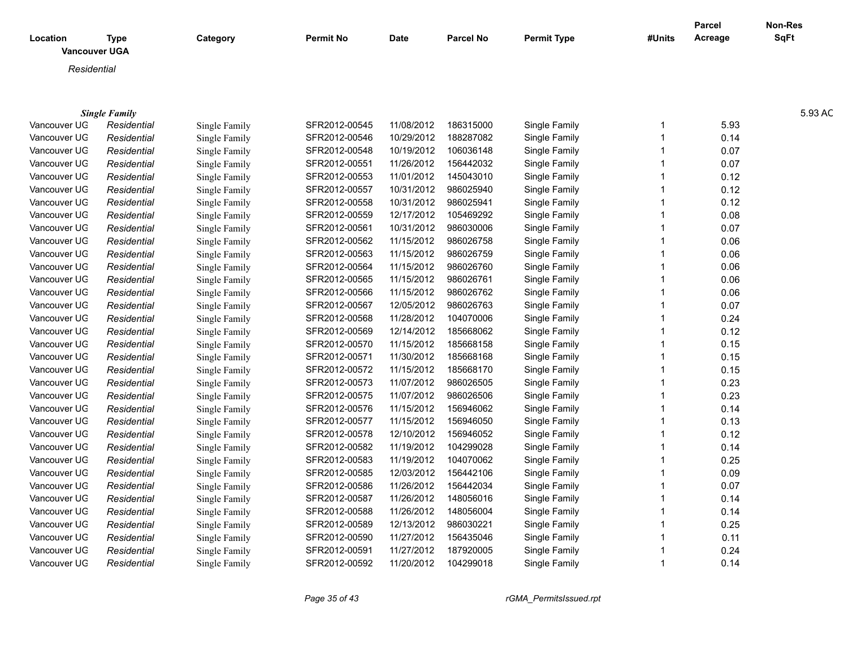|                                  |                      |               |               |             |                      |                    |                | Parcel  | Non-Res |
|----------------------------------|----------------------|---------------|---------------|-------------|----------------------|--------------------|----------------|---------|---------|
| Location<br><b>Vancouver UGA</b> | <b>Type</b>          | Category      | Permit No     | <b>Date</b> | <b>Parcel No</b>     | <b>Permit Type</b> | #Units         | Acreage | SqFt    |
| Residential                      |                      |               |               |             |                      |                    |                |         |         |
|                                  |                      |               |               |             |                      |                    |                |         |         |
|                                  |                      |               |               |             |                      |                    |                |         |         |
|                                  | <b>Single Family</b> |               |               |             |                      |                    |                |         | 5.93 AC |
| Vancouver UG                     | Residential          | Single Family | SFR2012-00545 | 11/08/2012  | 186315000            | Single Family      |                | 5.93    |         |
| Vancouver UG                     | Residential          | Single Family | SFR2012-00546 | 10/29/2012  | 188287082            | Single Family      |                | 0.14    |         |
| Vancouver UG                     | Residential          | Single Family | SFR2012-00548 | 10/19/2012  | 106036148            | Single Family      |                | 0.07    |         |
| Vancouver UG                     | Residential          | Single Family | SFR2012-00551 | 11/26/2012  | 156442032            | Single Family      |                | 0.07    |         |
| Vancouver UG                     | Residential          | Single Family | SFR2012-00553 | 11/01/2012  | 145043010            | Single Family      |                | 0.12    |         |
| Vancouver UG                     | Residential          | Single Family | SFR2012-00557 | 10/31/2012  | 986025940            | Single Family      |                | 0.12    |         |
| Vancouver UG                     | Residential          | Single Family | SFR2012-00558 | 10/31/2012  | 986025941            | Single Family      |                | 0.12    |         |
| Vancouver UG                     | Residential          | Single Family | SFR2012-00559 | 12/17/2012  | 105469292            | Single Family      |                | 0.08    |         |
| Vancouver UG                     | Residential          | Single Family | SFR2012-00561 | 10/31/2012  | 986030006            | Single Family      |                | 0.07    |         |
| Vancouver UG                     | Residential          | Single Family | SFR2012-00562 | 11/15/2012  | 986026758            | Single Family      |                | 0.06    |         |
| Vancouver UG                     | Residential          | Single Family | SFR2012-00563 | 11/15/2012  | 986026759            | Single Family      |                | 0.06    |         |
| Vancouver UG                     | Residential          | Single Family | SFR2012-00564 | 11/15/2012  | 986026760            | Single Family      |                | 0.06    |         |
| Vancouver UG                     | Residential          | Single Family | SFR2012-00565 | 11/15/2012  | 986026761            | Single Family      |                | 0.06    |         |
| Vancouver UG                     | Residential          | Single Family | SFR2012-00566 | 11/15/2012  | 986026762            | Single Family      |                | 0.06    |         |
| Vancouver UG                     | Residential          | Single Family | SFR2012-00567 | 12/05/2012  | 986026763            | Single Family      |                | 0.07    |         |
| Vancouver UG                     | Residential          | Single Family | SFR2012-00568 | 11/28/2012  | 104070006            | Single Family      |                | 0.24    |         |
| Vancouver UG                     | Residential          | Single Family | SFR2012-00569 | 12/14/2012  | 185668062            | Single Family      |                | 0.12    |         |
| Vancouver UG                     | Residential          | Single Family | SFR2012-00570 | 11/15/2012  | 185668158            | Single Family      |                | 0.15    |         |
| Vancouver UG                     | Residential          | Single Family | SFR2012-00571 | 11/30/2012  | 185668168            | Single Family      |                | 0.15    |         |
| Vancouver UG                     | Residential          | Single Family | SFR2012-00572 | 11/15/2012  | 185668170            | Single Family      |                | 0.15    |         |
| Vancouver UG                     | Residential          | Single Family | SFR2012-00573 | 11/07/2012  | 986026505            | Single Family      |                | 0.23    |         |
| Vancouver UG                     | Residential          | Single Family | SFR2012-00575 | 11/07/2012  | 986026506            | Single Family      |                | 0.23    |         |
| Vancouver UG                     | Residential          | Single Family | SFR2012-00576 | 11/15/2012  | 156946062            | Single Family      |                | 0.14    |         |
| Vancouver UG                     | Residential          | Single Family | SFR2012-00577 | 11/15/2012  | 156946050            | Single Family      |                | 0.13    |         |
| Vancouver UG                     | Residential          | Single Family | SFR2012-00578 | 12/10/2012  | 156946052            | Single Family      |                | 0.12    |         |
| Vancouver UG                     | Residential          | Single Family | SFR2012-00582 | 11/19/2012  | 104299028            | Single Family      |                | 0.14    |         |
| Vancouver UG                     | Residential          | Single Family | SFR2012-00583 | 11/19/2012  | 104070062            | Single Family      |                | 0.25    |         |
| Vancouver UG                     | Residential          | Single Family | SFR2012-00585 | 12/03/2012  | 156442106            | Single Family      |                | 0.09    |         |
| Vancouver UG                     | Residential          | Single Family | SFR2012-00586 | 11/26/2012  | 156442034            | Single Family      |                | 0.07    |         |
| Vancouver UG                     | Residential          | Single Family | SFR2012-00587 | 11/26/2012  | 148056016            | Single Family      |                | 0.14    |         |
| Vancouver UG                     | Residential          | Single Family | SFR2012-00588 | 11/26/2012  | 148056004            | Single Family      |                | 0.14    |         |
| Vancouver UG                     | Residential          | Single Family | SFR2012-00589 | 12/13/2012  | 986030221            | Single Family      |                | 0.25    |         |
| Vancouver UG                     | Residential          | Single Family | SFR2012-00590 | 11/27/2012  | 156435046            | Single Family      |                | 0.11    |         |
| Vancouver UG                     | Residential          | Single Family | SFR2012-0059  | 11/27/2012  | 187920005            | Single Family      |                | 0.24    |         |
| Vancouver UG                     | Residential          | Single Family | SFR2012-00592 |             | 11/20/2012 104299018 | Single Family      | $\overline{1}$ | 0.14    |         |
|                                  |                      |               |               |             |                      |                    |                |         |         |

*Page 35 of 43 rGMA\_PermitsIssued.rpt*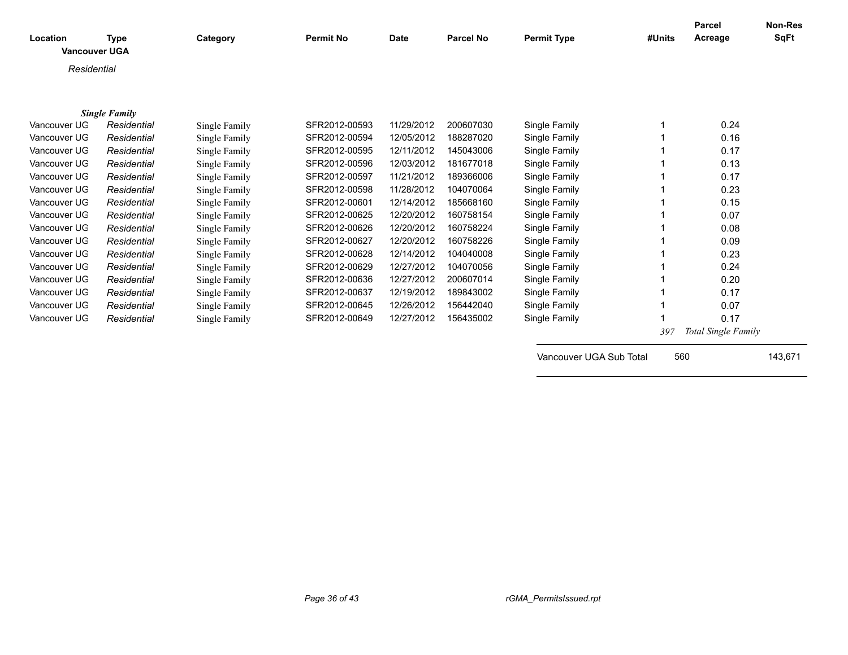| Location     | <b>Type</b><br><b>Vancouver UGA</b> | Category      | <b>Permit No</b> | <b>Date</b> | <b>Parcel No</b> | <b>Permit Type</b>      | #Units | <b>Parcel</b><br>Acreage | <b>Non-Res</b><br><b>SqFt</b> |
|--------------|-------------------------------------|---------------|------------------|-------------|------------------|-------------------------|--------|--------------------------|-------------------------------|
| Residential  |                                     |               |                  |             |                  |                         |        |                          |                               |
|              |                                     |               |                  |             |                  |                         |        |                          |                               |
|              | <b>Single Family</b>                |               |                  |             |                  |                         |        |                          |                               |
| Vancouver UG | Residential                         | Single Family | SFR2012-00593    | 11/29/2012  | 200607030        | Single Family           |        | 0.24                     |                               |
| Vancouver UG | Residential                         | Single Family | SFR2012-00594    | 12/05/2012  | 188287020        | Single Family           |        | 0.16                     |                               |
| Vancouver UG | Residential                         | Single Family | SFR2012-00595    | 12/11/2012  | 145043006        | Single Family           |        | 0.17                     |                               |
| Vancouver UG | Residential                         | Single Family | SFR2012-00596    | 12/03/2012  | 181677018        | Single Family           |        | 0.13                     |                               |
| Vancouver UG | Residential                         | Single Family | SFR2012-00597    | 11/21/2012  | 189366006        | Single Family           |        | 0.17                     |                               |
| Vancouver UG | Residential                         | Single Family | SFR2012-00598    | 11/28/2012  | 104070064        | Single Family           |        | 0.23                     |                               |
| Vancouver UG | Residential                         | Single Family | SFR2012-00601    | 12/14/2012  | 185668160        | Single Family           |        | 0.15                     |                               |
| Vancouver UG | Residential                         | Single Family | SFR2012-00625    | 12/20/2012  | 160758154        | Single Family           |        | 0.07                     |                               |
| Vancouver UG | Residential                         | Single Family | SFR2012-00626    | 12/20/2012  | 160758224        | Single Family           |        | 0.08                     |                               |
| Vancouver UG | Residential                         | Single Family | SFR2012-00627    | 12/20/2012  | 160758226        | Single Family           |        | 0.09                     |                               |
| Vancouver UG | Residential                         | Single Family | SFR2012-00628    | 12/14/2012  | 104040008        | Single Family           |        | 0.23                     |                               |
| Vancouver UG | Residential                         | Single Family | SFR2012-00629    | 12/27/2012  | 104070056        | Single Family           |        | 0.24                     |                               |
| Vancouver UG | Residential                         | Single Family | SFR2012-00636    | 12/27/2012  | 200607014        | Single Family           |        | 0.20                     |                               |
| Vancouver UG | Residential                         | Single Family | SFR2012-00637    | 12/19/2012  | 189843002        | Single Family           |        | 0.17                     |                               |
| Vancouver UG | Residential                         | Single Family | SFR2012-00645    | 12/26/2012  | 156442040        | Single Family           |        | 0.07                     |                               |
| Vancouver UG | Residential                         | Single Family | SFR2012-00649    | 12/27/2012  | 156435002        | Single Family           |        | 0.17                     |                               |
|              |                                     |               |                  |             |                  |                         | 397    | Total Single Family      |                               |
|              |                                     |               |                  |             |                  | Vancouver UGA Sub Total | 560    |                          | 143,671                       |
|              |                                     |               |                  |             |                  |                         |        |                          |                               |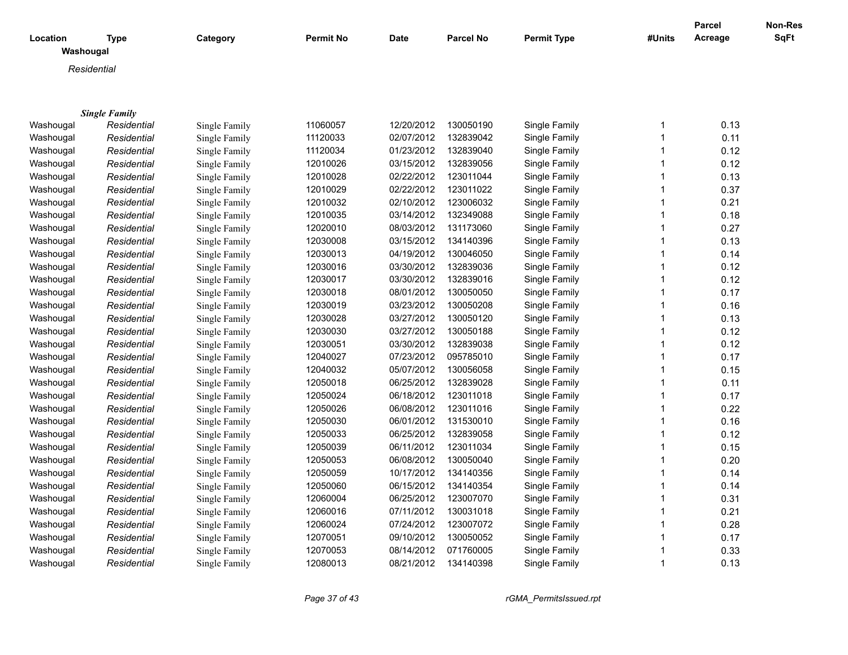|                       |                      |               |                  |             |                  |                    |              | Parcel  | Non-Res     |
|-----------------------|----------------------|---------------|------------------|-------------|------------------|--------------------|--------------|---------|-------------|
| Location<br>Washougal | <b>Type</b>          | Category      | <b>Permit No</b> | <b>Date</b> | <b>Parcel No</b> | <b>Permit Type</b> | #Units       | Acreage | <b>SqFt</b> |
|                       | Residential          |               |                  |             |                  |                    |              |         |             |
|                       |                      |               |                  |             |                  |                    |              |         |             |
|                       |                      |               |                  |             |                  |                    |              |         |             |
|                       | <b>Single Family</b> |               |                  |             |                  |                    |              |         |             |
| Washougal             | Residential          | Single Family | 11060057         | 12/20/2012  | 130050190        | Single Family      | 1            | 0.13    |             |
| Washougal             | Residential          | Single Family | 11120033         | 02/07/2012  | 132839042        | Single Family      | $\mathbf{1}$ | 0.11    |             |
| Washougal             | Residential          | Single Family | 11120034         | 01/23/2012  | 132839040        | Single Family      | 1            | 0.12    |             |
| Washougal             | Residential          | Single Family | 12010026         | 03/15/2012  | 132839056        | Single Family      | 1            | 0.12    |             |
| Washougal             | Residential          | Single Family | 12010028         | 02/22/2012  | 123011044        | Single Family      | 1            | 0.13    |             |
| Washougal             | Residential          | Single Family | 12010029         | 02/22/2012  | 123011022        | Single Family      | 1            | 0.37    |             |
| Washougal             | Residential          | Single Family | 12010032         | 02/10/2012  | 123006032        | Single Family      | 1            | 0.21    |             |
| Washougal             | Residential          | Single Family | 12010035         | 03/14/2012  | 132349088        | Single Family      | 1            | 0.18    |             |
| Washougal             | Residential          | Single Family | 12020010         | 08/03/2012  | 131173060        | Single Family      | 1            | 0.27    |             |
| Washougal             | Residential          | Single Family | 12030008         | 03/15/2012  | 134140396        | Single Family      | 1            | 0.13    |             |
| Washougal             | Residential          | Single Family | 12030013         | 04/19/2012  | 130046050        | Single Family      | 1            | 0.14    |             |
| Washougal             | Residential          | Single Family | 12030016         | 03/30/2012  | 132839036        | Single Family      | 1            | 0.12    |             |
| Washougal             | Residential          | Single Family | 12030017         | 03/30/2012  | 132839016        | Single Family      | 1            | 0.12    |             |
| Washougal             | Residential          | Single Family | 12030018         | 08/01/2012  | 130050050        | Single Family      | 1            | 0.17    |             |
| Washougal             | Residential          | Single Family | 12030019         | 03/23/2012  | 130050208        | Single Family      | 1            | 0.16    |             |
| Washougal             | Residential          | Single Family | 12030028         | 03/27/2012  | 130050120        | Single Family      | 1            | 0.13    |             |
| Washougal             | Residential          | Single Family | 12030030         | 03/27/2012  | 130050188        | Single Family      | 1            | 0.12    |             |
| Washougal             | Residential          | Single Family | 12030051         | 03/30/2012  | 132839038        | Single Family      | 1            | 0.12    |             |
| Washougal             | Residential          | Single Family | 12040027         | 07/23/2012  | 095785010        | Single Family      | 1            | 0.17    |             |
| Washougal             | Residential          | Single Family | 12040032         | 05/07/2012  | 130056058        | Single Family      | 1            | 0.15    |             |
| Washougal             | Residential          | Single Family | 12050018         | 06/25/2012  | 132839028        | Single Family      | 1            | 0.11    |             |
| Washougal             | Residential          | Single Family | 12050024         | 06/18/2012  | 123011018        | Single Family      | 1            | 0.17    |             |
| Washougal             | Residential          | Single Family | 12050026         | 06/08/2012  | 123011016        | Single Family      | 1            | 0.22    |             |
| Washougal             | Residential          | Single Family | 12050030         | 06/01/2012  | 131530010        | Single Family      | 1            | 0.16    |             |
| Washougal             | Residential          | Single Family | 12050033         | 06/25/2012  | 132839058        | Single Family      | 1            | 0.12    |             |
| Washougal             | Residential          | Single Family | 12050039         | 06/11/2012  | 123011034        | Single Family      | 1            | 0.15    |             |
| Washougal             | Residential          | Single Family | 12050053         | 06/08/2012  | 130050040        | Single Family      | 1            | 0.20    |             |
| Washougal             | Residential          | Single Family | 12050059         | 10/17/2012  | 134140356        | Single Family      | 1            | 0.14    |             |
| Washougal             | Residential          | Single Family | 12050060         | 06/15/2012  | 134140354        | Single Family      | 1            | 0.14    |             |
| Washougal             | Residential          | Single Family | 12060004         | 06/25/2012  | 123007070        | Single Family      | 1            | 0.31    |             |
| Washougal             | Residential          | Single Family | 12060016         | 07/11/2012  | 130031018        | Single Family      | 1            | 0.21    |             |
| Washougal             | Residential          | Single Family | 12060024         | 07/24/2012  | 123007072        | Single Family      | 1            | 0.28    |             |
| Washougal             | Residential          | Single Family | 12070051         | 09/10/2012  | 130050052        | Single Family      | 1            | 0.17    |             |
| Washougal             | Residential          | Single Family | 12070053         | 08/14/2012  | 071760005        | Single Family      | 1            | 0.33    |             |
| Washougal             | Residential          | Single Family | 12080013         | 08/21/2012  | 134140398        | Single Family      | 1            | 0.13    |             |

*Page 37 of 43 rGMA\_PermitsIssued.rpt*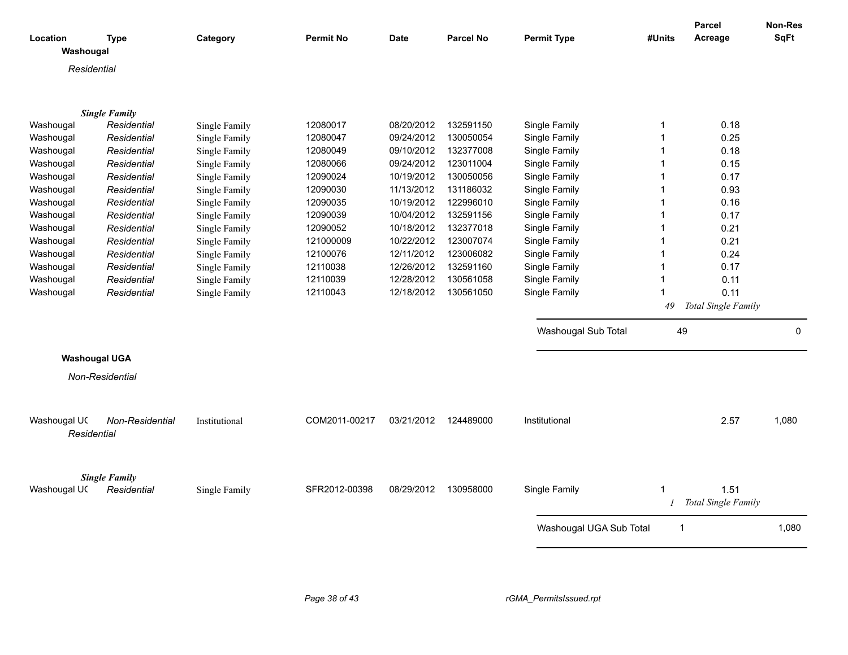| Location             | <b>Type</b>                         | Category      | <b>Permit No</b> | <b>Date</b> | <b>Parcel No</b> | <b>Permit Type</b>      | #Units         | Parcel<br>Acreage   | Non-Res<br><b>SqFt</b> |
|----------------------|-------------------------------------|---------------|------------------|-------------|------------------|-------------------------|----------------|---------------------|------------------------|
| Washougal            |                                     |               |                  |             |                  |                         |                |                     |                        |
| Residential          |                                     |               |                  |             |                  |                         |                |                     |                        |
|                      |                                     |               |                  |             |                  |                         |                |                     |                        |
|                      |                                     |               |                  |             |                  |                         |                |                     |                        |
|                      | <b>Single Family</b>                |               |                  |             |                  |                         |                |                     |                        |
| Washougal            | Residential                         | Single Family | 12080017         | 08/20/2012  | 132591150        | Single Family           | $\mathbf 1$    | 0.18                |                        |
| Washougal            | Residential                         | Single Family | 12080047         | 09/24/2012  | 130050054        | Single Family           | 1              | 0.25                |                        |
| Washougal            | Residential                         | Single Family | 12080049         | 09/10/2012  | 132377008        | Single Family           |                | 0.18                |                        |
| Washougal            | Residential                         | Single Family | 12080066         | 09/24/2012  | 123011004        | Single Family           |                | 0.15                |                        |
| Washougal            | Residential                         | Single Family | 12090024         | 10/19/2012  | 130050056        | Single Family           | 1              | 0.17                |                        |
| Washougal            | Residential                         | Single Family | 12090030         | 11/13/2012  | 131186032        | Single Family           |                | 0.93                |                        |
| Washougal            | Residential                         | Single Family | 12090035         | 10/19/2012  | 122996010        | Single Family           | 1              | 0.16                |                        |
| Washougal            | Residential                         | Single Family | 12090039         | 10/04/2012  | 132591156        | Single Family           |                | 0.17                |                        |
| Washougal            | Residential                         | Single Family | 12090052         | 10/18/2012  | 132377018        | Single Family           |                | 0.21                |                        |
| Washougal            | Residential                         | Single Family | 121000009        | 10/22/2012  | 123007074        | Single Family           | -1             | 0.21                |                        |
| Washougal            | Residential                         | Single Family | 12100076         | 12/11/2012  | 123006082        | Single Family           | 1              | 0.24                |                        |
| Washougal            | Residential                         | Single Family | 12110038         | 12/26/2012  | 132591160        | Single Family           | -1             | 0.17                |                        |
| Washougal            | Residential                         | Single Family | 12110039         | 12/28/2012  | 130561058        | Single Family           |                | 0.11                |                        |
| Washougal            | Residential                         | Single Family | 12110043         | 12/18/2012  | 130561050        | Single Family           | -1             | 0.11                |                        |
|                      |                                     |               |                  |             |                  |                         | 49             | Total Single Family |                        |
|                      |                                     |               |                  |             |                  |                         |                |                     |                        |
|                      |                                     |               |                  |             |                  | Washougal Sub Total     | 49             |                     | $\mathbf 0$            |
| <b>Washougal UGA</b> |                                     |               |                  |             |                  |                         |                |                     |                        |
|                      | Non-Residential                     |               |                  |             |                  |                         |                |                     |                        |
|                      |                                     |               |                  |             |                  |                         |                |                     |                        |
|                      |                                     |               |                  |             |                  |                         |                |                     |                        |
| Washougal UC         | Non-Residential                     | Institutional | COM2011-00217    | 03/21/2012  | 124489000        | Institutional           |                | 2.57                | 1,080                  |
| Residential          |                                     |               |                  |             |                  |                         |                |                     |                        |
|                      |                                     |               |                  |             |                  |                         |                |                     |                        |
|                      |                                     |               |                  |             |                  |                         |                |                     |                        |
|                      |                                     |               |                  |             |                  |                         |                |                     |                        |
| Washougal UC         | <b>Single Family</b><br>Residential | Single Family | SFR2012-00398    | 08/29/2012  | 130958000        | Single Family           | 1              | 1.51                |                        |
|                      |                                     |               |                  |             |                  |                         |                | Total Single Family |                        |
|                      |                                     |               |                  |             |                  |                         |                |                     |                        |
|                      |                                     |               |                  |             |                  | Washougal UGA Sub Total | $\overline{1}$ |                     | 1,080                  |
|                      |                                     |               |                  |             |                  |                         |                |                     |                        |
|                      |                                     |               |                  |             |                  |                         |                |                     |                        |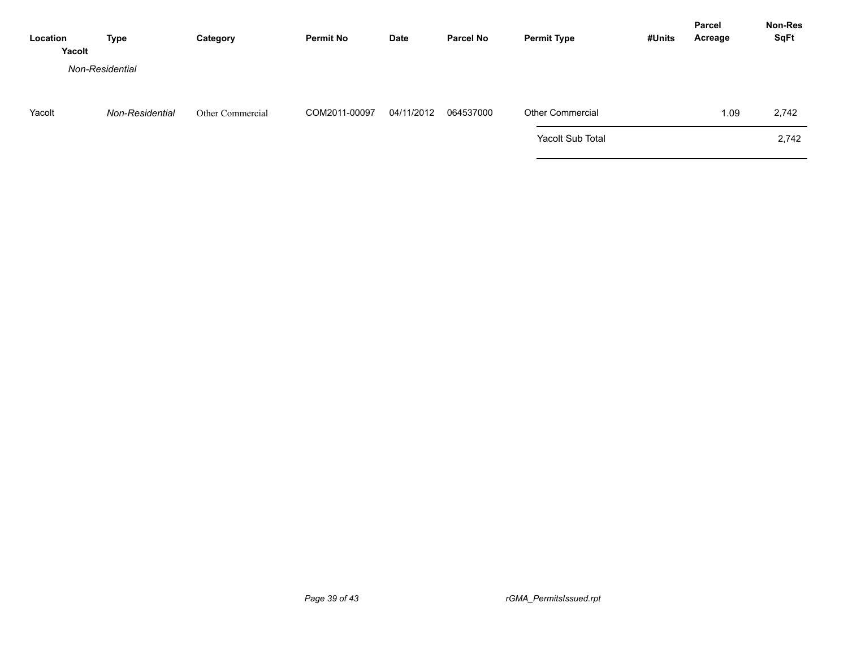| Location<br>Yacolt | Type            | Category         | <b>Permit No</b> | <b>Date</b> | <b>Parcel No</b> | <b>Permit Type</b>      | #Units | <b>Parcel</b><br>Acreage | Non-Res<br><b>SqFt</b> |
|--------------------|-----------------|------------------|------------------|-------------|------------------|-------------------------|--------|--------------------------|------------------------|
|                    | Non-Residential |                  |                  |             |                  |                         |        |                          |                        |
| Yacolt             | Non-Residential | Other Commercial | COM2011-00097    | 04/11/2012  | 064537000        | <b>Other Commercial</b> |        | 1.09                     | 2,742                  |
|                    |                 |                  |                  |             |                  | Yacolt Sub Total        |        |                          | 2,742                  |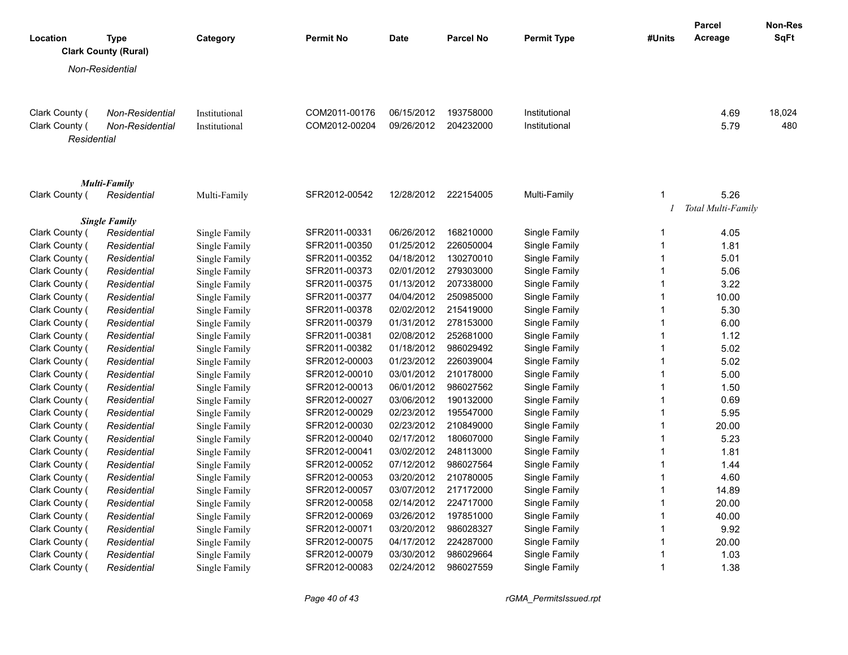|                |                                     |                 |               |                  |             |                  |                    |                | <b>Parcel</b>      | <b>Non-Res</b> |
|----------------|-------------------------------------|-----------------|---------------|------------------|-------------|------------------|--------------------|----------------|--------------------|----------------|
| Location       | Type<br><b>Clark County (Rural)</b> |                 | Category      | <b>Permit No</b> | <b>Date</b> | <b>Parcel No</b> | <b>Permit Type</b> | #Units         | Acreage            | <b>SqFt</b>    |
|                |                                     |                 |               |                  |             |                  |                    |                |                    |                |
|                | Non-Residential                     |                 |               |                  |             |                  |                    |                |                    |                |
|                |                                     |                 |               |                  |             |                  |                    |                |                    |                |
| Clark County ( |                                     | Non-Residential | Institutional | COM2011-00176    | 06/15/2012  | 193758000        | Institutional      |                | 4.69               | 18,024         |
| Clark County ( |                                     | Non-Residential | Institutional | COM2012-00204    | 09/26/2012  | 204232000        | Institutional      |                | 5.79               | 480            |
|                | Residential                         |                 |               |                  |             |                  |                    |                |                    |                |
|                |                                     |                 |               |                  |             |                  |                    |                |                    |                |
|                | <b>Multi-Family</b>                 |                 |               |                  |             |                  |                    |                |                    |                |
| Clark County ( |                                     | Residential     | Multi-Family  | SFR2012-00542    | 12/28/2012  | 222154005        | Multi-Family       | $\mathbf{1}$   | 5.26               |                |
|                |                                     |                 |               |                  |             |                  |                    |                | Total Multi-Family |                |
|                | <b>Single Family</b>                |                 |               |                  |             |                  |                    |                |                    |                |
| Clark County ( |                                     | Residential     | Single Family | SFR2011-00331    | 06/26/2012  | 168210000        | Single Family      | 1              | 4.05               |                |
| Clark County ( |                                     | Residential     | Single Family | SFR2011-00350    | 01/25/2012  | 226050004        | Single Family      | $\mathbf{1}$   | 1.81               |                |
| Clark County ( |                                     | Residential     | Single Family | SFR2011-00352    | 04/18/2012  | 130270010        | Single Family      | $\mathbf{1}$   | 5.01               |                |
| Clark County ( |                                     | Residential     | Single Family | SFR2011-00373    | 02/01/2012  | 279303000        | Single Family      | $\mathbf 1$    | 5.06               |                |
| Clark County ( |                                     | Residential     | Single Family | SFR2011-00375    | 01/13/2012  | 207338000        | Single Family      | $\mathbf{1}$   | 3.22               |                |
| Clark County ( |                                     | Residential     | Single Family | SFR2011-00377    | 04/04/2012  | 250985000        | Single Family      | $\mathbf 1$    | 10.00              |                |
| Clark County ( |                                     | Residential     | Single Family | SFR2011-00378    | 02/02/2012  | 215419000        | Single Family      | $\mathbf{1}$   | 5.30               |                |
| Clark County ( |                                     | Residential     | Single Family | SFR2011-00379    | 01/31/2012  | 278153000        | Single Family      | $\mathbf{1}$   | 6.00               |                |
| Clark County ( |                                     | Residential     | Single Family | SFR2011-00381    | 02/08/2012  | 252681000        | Single Family      | $\mathbf{1}$   | 1.12               |                |
| Clark County ( |                                     | Residential     | Single Family | SFR2011-00382    | 01/18/2012  | 986029492        | Single Family      | $\mathbf{1}$   | 5.02               |                |
| Clark County ( |                                     | Residential     | Single Family | SFR2012-00003    | 01/23/2012  | 226039004        | Single Family      | $\mathbf{1}$   | 5.02               |                |
| Clark County ( |                                     | Residential     | Single Family | SFR2012-00010    | 03/01/2012  | 210178000        | Single Family      | $\mathbf{1}$   | 5.00               |                |
| Clark County ( |                                     | Residential     | Single Family | SFR2012-00013    | 06/01/2012  | 986027562        | Single Family      | $\mathbf{1}$   | 1.50               |                |
| Clark County ( |                                     | Residential     | Single Family | SFR2012-00027    | 03/06/2012  | 190132000        | Single Family      | $\mathbf{1}$   | 0.69               |                |
| Clark County ( |                                     | Residential     | Single Family | SFR2012-00029    | 02/23/2012  | 195547000        | Single Family      | $\mathbf 1$    | 5.95               |                |
| Clark County ( |                                     | Residential     | Single Family | SFR2012-00030    | 02/23/2012  | 210849000        | Single Family      | $\mathbf{1}$   | 20.00              |                |
| Clark County ( |                                     | Residential     | Single Family | SFR2012-00040    | 02/17/2012  | 180607000        | Single Family      | $\mathbf{1}$   | 5.23               |                |
| Clark County ( |                                     | Residential     | Single Family | SFR2012-00041    | 03/02/2012  | 248113000        | Single Family      | $\mathbf{1}$   | 1.81               |                |
| Clark County ( |                                     | Residential     | Single Family | SFR2012-00052    | 07/12/2012  | 986027564        | Single Family      | $\overline{1}$ | 1.44               |                |
| Clark County ( |                                     | Residential     | Single Family | SFR2012-00053    | 03/20/2012  | 210780005        | Single Family      | $\mathbf{1}$   | 4.60               |                |
| Clark County ( |                                     | Residential     | Single Family | SFR2012-00057    | 03/07/2012  | 217172000        | Single Family      | $\mathbf{1}$   | 14.89              |                |
| Clark County ( |                                     | Residential     | Single Family | SFR2012-00058    | 02/14/2012  | 224717000        | Single Family      | $\mathbf{1}$   | 20.00              |                |
| Clark County ( |                                     | Residential     | Single Family | SFR2012-00069    | 03/26/2012  | 197851000        | Single Family      | $\mathbf{1}$   | 40.00              |                |
| Clark County ( |                                     | Residential     | Single Family | SFR2012-00071    | 03/20/2012  | 986028327        | Single Family      | $\mathbf{1}$   | 9.92               |                |
| Clark County ( |                                     | Residential     | Single Family | SFR2012-00075    | 04/17/2012  | 224287000        | Single Family      | $\mathbf{1}$   | 20.00              |                |
| Clark County ( |                                     | Residential     | Single Family | SFR2012-00079    | 03/30/2012  | 986029664        | Single Family      | $\overline{1}$ | 1.03               |                |
| Clark County ( |                                     | Residential     | Single Family | SFR2012-00083    | 02/24/2012  | 986027559        | Single Family      | $\mathbf{1}$   | 1.38               |                |

*Page 40 of 43 rGMA\_PermitsIssued.rpt*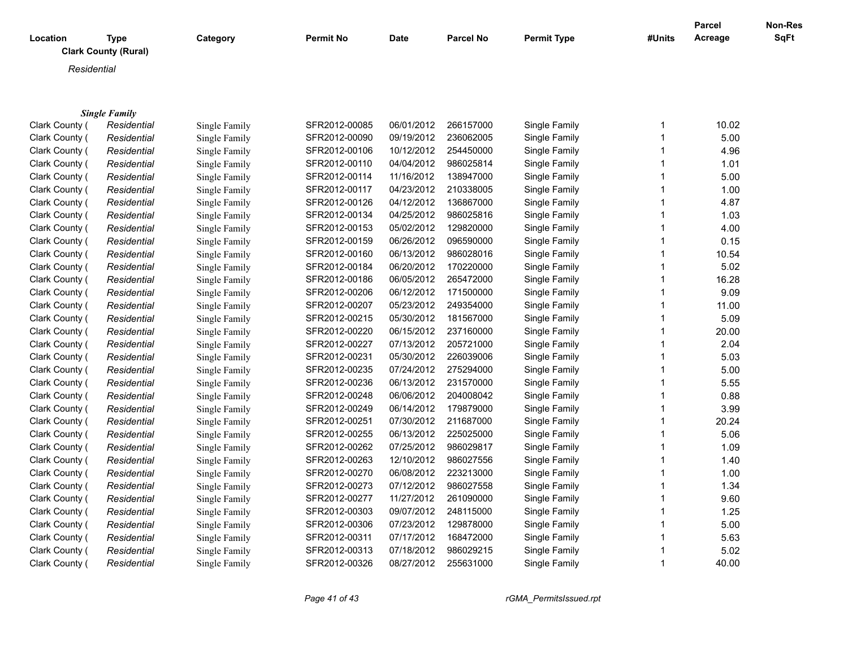| Location | Type<br><b>Clark County (Rural)</b> | Category | <b>Permit No</b> | <b>Date</b> | <b>Parcel No</b> | <b>Permit Type</b> | #Units | <b>Parcel</b><br>Acreage | Non-Res<br><b>SqFt</b> |
|----------|-------------------------------------|----------|------------------|-------------|------------------|--------------------|--------|--------------------------|------------------------|
|          | Residential                         |          |                  |             |                  |                    |        |                          |                        |
|          |                                     |          |                  |             |                  |                    |        |                          |                        |
|          | <b>Single Family</b>                |          |                  |             |                  |                    |        |                          |                        |

| Clark County ( | Residential | Single Family | SFR2012-00085 | 06/01/2012 | 266157000 | Single Family | 10.02 |
|----------------|-------------|---------------|---------------|------------|-----------|---------------|-------|
| Clark County ( | Residential | Single Family | SFR2012-00090 | 09/19/2012 | 236062005 | Single Family | 5.00  |
| Clark County ( | Residential | Single Family | SFR2012-00106 | 10/12/2012 | 254450000 | Single Family | 4.96  |
| Clark County ( | Residential | Single Family | SFR2012-00110 | 04/04/2012 | 986025814 | Single Family | 1.01  |
| Clark County ( | Residential | Single Family | SFR2012-00114 | 11/16/2012 | 138947000 | Single Family | 5.00  |
| Clark County ( | Residential | Single Family | SFR2012-00117 | 04/23/2012 | 210338005 | Single Family | 1.00  |
| Clark County ( | Residential | Single Family | SFR2012-00126 | 04/12/2012 | 136867000 | Single Family | 4.87  |
| Clark County ( | Residential | Single Family | SFR2012-00134 | 04/25/2012 | 986025816 | Single Family | 1.03  |
| Clark County ( | Residential | Single Family | SFR2012-00153 | 05/02/2012 | 129820000 | Single Family | 4.00  |
| Clark County ( | Residential | Single Family | SFR2012-00159 | 06/26/2012 | 096590000 | Single Family | 0.15  |
| Clark County ( | Residential | Single Family | SFR2012-00160 | 06/13/2012 | 986028016 | Single Family | 10.54 |
| Clark County ( | Residential | Single Family | SFR2012-00184 | 06/20/2012 | 170220000 | Single Family | 5.02  |
| Clark County ( | Residential | Single Family | SFR2012-00186 | 06/05/2012 | 265472000 | Single Family | 16.28 |
| Clark County ( | Residential | Single Family | SFR2012-00206 | 06/12/2012 | 171500000 | Single Family | 9.09  |
| Clark County ( | Residential | Single Family | SFR2012-00207 | 05/23/2012 | 249354000 | Single Family | 11.00 |
| Clark County ( | Residential | Single Family | SFR2012-00215 | 05/30/2012 | 181567000 | Single Family | 5.09  |
| Clark County ( | Residential | Single Family | SFR2012-00220 | 06/15/2012 | 237160000 | Single Family | 20.00 |
| Clark County ( | Residential | Single Family | SFR2012-00227 | 07/13/2012 | 205721000 | Single Family | 2.04  |
| Clark County ( | Residential | Single Family | SFR2012-00231 | 05/30/2012 | 226039006 | Single Family | 5.03  |
| Clark County ( | Residential | Single Family | SFR2012-00235 | 07/24/2012 | 275294000 | Single Family | 5.00  |
| Clark County ( | Residential | Single Family | SFR2012-00236 | 06/13/2012 | 231570000 | Single Family | 5.55  |
| Clark County ( | Residential | Single Family | SFR2012-00248 | 06/06/2012 | 204008042 | Single Family | 0.88  |
| Clark County ( | Residential | Single Family | SFR2012-00249 | 06/14/2012 | 179879000 | Single Family | 3.99  |
| Clark County ( | Residential | Single Family | SFR2012-00251 | 07/30/2012 | 211687000 | Single Family | 20.24 |
| Clark County ( | Residential | Single Family | SFR2012-00255 | 06/13/2012 | 225025000 | Single Family | 5.06  |
| Clark County ( | Residential | Single Family | SFR2012-00262 | 07/25/2012 | 986029817 | Single Family | 1.09  |
| Clark County ( | Residential | Single Family | SFR2012-00263 | 12/10/2012 | 986027556 | Single Family | 1.40  |
| Clark County ( | Residential | Single Family | SFR2012-00270 | 06/08/2012 | 223213000 | Single Family | 1.00  |
| Clark County ( | Residential | Single Family | SFR2012-00273 | 07/12/2012 | 986027558 | Single Family | 1.34  |
| Clark County ( | Residential | Single Family | SFR2012-00277 | 11/27/2012 | 261090000 | Single Family | 9.60  |
| Clark County ( | Residential | Single Family | SFR2012-00303 | 09/07/2012 | 248115000 | Single Family | 1.25  |
| Clark County ( | Residential | Single Family | SFR2012-00306 | 07/23/2012 | 129878000 | Single Family | 5.00  |
| Clark County ( | Residential | Single Family | SFR2012-00311 | 07/17/2012 | 168472000 | Single Family | 5.63  |
| Clark County ( | Residential | Single Family | SFR2012-00313 | 07/18/2012 | 986029215 | Single Family | 5.02  |
| Clark County ( | Residential | Single Family | SFR2012-00326 | 08/27/2012 | 255631000 | Single Family | 40.00 |
|                |             |               |               |            |           |               |       |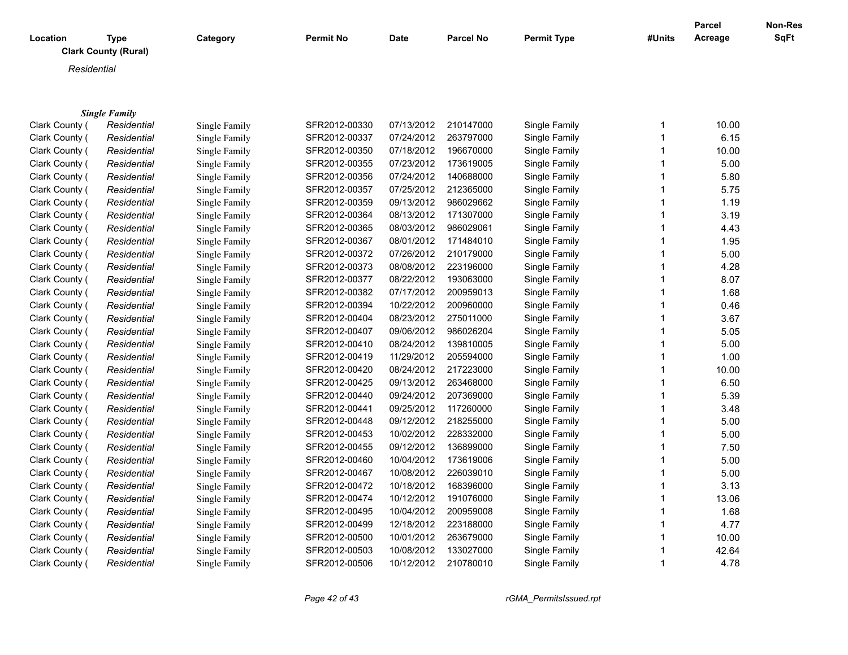| Location | <b>Type</b><br><b>Clark County (Rural)</b> | Category | <b>Permit No</b> | <b>Date</b> | <b>Parcel No</b> | <b>Permit Type</b> | #Units | Parcel<br>Acreage | <b>Non-Res</b><br><b>SqFt</b> |
|----------|--------------------------------------------|----------|------------------|-------------|------------------|--------------------|--------|-------------------|-------------------------------|
|          | Residential                                |          |                  |             |                  |                    |        |                   |                               |
|          |                                            |          |                  |             |                  |                    |        |                   |                               |
|          |                                            |          |                  |             |                  |                    |        |                   |                               |
|          | <b>Single Family</b>                       |          |                  |             |                  |                    |        |                   |                               |

| Clark County ( | Residential | Single Family | SFR2012-00330 | 07/13/2012 | 210147000 | Single Family | 10.00 |
|----------------|-------------|---------------|---------------|------------|-----------|---------------|-------|
| Clark County ( | Residential | Single Family | SFR2012-00337 | 07/24/2012 | 263797000 | Single Family | 6.15  |
| Clark County ( | Residential | Single Family | SFR2012-00350 | 07/18/2012 | 196670000 | Single Family | 10.00 |
| Clark County ( | Residential | Single Family | SFR2012-00355 | 07/23/2012 | 173619005 | Single Family | 5.00  |
| Clark County ( | Residential | Single Family | SFR2012-00356 | 07/24/2012 | 140688000 | Single Family | 5.80  |
| Clark County ( | Residential | Single Family | SFR2012-00357 | 07/25/2012 | 212365000 | Single Family | 5.75  |
| Clark County ( | Residential | Single Family | SFR2012-00359 | 09/13/2012 | 986029662 | Single Family | 1.19  |
| Clark County ( | Residential | Single Family | SFR2012-00364 | 08/13/2012 | 171307000 | Single Family | 3.19  |
| Clark County ( | Residential | Single Family | SFR2012-00365 | 08/03/2012 | 986029061 | Single Family | 4.43  |
| Clark County ( | Residential | Single Family | SFR2012-00367 | 08/01/2012 | 171484010 | Single Family | 1.95  |
| Clark County ( | Residential | Single Family | SFR2012-00372 | 07/26/2012 | 210179000 | Single Family | 5.00  |
| Clark County ( | Residential | Single Family | SFR2012-00373 | 08/08/2012 | 223196000 | Single Family | 4.28  |
| Clark County ( | Residential | Single Family | SFR2012-00377 | 08/22/2012 | 193063000 | Single Family | 8.07  |
| Clark County ( | Residential | Single Family | SFR2012-00382 | 07/17/2012 | 200959013 | Single Family | 1.68  |
| Clark County ( | Residential | Single Family | SFR2012-00394 | 10/22/2012 | 200960000 | Single Family | 0.46  |
| Clark County ( | Residential | Single Family | SFR2012-00404 | 08/23/2012 | 275011000 | Single Family | 3.67  |
| Clark County ( | Residential | Single Family | SFR2012-00407 | 09/06/2012 | 986026204 | Single Family | 5.05  |
| Clark County ( | Residential | Single Family | SFR2012-00410 | 08/24/2012 | 139810005 | Single Family | 5.00  |
| Clark County ( | Residential | Single Family | SFR2012-00419 | 11/29/2012 | 205594000 | Single Family | 1.00  |
| Clark County ( | Residential | Single Family | SFR2012-00420 | 08/24/2012 | 217223000 | Single Family | 10.00 |
| Clark County ( | Residential | Single Family | SFR2012-00425 | 09/13/2012 | 263468000 | Single Family | 6.50  |
| Clark County ( | Residential | Single Family | SFR2012-00440 | 09/24/2012 | 207369000 | Single Family | 5.39  |
| Clark County ( | Residential | Single Family | SFR2012-00441 | 09/25/2012 | 117260000 | Single Family | 3.48  |
| Clark County ( | Residential | Single Family | SFR2012-00448 | 09/12/2012 | 218255000 | Single Family | 5.00  |
| Clark County ( | Residential | Single Family | SFR2012-00453 | 10/02/2012 | 228332000 | Single Family | 5.00  |
| Clark County ( | Residential | Single Family | SFR2012-00455 | 09/12/2012 | 136899000 | Single Family | 7.50  |
| Clark County ( | Residential | Single Family | SFR2012-00460 | 10/04/2012 | 173619006 | Single Family | 5.00  |
| Clark County ( | Residential | Single Family | SFR2012-00467 | 10/08/2012 | 226039010 | Single Family | 5.00  |
| Clark County ( | Residential | Single Family | SFR2012-00472 | 10/18/2012 | 168396000 | Single Family | 3.13  |
| Clark County ( | Residential | Single Family | SFR2012-00474 | 10/12/2012 | 191076000 | Single Family | 13.06 |
| Clark County ( | Residential | Single Family | SFR2012-00495 | 10/04/2012 | 200959008 | Single Family | 1.68  |
| Clark County ( | Residential | Single Family | SFR2012-00499 | 12/18/2012 | 223188000 | Single Family | 4.77  |
| Clark County ( | Residential | Single Family | SFR2012-00500 | 10/01/2012 | 263679000 | Single Family | 10.00 |
| Clark County ( | Residential | Single Family | SFR2012-00503 | 10/08/2012 | 133027000 | Single Family | 42.64 |
| Clark County ( | Residential | Single Family | SFR2012-00506 | 10/12/2012 | 210780010 | Single Family | 4.78  |
|                |             |               |               |            |           |               |       |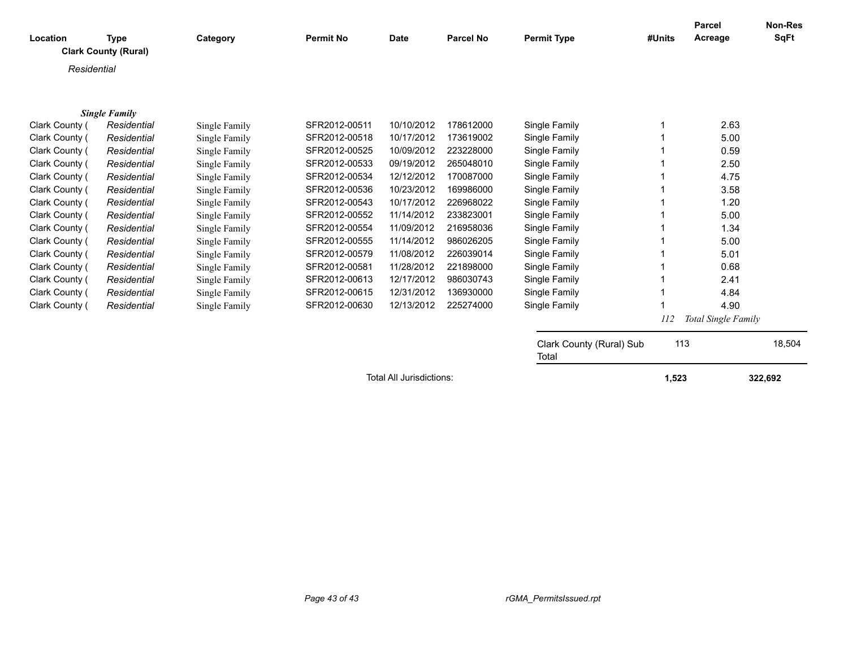| Location       | <b>Type</b>                 | Category      | <b>Permit No</b> | <b>Date</b> | <b>Parcel No</b> | <b>Permit Type</b>                | #Units | Parcel<br>Acreage   | <b>Non-Res</b><br><b>SqFt</b> |  |
|----------------|-----------------------------|---------------|------------------|-------------|------------------|-----------------------------------|--------|---------------------|-------------------------------|--|
|                | <b>Clark County (Rural)</b> |               |                  |             |                  |                                   |        |                     |                               |  |
| Residential    |                             |               |                  |             |                  |                                   |        |                     |                               |  |
|                |                             |               |                  |             |                  |                                   |        |                     |                               |  |
|                |                             |               |                  |             |                  |                                   |        |                     |                               |  |
|                | <b>Single Family</b>        |               |                  |             |                  |                                   |        |                     |                               |  |
| Clark County ( | Residential                 | Single Family | SFR2012-00511    | 10/10/2012  | 178612000        | Single Family                     | 1      | 2.63                |                               |  |
| Clark County ( | Residential                 | Single Family | SFR2012-00518    | 10/17/2012  | 173619002        | Single Family                     |        | 5.00                |                               |  |
| Clark County ( | Residential                 | Single Family | SFR2012-00525    | 10/09/2012  | 223228000        | Single Family                     |        | 0.59                |                               |  |
| Clark County ( | Residential                 | Single Family | SFR2012-00533    | 09/19/2012  | 265048010        | Single Family                     |        | 2.50                |                               |  |
| Clark County ( | Residential                 | Single Family | SFR2012-00534    | 12/12/2012  | 170087000        | Single Family                     |        | 4.75                |                               |  |
| Clark County ( | Residential                 | Single Family | SFR2012-00536    | 10/23/2012  | 169986000        | Single Family                     |        | 3.58                |                               |  |
| Clark County ( | Residential                 | Single Family | SFR2012-00543    | 10/17/2012  | 226968022        | Single Family                     |        | 1.20                |                               |  |
| Clark County ( | Residential                 | Single Family | SFR2012-00552    | 11/14/2012  | 233823001        | Single Family                     | 1      | 5.00                |                               |  |
| Clark County ( | Residential                 | Single Family | SFR2012-00554    | 11/09/2012  | 216958036        | Single Family                     |        | 1.34                |                               |  |
| Clark County ( | Residential                 | Single Family | SFR2012-00555    | 11/14/2012  | 986026205        | Single Family                     | 1      | 5.00                |                               |  |
| Clark County ( | Residential                 | Single Family | SFR2012-00579    | 11/08/2012  | 226039014        | Single Family                     |        | 5.01                |                               |  |
| Clark County ( | Residential                 | Single Family | SFR2012-00581    | 11/28/2012  | 221898000        | Single Family                     |        | 0.68                |                               |  |
| Clark County ( | Residential                 | Single Family | SFR2012-00613    | 12/17/2012  | 986030743        | Single Family                     |        | 2.41                |                               |  |
| Clark County ( | Residential                 | Single Family | SFR2012-00615    | 12/31/2012  | 136930000        | Single Family                     | 1      | 4.84                |                               |  |
| Clark County ( | Residential                 | Single Family | SFR2012-00630    | 12/13/2012  | 225274000        | Single Family                     |        | 4.90                |                               |  |
|                |                             |               |                  |             |                  |                                   | 112    | Total Single Family |                               |  |
|                |                             |               |                  |             |                  |                                   |        |                     |                               |  |
|                |                             |               |                  |             |                  | Clark County (Rural) Sub<br>Total | 113    |                     | 18,504                        |  |
|                | Total All Jurisdictions:    |               |                  |             |                  |                                   | 1,523  |                     | 322,692                       |  |